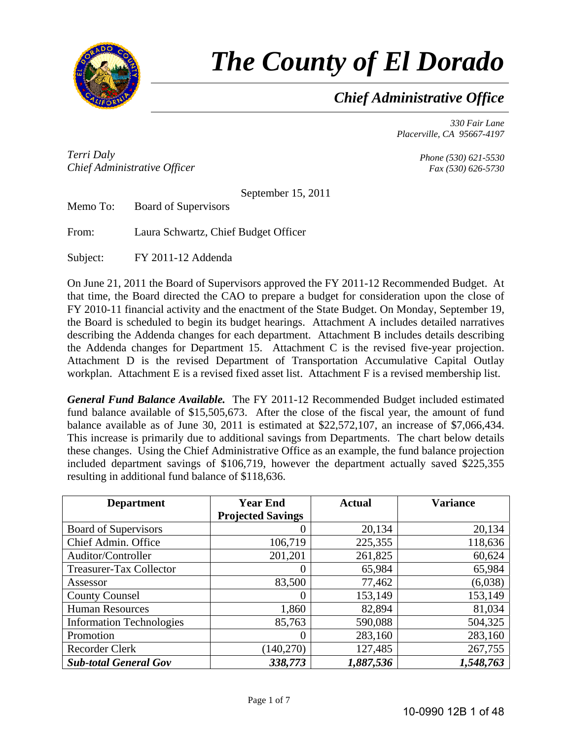

# *The County of El Dorado*

*Chief Administrative Office*

*330 Fair Lane Placerville, CA 95667-4197* 

*Terri Daly Chief Administrative Officer*

*Phone (530) 621-5530 Fax (530) 626-5730* 

September 15, 2011

Memo To: Board of Supervisors

From: Laura Schwartz, Chief Budget Officer

Subject: FY 2011-12 Addenda

On June 21, 2011 the Board of Supervisors approved the FY 2011-12 Recommended Budget. At that time, the Board directed the CAO to prepare a budget for consideration upon the close of FY 2010-11 financial activity and the enactment of the State Budget. On Monday, September 19, the Board is scheduled to begin its budget hearings. Attachment A includes detailed narratives describing the Addenda changes for each department. Attachment B includes details describing the Addenda changes for Department 15. Attachment C is the revised five-year projection. Attachment D is the revised Department of Transportation Accumulative Capital Outlay workplan. Attachment E is a revised fixed asset list. Attachment F is a revised membership list.

*General Fund Balance Available.* The FY 2011-12 Recommended Budget included estimated fund balance available of \$15,505,673. After the close of the fiscal year, the amount of fund balance available as of June 30, 2011 is estimated at \$22,572,107, an increase of \$7,066,434. This increase is primarily due to additional savings from Departments. The chart below details these changes. Using the Chief Administrative Office as an example, the fund balance projection included department savings of \$106,719, however the department actually saved \$225,355 resulting in additional fund balance of \$118,636.

| <b>Department</b>               | <b>Year End</b>          | <b>Actual</b> | <b>Variance</b> |  |
|---------------------------------|--------------------------|---------------|-----------------|--|
|                                 | <b>Projected Savings</b> |               |                 |  |
| Board of Supervisors            | 0                        | 20,134        | 20,134          |  |
| Chief Admin. Office             | 106,719                  | 225,355       | 118,636         |  |
| Auditor/Controller              | 201,201                  | 261,825       | 60,624          |  |
| Treasurer-Tax Collector         | $\theta$                 | 65,984        | 65,984          |  |
| Assessor                        | 83,500                   | 77,462        | (6,038)         |  |
| <b>County Counsel</b>           | 0                        | 153,149       | 153,149         |  |
| <b>Human Resources</b>          | 1,860                    | 82,894        | 81,034          |  |
| <b>Information Technologies</b> | 85,763                   | 590,088       | 504,325         |  |
| Promotion                       | 0                        | 283,160       | 283,160         |  |
| Recorder Clerk                  | (140,270)                | 127,485       | 267,755         |  |
| <b>Sub-total General Gov</b>    | 338,773                  | 1,887,536     | 1,548,763       |  |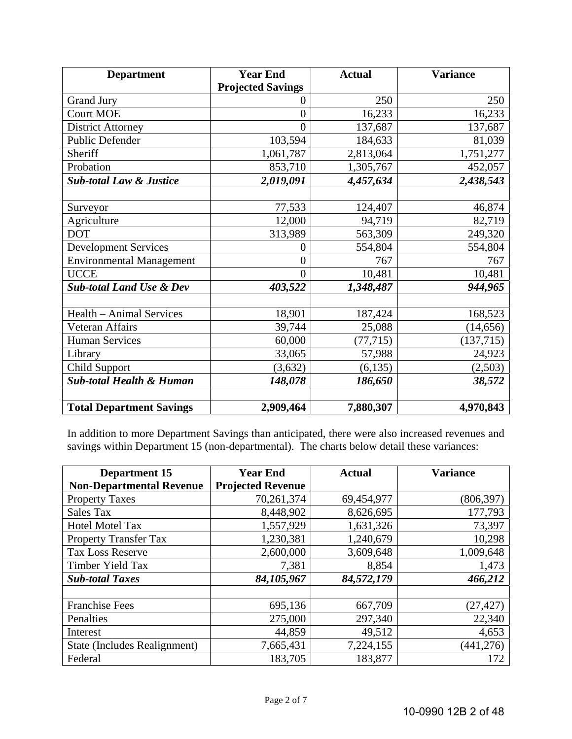| <b>Department</b>                   | <b>Year End</b><br><b>Actual</b> |           | <b>Variance</b> |
|-------------------------------------|----------------------------------|-----------|-----------------|
|                                     | <b>Projected Savings</b>         |           |                 |
| <b>Grand Jury</b>                   | 0                                | 250       | 250             |
| <b>Court MOE</b>                    | $\overline{0}$                   | 16,233    | 16,233          |
| <b>District Attorney</b>            | $\overline{0}$                   | 137,687   | 137,687         |
| <b>Public Defender</b>              | 103,594                          | 184,633   | 81,039          |
| Sheriff                             | 1,061,787                        | 2,813,064 | 1,751,277       |
| Probation                           | 853,710                          | 1,305,767 | 452,057         |
| <b>Sub-total Law &amp; Justice</b>  | 2,019,091                        | 4,457,634 | 2,438,543       |
|                                     |                                  |           |                 |
| Surveyor                            | 77,533                           | 124,407   | 46,874          |
| Agriculture                         | 12,000                           | 94,719    | 82,719          |
| <b>DOT</b>                          | 313,989                          | 563,309   | 249,320         |
| <b>Development Services</b>         | 0                                | 554,804   | 554,804         |
| <b>Environmental Management</b>     | $\overline{0}$                   | 767       | 767             |
| <b>UCCE</b>                         | $\overline{0}$                   | 10,481    | 10,481          |
| <b>Sub-total Land Use &amp; Dev</b> | 403,522                          | 1,348,487 | 944,965         |
|                                     |                                  |           |                 |
| Health - Animal Services            | 18,901                           | 187,424   | 168,523         |
| Veteran Affairs                     | 39,744                           | 25,088    | (14, 656)       |
| <b>Human Services</b>               | 60,000                           | (77, 715) | (137, 715)      |
| Library                             | 33,065                           | 57,988    | 24,923          |
| <b>Child Support</b>                | (3,632)                          | (6, 135)  | (2,503)         |
| <b>Sub-total Health &amp; Human</b> | 148,078                          | 186,650   | 38,572          |
|                                     |                                  |           |                 |
| <b>Total Department Savings</b>     | 2,909,464                        | 7,880,307 | 4,970,843       |

In addition to more Department Savings than anticipated, there were also increased revenues and savings within Department 15 (non-departmental). The charts below detail these variances:

| <b>Department 15</b>            | <b>Year End</b>          | <b>Actual</b> | <b>Variance</b> |
|---------------------------------|--------------------------|---------------|-----------------|
| <b>Non-Departmental Revenue</b> | <b>Projected Revenue</b> |               |                 |
| <b>Property Taxes</b>           | 70,261,374               | 69,454,977    | (806, 397)      |
| Sales Tax                       | 8,448,902                | 8,626,695     | 177,793         |
| <b>Hotel Motel Tax</b>          | 1,557,929                | 1,631,326     | 73,397          |
| <b>Property Transfer Tax</b>    | 1,230,381                | 1,240,679     | 10,298          |
| <b>Tax Loss Reserve</b>         | 2,600,000                | 3,609,648     | 1,009,648       |
| Timber Yield Tax                | 7,381                    | 8,854         | 1,473           |
| <b>Sub-total Taxes</b>          | 84,105,967               | 84,572,179    | 466,212         |
|                                 |                          |               |                 |
| <b>Franchise Fees</b>           | 695,136                  | 667,709       | (27, 427)       |
| Penalties                       | 275,000                  | 297,340       | 22,340          |
| Interest                        | 44,859                   | 49,512        | 4,653           |
| State (Includes Realignment)    | 7,665,431                | 7,224,155     | (441, 276)      |
| Federal                         | 183,705                  | 183,877       | 172             |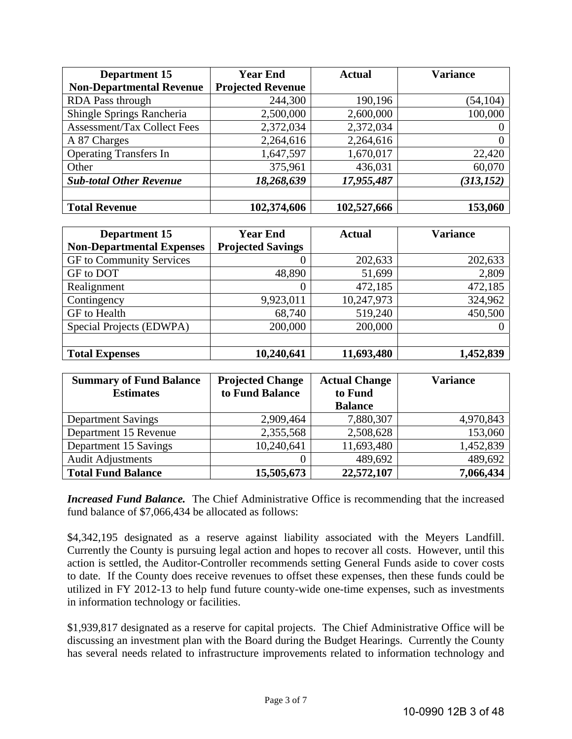| <b>Department 15</b>               | <b>Year End</b>          | <b>Actual</b> |            |
|------------------------------------|--------------------------|---------------|------------|
| <b>Non-Departmental Revenue</b>    | <b>Projected Revenue</b> |               |            |
| RDA Pass through                   | 244,300                  | 190,196       | (54, 104)  |
| Shingle Springs Rancheria          | 2,500,000                | 2,600,000     | 100,000    |
| <b>Assessment/Tax Collect Fees</b> | 2,372,034                | 2,372,034     |            |
| A 87 Charges                       | 2,264,616                | 2,264,616     |            |
| <b>Operating Transfers In</b>      | 1,647,597                | 1,670,017     | 22,420     |
| Other                              | 375,961                  | 436,031       | 60,070     |
| <b>Sub-total Other Revenue</b>     | 18,268,639               | 17,955,487    | (313, 152) |
|                                    |                          |               |            |
| <b>Total Revenue</b>               | 102,374,606              | 102,527,666   | 153,060    |

| Department 15                    | <b>Year End</b>          | <b>Actual</b> | <b>Variance</b> |  |
|----------------------------------|--------------------------|---------------|-----------------|--|
| <b>Non-Departmental Expenses</b> | <b>Projected Savings</b> |               |                 |  |
| GF to Community Services         | 0                        | 202,633       | 202,633         |  |
| GF to DOT                        | 48,890                   | 51,699        | 2,809           |  |
| Realignment                      | 0                        | 472,185       | 472,185         |  |
| Contingency                      | 9,923,011                | 10,247,973    | 324,962         |  |
| GF to Health                     | 68,740                   | 519,240       | 450,500         |  |
| Special Projects (EDWPA)         | 200,000                  | 200,000       | O               |  |
|                                  |                          |               |                 |  |
| <b>Total Expenses</b>            | 10,240,641               | 11,693,480    | 1,452,839       |  |

| <b>Summary of Fund Balance</b> | <b>Projected Change</b>    | <b>Actual Change</b> | <b>Variance</b> |
|--------------------------------|----------------------------|----------------------|-----------------|
| <b>Estimates</b>               | to Fund Balance<br>to Fund |                      |                 |
|                                |                            | <b>Balance</b>       |                 |
| <b>Department Savings</b>      | 2,909,464                  | 7,880,307            | 4,970,843       |
| Department 15 Revenue          | 2,355,568                  | 2,508,628            | 153,060         |
| Department 15 Savings          | 10,240,641                 | 11,693,480           | 1,452,839       |
| <b>Audit Adjustments</b>       | 0                          | 489,692              | 489,692         |
| <b>Total Fund Balance</b>      | 15,505,673                 | 22,572,107           | 7,066,434       |

**Increased Fund Balance.** The Chief Administrative Office is recommending that the increased fund balance of \$7,066,434 be allocated as follows:

\$4,342,195 designated as a reserve against liability associated with the Meyers Landfill. Currently the County is pursuing legal action and hopes to recover all costs. However, until this action is settled, the Auditor-Controller recommends setting General Funds aside to cover costs to date. If the County does receive revenues to offset these expenses, then these funds could be utilized in FY 2012-13 to help fund future county-wide one-time expenses, such as investments in information technology or facilities.

\$1,939,817 designated as a reserve for capital projects. The Chief Administrative Office will be discussing an investment plan with the Board during the Budget Hearings. Currently the County has several needs related to infrastructure improvements related to information technology and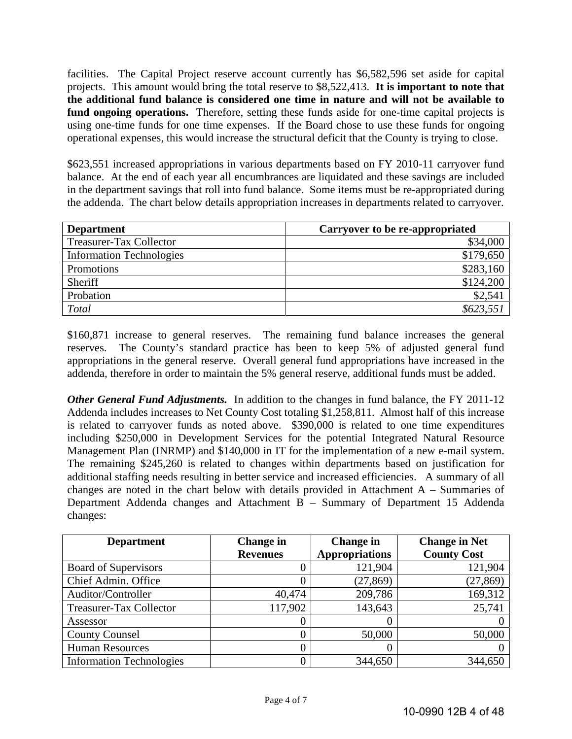facilities. The Capital Project reserve account currently has \$6,582,596 set aside for capital projects. This amount would bring the total reserve to \$8,522,413. **It is important to note that the additional fund balance is considered one time in nature and will not be available to fund ongoing operations.** Therefore, setting these funds aside for one-time capital projects is using one-time funds for one time expenses. If the Board chose to use these funds for ongoing operational expenses, this would increase the structural deficit that the County is trying to close.

\$623,551 increased appropriations in various departments based on FY 2010-11 carryover fund balance. At the end of each year all encumbrances are liquidated and these savings are included in the department savings that roll into fund balance. Some items must be re-appropriated during the addenda. The chart below details appropriation increases in departments related to carryover.

| <b>Department</b>               | Carryover to be re-appropriated |
|---------------------------------|---------------------------------|
| Treasurer-Tax Collector         | \$34,000                        |
| <b>Information Technologies</b> | \$179,650                       |
| Promotions                      | \$283,160                       |
| Sheriff                         | \$124,200                       |
| Probation                       | \$2,541                         |
| Total                           | \$623,551                       |

\$160,871 increase to general reserves. The remaining fund balance increases the general reserves. The County's standard practice has been to keep 5% of adjusted general fund appropriations in the general reserve. Overall general fund appropriations have increased in the addenda, therefore in order to maintain the 5% general reserve, additional funds must be added.

*Other General Fund Adjustments.* In addition to the changes in fund balance, the FY 2011-12 Addenda includes increases to Net County Cost totaling \$1,258,811. Almost half of this increase is related to carryover funds as noted above. \$390,000 is related to one time expenditures including \$250,000 in Development Services for the potential Integrated Natural Resource Management Plan (INRMP) and \$140,000 in IT for the implementation of a new e-mail system. The remaining \$245,260 is related to changes within departments based on justification for additional staffing needs resulting in better service and increased efficiencies. A summary of all changes are noted in the chart below with details provided in Attachment A – Summaries of Department Addenda changes and Attachment B – Summary of Department 15 Addenda changes:

| <b>Department</b>               | <b>Change in</b> | <b>Change</b> in      | <b>Change in Net</b> |  |
|---------------------------------|------------------|-----------------------|----------------------|--|
|                                 | <b>Revenues</b>  | <b>Appropriations</b> | <b>County Cost</b>   |  |
| Board of Supervisors            | 0                | 121,904               | 121,904              |  |
| Chief Admin. Office             | 0                | (27, 869)             | (27, 869)            |  |
| Auditor/Controller              | 40,474           | 209,786               | 169,312              |  |
| Treasurer-Tax Collector         | 117,902          | 143,643               | 25,741               |  |
| Assessor                        | 0                |                       |                      |  |
| <b>County Counsel</b>           | 0                | 50,000                | 50,000               |  |
| <b>Human Resources</b>          | 0                |                       |                      |  |
| <b>Information Technologies</b> | 0                | 344,650               | 344,650              |  |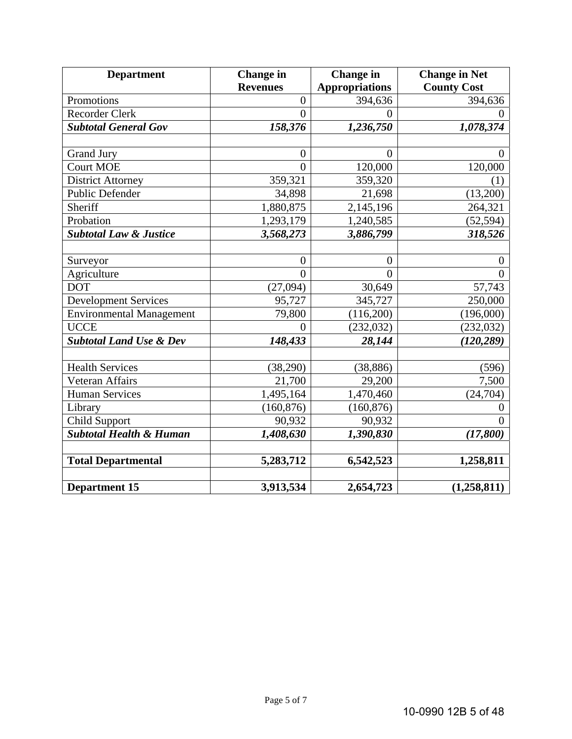| <b>Department</b>                  | <b>Change</b> in<br><b>Change</b> in |                       | <b>Change in Net</b> |  |
|------------------------------------|--------------------------------------|-----------------------|----------------------|--|
|                                    | <b>Revenues</b>                      | <b>Appropriations</b> | <b>County Cost</b>   |  |
| Promotions                         | $\overline{0}$                       | 394,636               | 394,636              |  |
| <b>Recorder Clerk</b>              | $\overline{0}$                       | $\theta$              | $\theta$             |  |
| <b>Subtotal General Gov</b>        | 158,376                              | 1,236,750             | 1,078,374            |  |
|                                    |                                      |                       |                      |  |
| <b>Grand Jury</b>                  | $\boldsymbol{0}$                     | $\overline{0}$        | $\theta$             |  |
| <b>Court MOE</b>                   | $\theta$                             | 120,000               | 120,000              |  |
| <b>District Attorney</b>           | 359,321                              | 359,320               | (1)                  |  |
| Public Defender                    | 34,898                               | 21,698                | (13,200)             |  |
| Sheriff                            | 1,880,875                            | 2,145,196             | 264,321              |  |
| Probation                          | 1,293,179                            | 1,240,585             | (52, 594)            |  |
| <b>Subtotal Law &amp; Justice</b>  | 3,568,273                            | 3,886,799             | 318,526              |  |
|                                    |                                      |                       |                      |  |
| Surveyor                           | $\boldsymbol{0}$                     | $\boldsymbol{0}$      | $\boldsymbol{0}$     |  |
| Agriculture                        | $\theta$                             | $\theta$              | $\theta$             |  |
| <b>DOT</b>                         | (27,094)                             | 30,649                | 57,743               |  |
| <b>Development Services</b>        | 95,727                               | 345,727               | 250,000              |  |
| <b>Environmental Management</b>    | 79,800                               | (116,200)             | (196,000)            |  |
| <b>UCCE</b>                        | $\theta$                             | (232, 032)            | (232, 032)           |  |
| <b>Subtotal Land Use &amp; Dev</b> | 148,433                              | 28,144                | (120, 289)           |  |
|                                    |                                      |                       |                      |  |
| <b>Health Services</b>             | (38,290)                             | (38, 886)             | (596)                |  |
| Veteran Affairs                    | 21,700                               | 29,200                | 7,500                |  |
| <b>Human Services</b>              | 1,495,164                            | 1,470,460             | (24,704)             |  |
| Library                            | (160, 876)                           | (160, 876)            | $\theta$             |  |
| <b>Child Support</b>               | 90,932                               | 90,932                | $\theta$             |  |
| <b>Subtotal Health &amp; Human</b> | 1,408,630                            | 1,390,830             | (17,800)             |  |
|                                    |                                      |                       |                      |  |
| <b>Total Departmental</b>          | 5,283,712                            | 6,542,523             | 1,258,811            |  |
|                                    |                                      |                       |                      |  |
| <b>Department 15</b>               | 3,913,534                            | 2,654,723             | (1,258,811)          |  |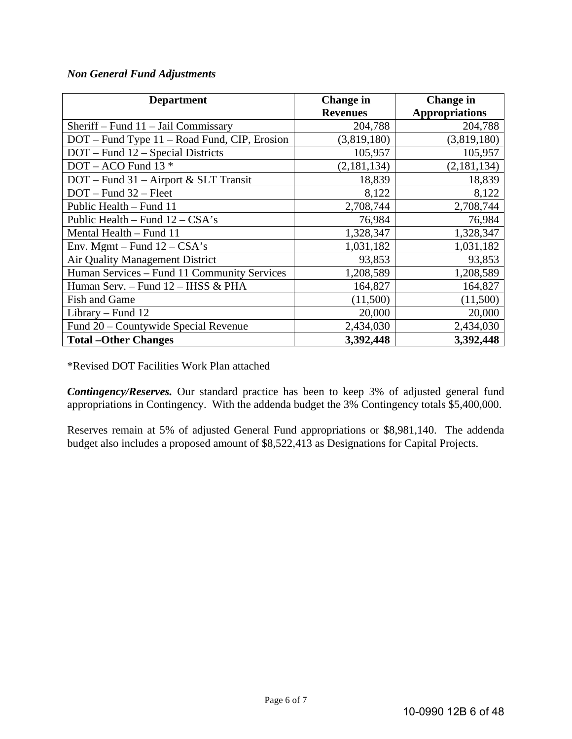# *Non General Fund Adjustments*

| <b>Department</b>                            | <b>Change</b> in | <b>Change</b> in      |
|----------------------------------------------|------------------|-----------------------|
|                                              | <b>Revenues</b>  | <b>Appropriations</b> |
| Sheriff – Fund $11$ – Jail Commissary        | 204,788          | 204,788               |
| DOT – Fund Type 11 – Road Fund, CIP, Erosion | (3,819,180)      | (3,819,180)           |
| DOT – Fund 12 – Special Districts            | 105,957          | 105,957               |
| $DOT - ACO$ Fund 13 $*$                      | (2,181,134)      | (2,181,134)           |
| $DOT$ – Fund 31 – Airport & SLT Transit      | 18,839           | 18,839                |
| $DOT$ – Fund $32$ – Fleet                    | 8,122            | 8,122                 |
| Public Health – Fund 11                      | 2,708,744        | 2,708,744             |
| Public Health – Fund $12 - CSA's$            | 76,984           | 76,984                |
| Mental Health - Fund 11                      | 1,328,347        | 1,328,347             |
| Env. Mgmt - Fund $12 - CSA's$                | 1,031,182        | 1,031,182             |
| Air Quality Management District              | 93,853           | 93,853                |
| Human Services - Fund 11 Community Services  | 1,208,589        | 1,208,589             |
| Human Serv. - Fund 12 - IHSS & PHA           | 164,827          | 164,827               |
| <b>Fish and Game</b>                         | (11,500)         | (11,500)              |
| Library – Fund 12                            | 20,000           | 20,000                |
| Fund 20 - Countywide Special Revenue         | 2,434,030        | 2,434,030             |
| <b>Total – Other Changes</b>                 | 3,392,448        | 3,392,448             |

\*Revised DOT Facilities Work Plan attached

*Contingency/Reserves.* Our standard practice has been to keep 3% of adjusted general fund appropriations in Contingency. With the addenda budget the 3% Contingency totals \$5,400,000.

Reserves remain at 5% of adjusted General Fund appropriations or \$8,981,140. The addenda budget also includes a proposed amount of \$8,522,413 as Designations for Capital Projects.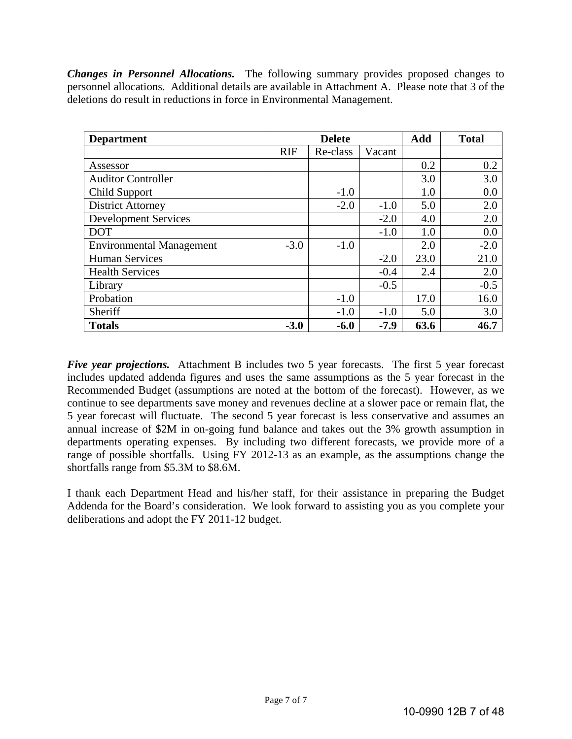*Changes in Personnel Allocations.* The following summary provides proposed changes to personnel allocations. Additional details are available in Attachment A. Please note that 3 of the deletions do result in reductions in force in Environmental Management.

| <b>Department</b>               |            | <b>Delete</b> |        | Add  | <b>Total</b> |
|---------------------------------|------------|---------------|--------|------|--------------|
|                                 | <b>RIF</b> | Re-class      | Vacant |      |              |
| Assessor                        |            |               |        | 0.2  | 0.2          |
| <b>Auditor Controller</b>       |            |               |        | 3.0  | 3.0          |
| Child Support                   |            | $-1.0$        |        | 1.0  | 0.0          |
| <b>District Attorney</b>        |            | $-2.0$        | $-1.0$ | 5.0  | 2.0          |
| <b>Development Services</b>     |            |               | $-2.0$ | 4.0  | 2.0          |
| <b>DOT</b>                      |            |               | $-1.0$ | 1.0  | 0.0          |
| <b>Environmental Management</b> | $-3.0$     | $-1.0$        |        | 2.0  | $-2.0$       |
| <b>Human Services</b>           |            |               | $-2.0$ | 23.0 | 21.0         |
| <b>Health Services</b>          |            |               | $-0.4$ | 2.4  | 2.0          |
| Library                         |            |               | $-0.5$ |      | $-0.5$       |
| Probation                       |            | $-1.0$        |        | 17.0 | 16.0         |
| Sheriff                         |            | $-1.0$        | $-1.0$ | 5.0  | 3.0          |
| <b>Totals</b>                   | $-3.0$     | $-6.0$        | $-7.9$ | 63.6 | 46.7         |

*Five year projections.* Attachment B includes two 5 year forecasts. The first 5 year forecast includes updated addenda figures and uses the same assumptions as the 5 year forecast in the Recommended Budget (assumptions are noted at the bottom of the forecast). However, as we continue to see departments save money and revenues decline at a slower pace or remain flat, the 5 year forecast will fluctuate. The second 5 year forecast is less conservative and assumes an annual increase of \$2M in on-going fund balance and takes out the 3% growth assumption in departments operating expenses. By including two different forecasts, we provide more of a range of possible shortfalls. Using FY 2012-13 as an example, as the assumptions change the shortfalls range from \$5.3M to \$8.6M.

I thank each Department Head and his/her staff, for their assistance in preparing the Budget Addenda for the Board's consideration. We look forward to assisting you as you complete your deliberations and adopt the FY 2011-12 budget.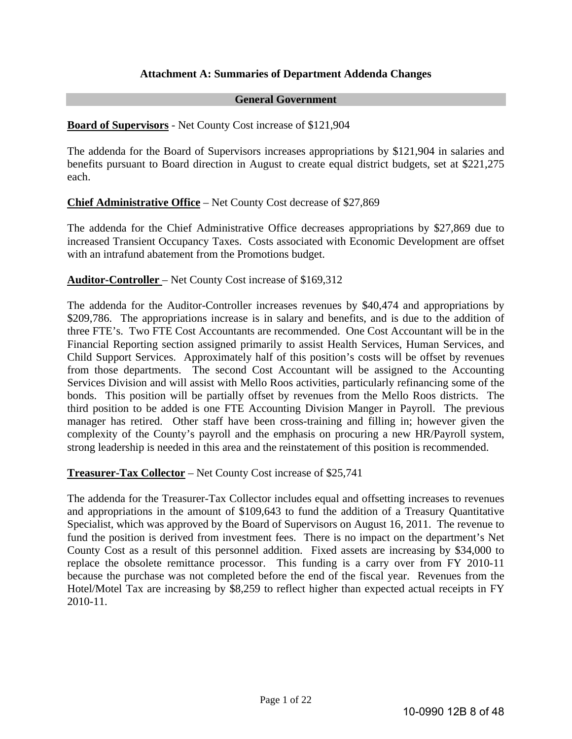#### **Attachment A: Summaries of Department Addenda Changes**

#### **General Government**

#### **Board of Supervisors** - Net County Cost increase of \$121,904

The addenda for the Board of Supervisors increases appropriations by \$121,904 in salaries and benefits pursuant to Board direction in August to create equal district budgets, set at \$221,275 each.

**Chief Administrative Office** – Net County Cost decrease of \$27,869

The addenda for the Chief Administrative Office decreases appropriations by \$27,869 due to increased Transient Occupancy Taxes. Costs associated with Economic Development are offset with an intrafund abatement from the Promotions budget.

#### **Auditor-Controller** – Net County Cost increase of \$169,312

The addenda for the Auditor-Controller increases revenues by \$40,474 and appropriations by \$209,786. The appropriations increase is in salary and benefits, and is due to the addition of three FTE's. Two FTE Cost Accountants are recommended. One Cost Accountant will be in the Financial Reporting section assigned primarily to assist Health Services, Human Services, and Child Support Services. Approximately half of this position's costs will be offset by revenues from those departments. The second Cost Accountant will be assigned to the Accounting Services Division and will assist with Mello Roos activities, particularly refinancing some of the bonds. This position will be partially offset by revenues from the Mello Roos districts. The third position to be added is one FTE Accounting Division Manger in Payroll. The previous manager has retired. Other staff have been cross-training and filling in; however given the complexity of the County's payroll and the emphasis on procuring a new HR/Payroll system, strong leadership is needed in this area and the reinstatement of this position is recommended.

**Treasurer-Tax Collector** – Net County Cost increase of \$25,741

The addenda for the Treasurer-Tax Collector includes equal and offsetting increases to revenues and appropriations in the amount of \$109,643 to fund the addition of a Treasury Quantitative Specialist, which was approved by the Board of Supervisors on August 16, 2011. The revenue to fund the position is derived from investment fees. There is no impact on the department's Net County Cost as a result of this personnel addition. Fixed assets are increasing by \$34,000 to replace the obsolete remittance processor. This funding is a carry over from FY 2010-11 because the purchase was not completed before the end of the fiscal year. Revenues from the Hotel/Motel Tax are increasing by \$8,259 to reflect higher than expected actual receipts in FY 2010-11.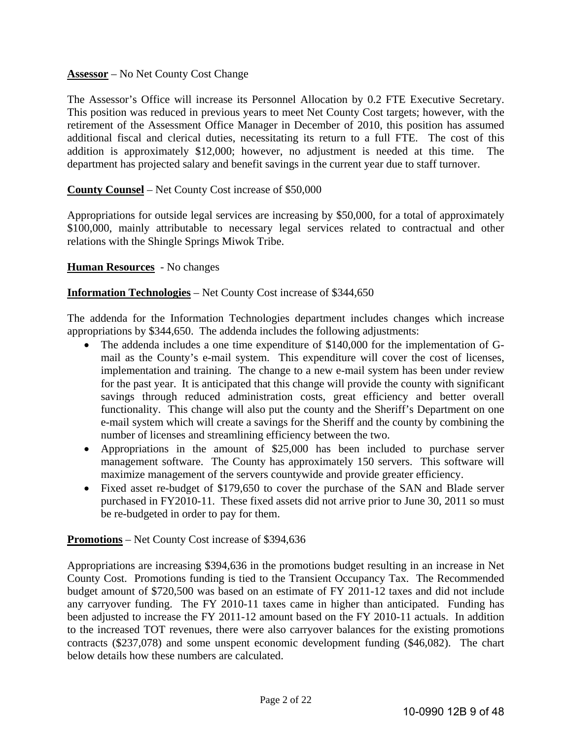#### **Assessor** – No Net County Cost Change

The Assessor's Office will increase its Personnel Allocation by 0.2 FTE Executive Secretary. This position was reduced in previous years to meet Net County Cost targets; however, with the retirement of the Assessment Office Manager in December of 2010, this position has assumed additional fiscal and clerical duties, necessitating its return to a full FTE. The cost of this addition is approximately \$12,000; however, no adjustment is needed at this time. The department has projected salary and benefit savings in the current year due to staff turnover.

#### **County Counsel** – Net County Cost increase of \$50,000

Appropriations for outside legal services are increasing by \$50,000, for a total of approximately \$100,000, mainly attributable to necessary legal services related to contractual and other relations with the Shingle Springs Miwok Tribe.

#### **Human Resources** - No changes

#### **Information Technologies** – Net County Cost increase of \$344,650

The addenda for the Information Technologies department includes changes which increase appropriations by \$344,650. The addenda includes the following adjustments:

- The addenda includes a one time expenditure of \$140,000 for the implementation of Gmail as the County's e-mail system. This expenditure will cover the cost of licenses, implementation and training. The change to a new e-mail system has been under review for the past year. It is anticipated that this change will provide the county with significant savings through reduced administration costs, great efficiency and better overall functionality. This change will also put the county and the Sheriff's Department on one e-mail system which will create a savings for the Sheriff and the county by combining the number of licenses and streamlining efficiency between the two.
- Appropriations in the amount of \$25,000 has been included to purchase server management software. The County has approximately 150 servers. This software will maximize management of the servers countywide and provide greater efficiency.
- Fixed asset re-budget of \$179,650 to cover the purchase of the SAN and Blade server purchased in FY2010-11. These fixed assets did not arrive prior to June 30, 2011 so must be re-budgeted in order to pay for them.

#### **Promotions** – Net County Cost increase of \$394,636

Appropriations are increasing \$394,636 in the promotions budget resulting in an increase in Net County Cost. Promotions funding is tied to the Transient Occupancy Tax. The Recommended budget amount of \$720,500 was based on an estimate of FY 2011-12 taxes and did not include any carryover funding. The FY 2010-11 taxes came in higher than anticipated. Funding has been adjusted to increase the FY 2011-12 amount based on the FY 2010-11 actuals. In addition to the increased TOT revenues, there were also carryover balances for the existing promotions contracts (\$237,078) and some unspent economic development funding (\$46,082). The chart below details how these numbers are calculated.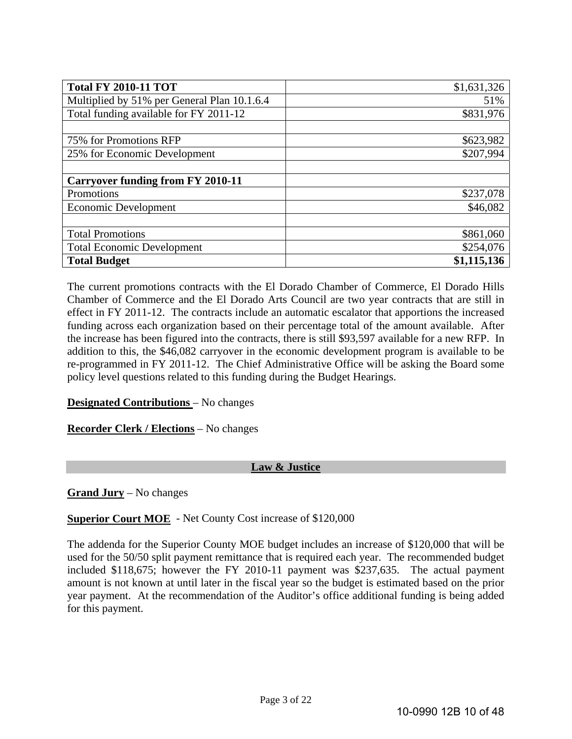| <b>Total FY 2010-11 TOT</b>                 | \$1,631,326 |
|---------------------------------------------|-------------|
| Multiplied by 51% per General Plan 10.1.6.4 | 51%         |
| Total funding available for FY 2011-12      | \$831,976   |
|                                             |             |
| 75% for Promotions RFP                      | \$623,982   |
| 25% for Economic Development                | \$207,994   |
|                                             |             |
| <b>Carryover funding from FY 2010-11</b>    |             |
| Promotions                                  | \$237,078   |
| <b>Economic Development</b>                 | \$46,082    |
|                                             |             |
| <b>Total Promotions</b>                     | \$861,060   |
| <b>Total Economic Development</b>           | \$254,076   |
| <b>Total Budget</b>                         | \$1,115,136 |

The current promotions contracts with the El Dorado Chamber of Commerce, El Dorado Hills Chamber of Commerce and the El Dorado Arts Council are two year contracts that are still in effect in FY 2011-12. The contracts include an automatic escalator that apportions the increased funding across each organization based on their percentage total of the amount available. After the increase has been figured into the contracts, there is still \$93,597 available for a new RFP. In addition to this, the \$46,082 carryover in the economic development program is available to be re-programmed in FY 2011-12. The Chief Administrative Office will be asking the Board some policy level questions related to this funding during the Budget Hearings.

# **Designated Contributions** – No changes

**Recorder Clerk / Elections** – No changes

#### **Law & Justice**

**Grand Jury** – No changes

#### **Superior Court MOE** - Net County Cost increase of \$120,000

The addenda for the Superior County MOE budget includes an increase of \$120,000 that will be used for the 50/50 split payment remittance that is required each year. The recommended budget included \$118,675; however the FY 2010-11 payment was \$237,635. The actual payment amount is not known at until later in the fiscal year so the budget is estimated based on the prior year payment. At the recommendation of the Auditor's office additional funding is being added for this payment.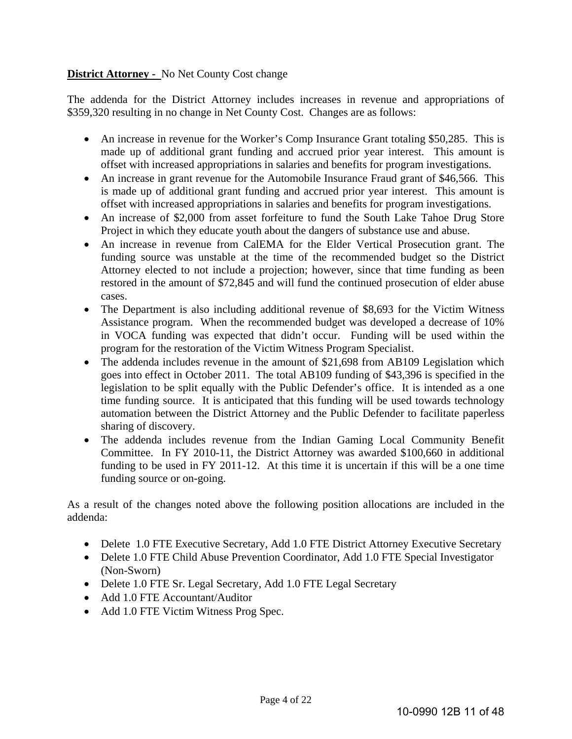# **District Attorney -** No Net County Cost change

The addenda for the District Attorney includes increases in revenue and appropriations of \$359,320 resulting in no change in Net County Cost. Changes are as follows:

- An increase in revenue for the Worker's Comp Insurance Grant totaling \$50,285. This is made up of additional grant funding and accrued prior year interest. This amount is offset with increased appropriations in salaries and benefits for program investigations.
- An increase in grant revenue for the Automobile Insurance Fraud grant of \$46,566. This is made up of additional grant funding and accrued prior year interest. This amount is offset with increased appropriations in salaries and benefits for program investigations.
- An increase of \$2,000 from asset forfeiture to fund the South Lake Tahoe Drug Store Project in which they educate youth about the dangers of substance use and abuse.
- An increase in revenue from CalEMA for the Elder Vertical Prosecution grant. The funding source was unstable at the time of the recommended budget so the District Attorney elected to not include a projection; however, since that time funding as been restored in the amount of \$72,845 and will fund the continued prosecution of elder abuse cases.
- The Department is also including additional revenue of \$8,693 for the Victim Witness Assistance program. When the recommended budget was developed a decrease of 10% in VOCA funding was expected that didn't occur. Funding will be used within the program for the restoration of the Victim Witness Program Specialist.
- The addenda includes revenue in the amount of \$21,698 from AB109 Legislation which goes into effect in October 2011. The total AB109 funding of \$43,396 is specified in the legislation to be split equally with the Public Defender's office. It is intended as a one time funding source. It is anticipated that this funding will be used towards technology automation between the District Attorney and the Public Defender to facilitate paperless sharing of discovery.
- The addenda includes revenue from the Indian Gaming Local Community Benefit Committee. In FY 2010-11, the District Attorney was awarded \$100,660 in additional funding to be used in FY 2011-12. At this time it is uncertain if this will be a one time funding source or on-going.

As a result of the changes noted above the following position allocations are included in the addenda:

- Delete 1.0 FTE Executive Secretary, Add 1.0 FTE District Attorney Executive Secretary
- Delete 1.0 FTE Child Abuse Prevention Coordinator, Add 1.0 FTE Special Investigator (Non-Sworn)
- Delete 1.0 FTE Sr. Legal Secretary, Add 1.0 FTE Legal Secretary
- Add 1.0 FTE Accountant/Auditor
- Add 1.0 FTE Victim Witness Prog Spec.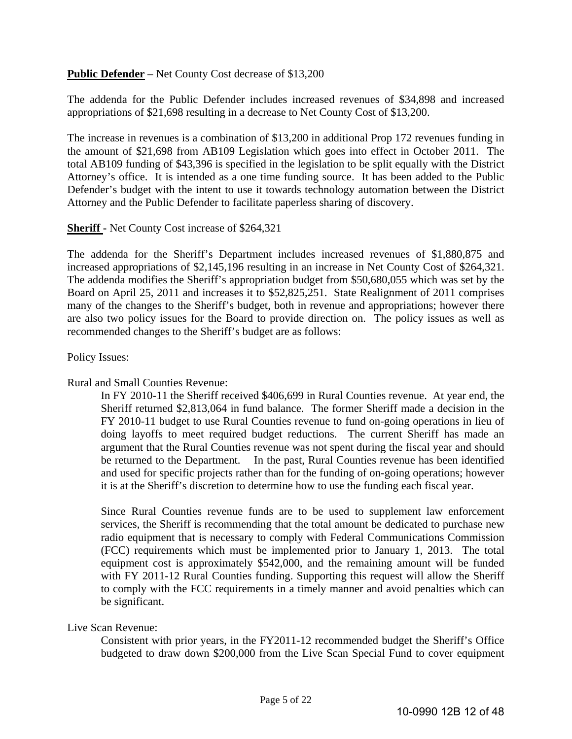#### **Public Defender** – Net County Cost decrease of \$13,200

The addenda for the Public Defender includes increased revenues of \$34,898 and increased appropriations of \$21,698 resulting in a decrease to Net County Cost of \$13,200.

The increase in revenues is a combination of \$13,200 in additional Prop 172 revenues funding in the amount of \$21,698 from AB109 Legislation which goes into effect in October 2011. The total AB109 funding of \$43,396 is specified in the legislation to be split equally with the District Attorney's office. It is intended as a one time funding source. It has been added to the Public Defender's budget with the intent to use it towards technology automation between the District Attorney and the Public Defender to facilitate paperless sharing of discovery.

#### **Sheriff -** Net County Cost increase of \$264,321

The addenda for the Sheriff's Department includes increased revenues of \$1,880,875 and increased appropriations of \$2,145,196 resulting in an increase in Net County Cost of \$264,321. The addenda modifies the Sheriff's appropriation budget from \$50,680,055 which was set by the Board on April 25, 2011 and increases it to \$52,825,251. State Realignment of 2011 comprises many of the changes to the Sheriff's budget, both in revenue and appropriations; however there are also two policy issues for the Board to provide direction on. The policy issues as well as recommended changes to the Sheriff's budget are as follows:

#### Policy Issues:

#### Rural and Small Counties Revenue:

In FY 2010-11 the Sheriff received \$406,699 in Rural Counties revenue. At year end, the Sheriff returned \$2,813,064 in fund balance. The former Sheriff made a decision in the FY 2010-11 budget to use Rural Counties revenue to fund on-going operations in lieu of doing layoffs to meet required budget reductions. The current Sheriff has made an argument that the Rural Counties revenue was not spent during the fiscal year and should be returned to the Department. In the past, Rural Counties revenue has been identified and used for specific projects rather than for the funding of on-going operations; however it is at the Sheriff's discretion to determine how to use the funding each fiscal year.

Since Rural Counties revenue funds are to be used to supplement law enforcement services, the Sheriff is recommending that the total amount be dedicated to purchase new radio equipment that is necessary to comply with Federal Communications Commission (FCC) requirements which must be implemented prior to January 1, 2013. The total equipment cost is approximately \$542,000, and the remaining amount will be funded with FY 2011-12 Rural Counties funding. Supporting this request will allow the Sheriff to comply with the FCC requirements in a timely manner and avoid penalties which can be significant.

#### Live Scan Revenue:

Consistent with prior years, in the FY2011-12 recommended budget the Sheriff's Office budgeted to draw down \$200,000 from the Live Scan Special Fund to cover equipment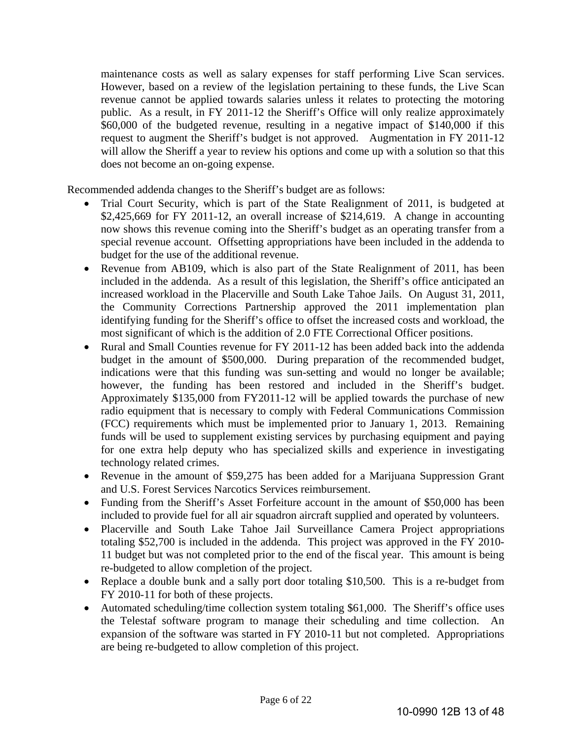maintenance costs as well as salary expenses for staff performing Live Scan services. However, based on a review of the legislation pertaining to these funds, the Live Scan revenue cannot be applied towards salaries unless it relates to protecting the motoring public. As a result, in FY 2011-12 the Sheriff's Office will only realize approximately \$60,000 of the budgeted revenue, resulting in a negative impact of \$140,000 if this request to augment the Sheriff's budget is not approved. Augmentation in FY 2011-12 will allow the Sheriff a year to review his options and come up with a solution so that this does not become an on-going expense.

Recommended addenda changes to the Sheriff's budget are as follows:

- Trial Court Security, which is part of the State Realignment of 2011, is budgeted at \$2,425,669 for FY 2011-12, an overall increase of \$214,619. A change in accounting now shows this revenue coming into the Sheriff's budget as an operating transfer from a special revenue account. Offsetting appropriations have been included in the addenda to budget for the use of the additional revenue.
- Revenue from AB109, which is also part of the State Realignment of 2011, has been included in the addenda. As a result of this legislation, the Sheriff's office anticipated an increased workload in the Placerville and South Lake Tahoe Jails. On August 31, 2011, the Community Corrections Partnership approved the 2011 implementation plan identifying funding for the Sheriff's office to offset the increased costs and workload, the most significant of which is the addition of 2.0 FTE Correctional Officer positions.
- Rural and Small Counties revenue for FY 2011-12 has been added back into the addenda budget in the amount of \$500,000. During preparation of the recommended budget, indications were that this funding was sun-setting and would no longer be available; however, the funding has been restored and included in the Sheriff's budget. Approximately \$135,000 from FY2011-12 will be applied towards the purchase of new radio equipment that is necessary to comply with Federal Communications Commission (FCC) requirements which must be implemented prior to January 1, 2013. Remaining funds will be used to supplement existing services by purchasing equipment and paying for one extra help deputy who has specialized skills and experience in investigating technology related crimes.
- Revenue in the amount of \$59,275 has been added for a Marijuana Suppression Grant and U.S. Forest Services Narcotics Services reimbursement.
- Funding from the Sheriff's Asset Forfeiture account in the amount of \$50,000 has been included to provide fuel for all air squadron aircraft supplied and operated by volunteers.
- Placerville and South Lake Tahoe Jail Surveillance Camera Project appropriations totaling \$52,700 is included in the addenda. This project was approved in the FY 2010- 11 budget but was not completed prior to the end of the fiscal year. This amount is being re-budgeted to allow completion of the project.
- Replace a double bunk and a sally port door totaling \$10,500. This is a re-budget from FY 2010-11 for both of these projects.
- Automated scheduling/time collection system totaling \$61,000. The Sheriff's office uses the Telestaf software program to manage their scheduling and time collection. An expansion of the software was started in FY 2010-11 but not completed. Appropriations are being re-budgeted to allow completion of this project.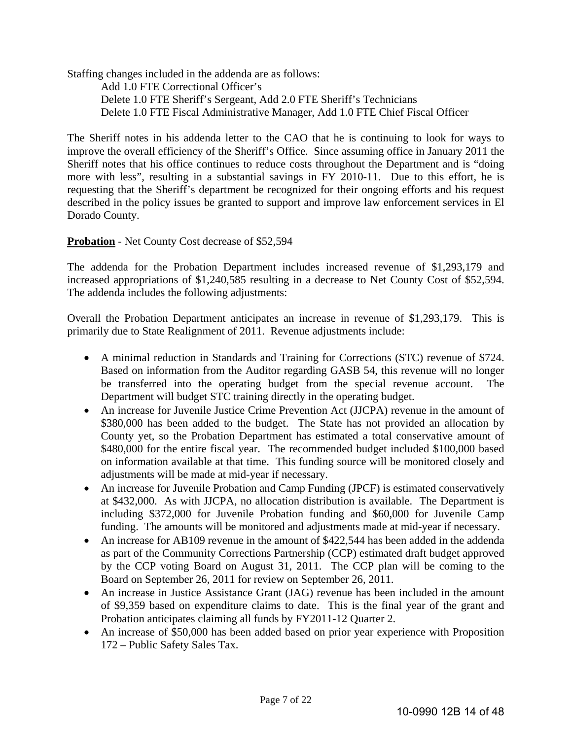Staffing changes included in the addenda are as follows:

 Add 1.0 FTE Correctional Officer's Delete 1.0 FTE Sheriff's Sergeant, Add 2.0 FTE Sheriff's Technicians Delete 1.0 FTE Fiscal Administrative Manager, Add 1.0 FTE Chief Fiscal Officer

The Sheriff notes in his addenda letter to the CAO that he is continuing to look for ways to improve the overall efficiency of the Sheriff's Office. Since assuming office in January 2011 the Sheriff notes that his office continues to reduce costs throughout the Department and is "doing more with less", resulting in a substantial savings in FY 2010-11. Due to this effort, he is requesting that the Sheriff's department be recognized for their ongoing efforts and his request described in the policy issues be granted to support and improve law enforcement services in El Dorado County.

#### **Probation** - Net County Cost decrease of \$52,594

The addenda for the Probation Department includes increased revenue of \$1,293,179 and increased appropriations of \$1,240,585 resulting in a decrease to Net County Cost of \$52,594. The addenda includes the following adjustments:

Overall the Probation Department anticipates an increase in revenue of \$1,293,179. This is primarily due to State Realignment of 2011. Revenue adjustments include:

- A minimal reduction in Standards and Training for Corrections (STC) revenue of \$724. Based on information from the Auditor regarding GASB 54, this revenue will no longer be transferred into the operating budget from the special revenue account. The Department will budget STC training directly in the operating budget.
- An increase for Juvenile Justice Crime Prevention Act (JJCPA) revenue in the amount of \$380,000 has been added to the budget. The State has not provided an allocation by County yet, so the Probation Department has estimated a total conservative amount of \$480,000 for the entire fiscal year. The recommended budget included \$100,000 based on information available at that time. This funding source will be monitored closely and adjustments will be made at mid-year if necessary.
- An increase for Juvenile Probation and Camp Funding (JPCF) is estimated conservatively at \$432,000. As with JJCPA, no allocation distribution is available. The Department is including \$372,000 for Juvenile Probation funding and \$60,000 for Juvenile Camp funding. The amounts will be monitored and adjustments made at mid-year if necessary.
- An increase for AB109 revenue in the amount of \$422,544 has been added in the addenda as part of the Community Corrections Partnership (CCP) estimated draft budget approved by the CCP voting Board on August 31, 2011. The CCP plan will be coming to the Board on September 26, 2011 for review on September 26, 2011.
- An increase in Justice Assistance Grant (JAG) revenue has been included in the amount of \$9,359 based on expenditure claims to date. This is the final year of the grant and Probation anticipates claiming all funds by FY2011-12 Quarter 2.
- An increase of \$50,000 has been added based on prior year experience with Proposition 172 – Public Safety Sales Tax.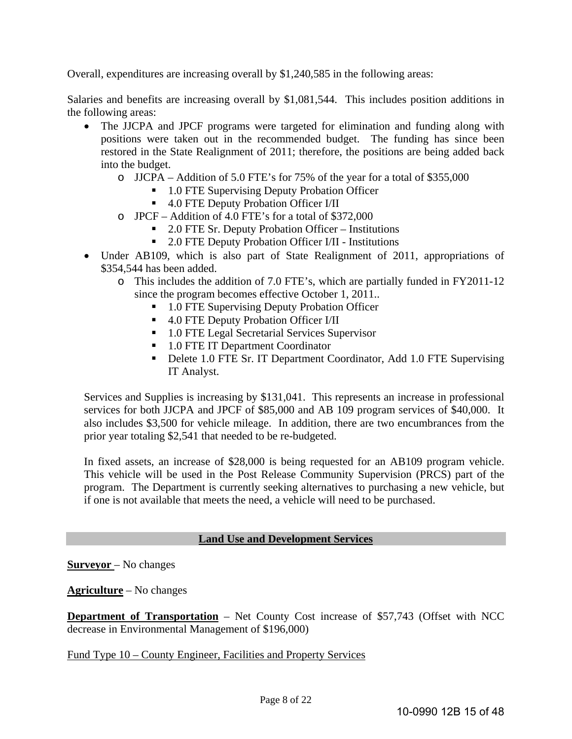Overall, expenditures are increasing overall by \$1,240,585 in the following areas:

Salaries and benefits are increasing overall by \$1,081,544. This includes position additions in the following areas:

- The JJCPA and JPCF programs were targeted for elimination and funding along with positions were taken out in the recommended budget. The funding has since been restored in the State Realignment of 2011; therefore, the positions are being added back into the budget.
	- o JJCPA Addition of 5.0 FTE's for 75% of the year for a total of \$355,000
		- 1.0 FTE Supervising Deputy Probation Officer
		- 4.0 FTE Deputy Probation Officer I/II
	- o JPCF Addition of 4.0 FTE's for a total of \$372,000
		- 2.0 FTE Sr. Deputy Probation Officer Institutions
		- 2.0 FTE Deputy Probation Officer I/II Institutions
- Under AB109, which is also part of State Realignment of 2011, appropriations of \$354,544 has been added.
	- o This includes the addition of 7.0 FTE's, which are partially funded in FY2011-12 since the program becomes effective October 1, 2011..
		- 1.0 FTE Supervising Deputy Probation Officer
		- 4.0 FTE Deputy Probation Officer I/II
		- 1.0 FTE Legal Secretarial Services Supervisor
		- 1.0 FTE IT Department Coordinator
		- Delete 1.0 FTE Sr. IT Department Coordinator, Add 1.0 FTE Supervising IT Analyst.

Services and Supplies is increasing by \$131,041. This represents an increase in professional services for both JJCPA and JPCF of \$85,000 and AB 109 program services of \$40,000. It also includes \$3,500 for vehicle mileage. In addition, there are two encumbrances from the prior year totaling \$2,541 that needed to be re-budgeted.

In fixed assets, an increase of \$28,000 is being requested for an AB109 program vehicle. This vehicle will be used in the Post Release Community Supervision (PRCS) part of the program. The Department is currently seeking alternatives to purchasing a new vehicle, but if one is not available that meets the need, a vehicle will need to be purchased.

#### **Land Use and Development Services**

**Surveyor** – No changes

#### **Agriculture** – No changes

**Department of Transportation** – Net County Cost increase of \$57,743 (Offset with NCC decrease in Environmental Management of \$196,000)

#### Fund Type 10 – County Engineer, Facilities and Property Services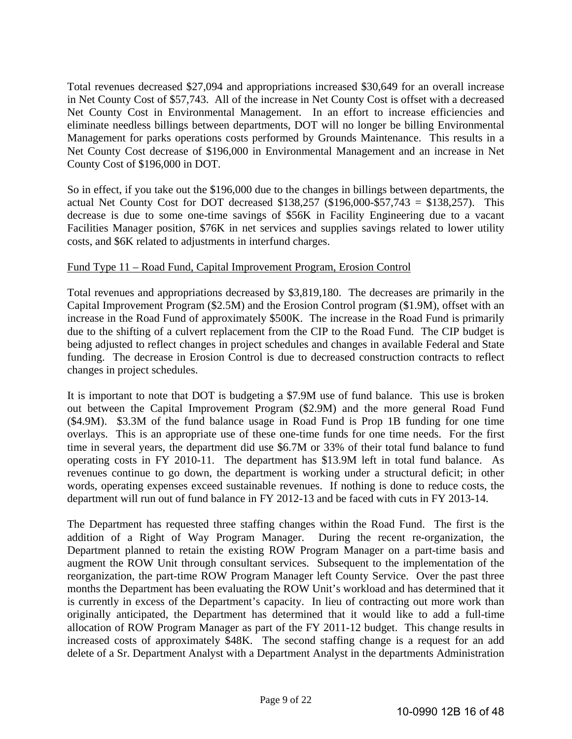Total revenues decreased \$27,094 and appropriations increased \$30,649 for an overall increase in Net County Cost of \$57,743. All of the increase in Net County Cost is offset with a decreased Net County Cost in Environmental Management. In an effort to increase efficiencies and eliminate needless billings between departments, DOT will no longer be billing Environmental Management for parks operations costs performed by Grounds Maintenance. This results in a Net County Cost decrease of \$196,000 in Environmental Management and an increase in Net County Cost of \$196,000 in DOT.

So in effect, if you take out the \$196,000 due to the changes in billings between departments, the actual Net County Cost for DOT decreased \$138,257 (\$196,000-\$57,743 = \$138,257). This decrease is due to some one-time savings of \$56K in Facility Engineering due to a vacant Facilities Manager position, \$76K in net services and supplies savings related to lower utility costs, and \$6K related to adjustments in interfund charges.

# Fund Type 11 – Road Fund, Capital Improvement Program, Erosion Control

Total revenues and appropriations decreased by \$3,819,180. The decreases are primarily in the Capital Improvement Program (\$2.5M) and the Erosion Control program (\$1.9M), offset with an increase in the Road Fund of approximately \$500K. The increase in the Road Fund is primarily due to the shifting of a culvert replacement from the CIP to the Road Fund. The CIP budget is being adjusted to reflect changes in project schedules and changes in available Federal and State funding. The decrease in Erosion Control is due to decreased construction contracts to reflect changes in project schedules.

It is important to note that DOT is budgeting a \$7.9M use of fund balance. This use is broken out between the Capital Improvement Program (\$2.9M) and the more general Road Fund (\$4.9M). \$3.3M of the fund balance usage in Road Fund is Prop 1B funding for one time overlays. This is an appropriate use of these one-time funds for one time needs. For the first time in several years, the department did use \$6.7M or 33% of their total fund balance to fund operating costs in FY 2010-11. The department has \$13.9M left in total fund balance. As revenues continue to go down, the department is working under a structural deficit; in other words, operating expenses exceed sustainable revenues. If nothing is done to reduce costs, the department will run out of fund balance in FY 2012-13 and be faced with cuts in FY 2013-14.

The Department has requested three staffing changes within the Road Fund. The first is the addition of a Right of Way Program Manager. During the recent re-organization, the Department planned to retain the existing ROW Program Manager on a part-time basis and augment the ROW Unit through consultant services. Subsequent to the implementation of the reorganization, the part-time ROW Program Manager left County Service. Over the past three months the Department has been evaluating the ROW Unit's workload and has determined that it is currently in excess of the Department's capacity. In lieu of contracting out more work than originally anticipated, the Department has determined that it would like to add a full-time allocation of ROW Program Manager as part of the FY 2011-12 budget. This change results in increased costs of approximately \$48K. The second staffing change is a request for an add delete of a Sr. Department Analyst with a Department Analyst in the departments Administration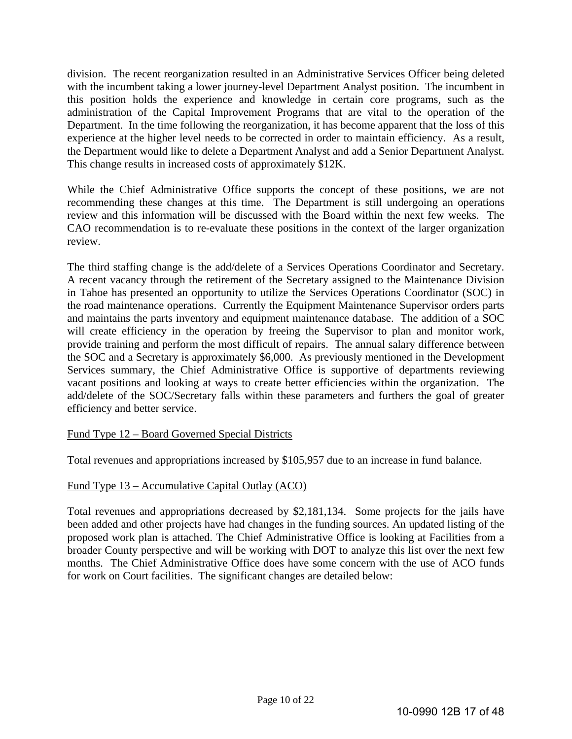division. The recent reorganization resulted in an Administrative Services Officer being deleted with the incumbent taking a lower journey-level Department Analyst position. The incumbent in this position holds the experience and knowledge in certain core programs, such as the administration of the Capital Improvement Programs that are vital to the operation of the Department. In the time following the reorganization, it has become apparent that the loss of this experience at the higher level needs to be corrected in order to maintain efficiency. As a result, the Department would like to delete a Department Analyst and add a Senior Department Analyst. This change results in increased costs of approximately \$12K.

While the Chief Administrative Office supports the concept of these positions, we are not recommending these changes at this time. The Department is still undergoing an operations review and this information will be discussed with the Board within the next few weeks. The CAO recommendation is to re-evaluate these positions in the context of the larger organization review.

The third staffing change is the add/delete of a Services Operations Coordinator and Secretary. A recent vacancy through the retirement of the Secretary assigned to the Maintenance Division in Tahoe has presented an opportunity to utilize the Services Operations Coordinator (SOC) in the road maintenance operations. Currently the Equipment Maintenance Supervisor orders parts and maintains the parts inventory and equipment maintenance database. The addition of a SOC will create efficiency in the operation by freeing the Supervisor to plan and monitor work, provide training and perform the most difficult of repairs. The annual salary difference between the SOC and a Secretary is approximately \$6,000. As previously mentioned in the Development Services summary, the Chief Administrative Office is supportive of departments reviewing vacant positions and looking at ways to create better efficiencies within the organization. The add/delete of the SOC/Secretary falls within these parameters and furthers the goal of greater efficiency and better service.

# Fund Type 12 – Board Governed Special Districts

Total revenues and appropriations increased by \$105,957 due to an increase in fund balance.

# Fund Type 13 – Accumulative Capital Outlay (ACO)

Total revenues and appropriations decreased by \$2,181,134. Some projects for the jails have been added and other projects have had changes in the funding sources. An updated listing of the proposed work plan is attached. The Chief Administrative Office is looking at Facilities from a broader County perspective and will be working with DOT to analyze this list over the next few months. The Chief Administrative Office does have some concern with the use of ACO funds for work on Court facilities. The significant changes are detailed below: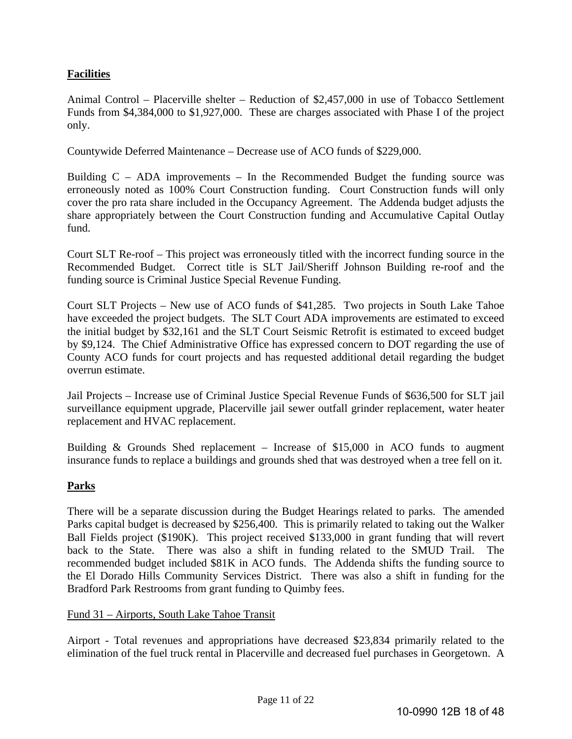# **Facilities**

Animal Control – Placerville shelter – Reduction of \$2,457,000 in use of Tobacco Settlement Funds from \$4,384,000 to \$1,927,000. These are charges associated with Phase I of the project only.

Countywide Deferred Maintenance – Decrease use of ACO funds of \$229,000.

Building  $C - ADA$  improvements – In the Recommended Budget the funding source was erroneously noted as 100% Court Construction funding. Court Construction funds will only cover the pro rata share included in the Occupancy Agreement. The Addenda budget adjusts the share appropriately between the Court Construction funding and Accumulative Capital Outlay fund.

Court SLT Re-roof – This project was erroneously titled with the incorrect funding source in the Recommended Budget. Correct title is SLT Jail/Sheriff Johnson Building re-roof and the funding source is Criminal Justice Special Revenue Funding.

Court SLT Projects – New use of ACO funds of \$41,285. Two projects in South Lake Tahoe have exceeded the project budgets. The SLT Court ADA improvements are estimated to exceed the initial budget by \$32,161 and the SLT Court Seismic Retrofit is estimated to exceed budget by \$9,124. The Chief Administrative Office has expressed concern to DOT regarding the use of County ACO funds for court projects and has requested additional detail regarding the budget overrun estimate.

Jail Projects – Increase use of Criminal Justice Special Revenue Funds of \$636,500 for SLT jail surveillance equipment upgrade, Placerville jail sewer outfall grinder replacement, water heater replacement and HVAC replacement.

Building & Grounds Shed replacement – Increase of \$15,000 in ACO funds to augment insurance funds to replace a buildings and grounds shed that was destroyed when a tree fell on it.

# **Parks**

There will be a separate discussion during the Budget Hearings related to parks. The amended Parks capital budget is decreased by \$256,400. This is primarily related to taking out the Walker Ball Fields project (\$190K). This project received \$133,000 in grant funding that will revert back to the State. There was also a shift in funding related to the SMUD Trail. The recommended budget included \$81K in ACO funds. The Addenda shifts the funding source to the El Dorado Hills Community Services District. There was also a shift in funding for the Bradford Park Restrooms from grant funding to Quimby fees.

#### Fund 31 – Airports, South Lake Tahoe Transit

Airport - Total revenues and appropriations have decreased \$23,834 primarily related to the elimination of the fuel truck rental in Placerville and decreased fuel purchases in Georgetown. A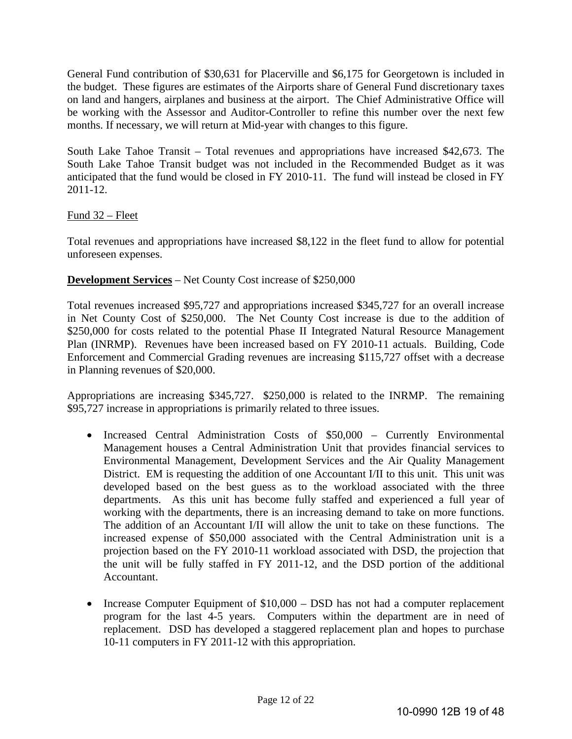General Fund contribution of \$30,631 for Placerville and \$6,175 for Georgetown is included in the budget. These figures are estimates of the Airports share of General Fund discretionary taxes on land and hangers, airplanes and business at the airport. The Chief Administrative Office will be working with the Assessor and Auditor-Controller to refine this number over the next few months. If necessary, we will return at Mid-year with changes to this figure.

South Lake Tahoe Transit – Total revenues and appropriations have increased \$42,673. The South Lake Tahoe Transit budget was not included in the Recommended Budget as it was anticipated that the fund would be closed in FY 2010-11. The fund will instead be closed in FY 2011-12.

#### Fund 32 – Fleet

Total revenues and appropriations have increased \$8,122 in the fleet fund to allow for potential unforeseen expenses.

#### **Development Services** – Net County Cost increase of \$250,000

Total revenues increased \$95,727 and appropriations increased \$345,727 for an overall increase in Net County Cost of \$250,000. The Net County Cost increase is due to the addition of \$250,000 for costs related to the potential Phase II Integrated Natural Resource Management Plan (INRMP). Revenues have been increased based on FY 2010-11 actuals. Building, Code Enforcement and Commercial Grading revenues are increasing \$115,727 offset with a decrease in Planning revenues of \$20,000.

Appropriations are increasing \$345,727. \$250,000 is related to the INRMP. The remaining \$95,727 increase in appropriations is primarily related to three issues.

- Increased Central Administration Costs of \$50,000 Currently Environmental Management houses a Central Administration Unit that provides financial services to Environmental Management, Development Services and the Air Quality Management District. EM is requesting the addition of one Accountant I/II to this unit. This unit was developed based on the best guess as to the workload associated with the three departments. As this unit has become fully staffed and experienced a full year of working with the departments, there is an increasing demand to take on more functions. The addition of an Accountant I/II will allow the unit to take on these functions. The increased expense of \$50,000 associated with the Central Administration unit is a projection based on the FY 2010-11 workload associated with DSD, the projection that the unit will be fully staffed in FY 2011-12, and the DSD portion of the additional Accountant.
- Increase Computer Equipment of  $$10,000 DSD$  has not had a computer replacement program for the last 4-5 years. Computers within the department are in need of replacement. DSD has developed a staggered replacement plan and hopes to purchase 10-11 computers in FY 2011-12 with this appropriation.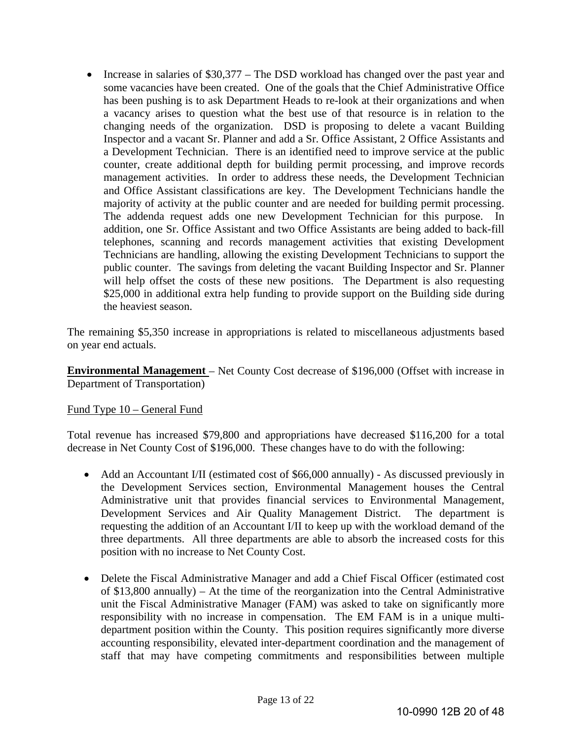• Increase in salaries of \$30,377 – The DSD workload has changed over the past year and some vacancies have been created. One of the goals that the Chief Administrative Office has been pushing is to ask Department Heads to re-look at their organizations and when a vacancy arises to question what the best use of that resource is in relation to the changing needs of the organization. DSD is proposing to delete a vacant Building Inspector and a vacant Sr. Planner and add a Sr. Office Assistant, 2 Office Assistants and a Development Technician. There is an identified need to improve service at the public counter, create additional depth for building permit processing, and improve records management activities. In order to address these needs, the Development Technician and Office Assistant classifications are key. The Development Technicians handle the majority of activity at the public counter and are needed for building permit processing. The addenda request adds one new Development Technician for this purpose. In addition, one Sr. Office Assistant and two Office Assistants are being added to back-fill telephones, scanning and records management activities that existing Development Technicians are handling, allowing the existing Development Technicians to support the public counter. The savings from deleting the vacant Building Inspector and Sr. Planner will help offset the costs of these new positions. The Department is also requesting \$25,000 in additional extra help funding to provide support on the Building side during the heaviest season.

The remaining \$5,350 increase in appropriations is related to miscellaneous adjustments based on year end actuals.

**Environmental Management** – Net County Cost decrease of \$196,000 (Offset with increase in Department of Transportation)

#### Fund Type 10 – General Fund

Total revenue has increased \$79,800 and appropriations have decreased \$116,200 for a total decrease in Net County Cost of \$196,000. These changes have to do with the following:

- Add an Accountant I/II (estimated cost of \$66,000 annually) As discussed previously in the Development Services section, Environmental Management houses the Central Administrative unit that provides financial services to Environmental Management, Development Services and Air Quality Management District. The department is requesting the addition of an Accountant I/II to keep up with the workload demand of the three departments. All three departments are able to absorb the increased costs for this position with no increase to Net County Cost.
- Delete the Fiscal Administrative Manager and add a Chief Fiscal Officer (estimated cost of \$13,800 annually) – At the time of the reorganization into the Central Administrative unit the Fiscal Administrative Manager (FAM) was asked to take on significantly more responsibility with no increase in compensation. The EM FAM is in a unique multidepartment position within the County. This position requires significantly more diverse accounting responsibility, elevated inter-department coordination and the management of staff that may have competing commitments and responsibilities between multiple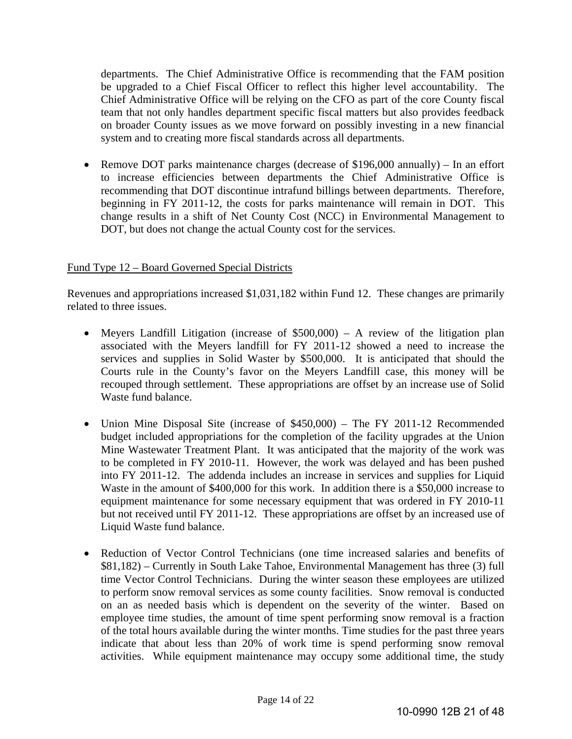departments. The Chief Administrative Office is recommending that the FAM position be upgraded to a Chief Fiscal Officer to reflect this higher level accountability. The Chief Administrative Office will be relying on the CFO as part of the core County fiscal team that not only handles department specific fiscal matters but also provides feedback on broader County issues as we move forward on possibly investing in a new financial system and to creating more fiscal standards across all departments.

 Remove DOT parks maintenance charges (decrease of \$196,000 annually) – In an effort to increase efficiencies between departments the Chief Administrative Office is recommending that DOT discontinue intrafund billings between departments. Therefore, beginning in FY 2011-12, the costs for parks maintenance will remain in DOT. This change results in a shift of Net County Cost (NCC) in Environmental Management to DOT, but does not change the actual County cost for the services.

#### Fund Type 12 – Board Governed Special Districts

Revenues and appropriations increased \$1,031,182 within Fund 12. These changes are primarily related to three issues.

- Meyers Landfill Litigation (increase of \$500,000) A review of the litigation plan associated with the Meyers landfill for FY 2011-12 showed a need to increase the services and supplies in Solid Waster by \$500,000. It is anticipated that should the Courts rule in the County's favor on the Meyers Landfill case, this money will be recouped through settlement. These appropriations are offset by an increase use of Solid Waste fund balance.
- Union Mine Disposal Site (increase of \$450,000) The FY 2011-12 Recommended budget included appropriations for the completion of the facility upgrades at the Union Mine Wastewater Treatment Plant. It was anticipated that the majority of the work was to be completed in FY 2010-11. However, the work was delayed and has been pushed into FY 2011-12. The addenda includes an increase in services and supplies for Liquid Waste in the amount of \$400,000 for this work. In addition there is a \$50,000 increase to equipment maintenance for some necessary equipment that was ordered in FY 2010-11 but not received until FY 2011-12. These appropriations are offset by an increased use of Liquid Waste fund balance.
- Reduction of Vector Control Technicians (one time increased salaries and benefits of \$81,182) – Currently in South Lake Tahoe, Environmental Management has three (3) full time Vector Control Technicians. During the winter season these employees are utilized to perform snow removal services as some county facilities. Snow removal is conducted on an as needed basis which is dependent on the severity of the winter. Based on employee time studies, the amount of time spent performing snow removal is a fraction of the total hours available during the winter months. Time studies for the past three years indicate that about less than 20% of work time is spend performing snow removal activities. While equipment maintenance may occupy some additional time, the study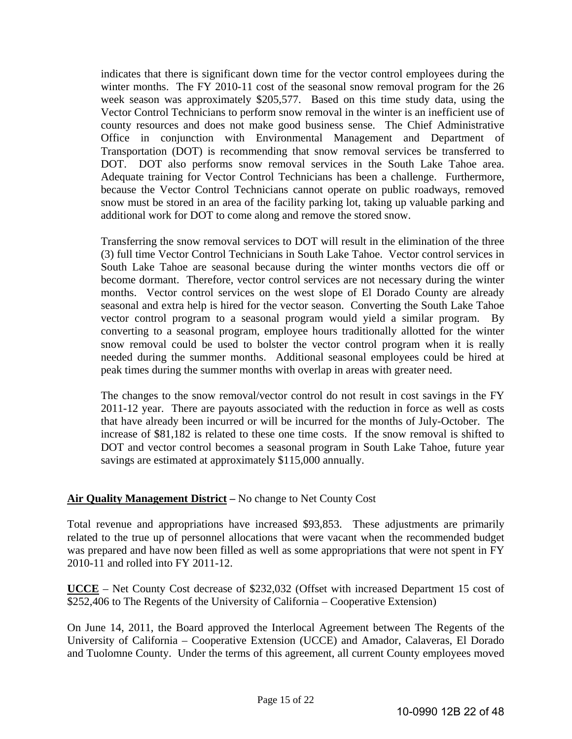indicates that there is significant down time for the vector control employees during the winter months. The FY 2010-11 cost of the seasonal snow removal program for the 26 week season was approximately \$205,577. Based on this time study data, using the Vector Control Technicians to perform snow removal in the winter is an inefficient use of county resources and does not make good business sense. The Chief Administrative Office in conjunction with Environmental Management and Department of Transportation (DOT) is recommending that snow removal services be transferred to DOT. DOT also performs snow removal services in the South Lake Tahoe area. Adequate training for Vector Control Technicians has been a challenge. Furthermore, because the Vector Control Technicians cannot operate on public roadways, removed snow must be stored in an area of the facility parking lot, taking up valuable parking and additional work for DOT to come along and remove the stored snow.

Transferring the snow removal services to DOT will result in the elimination of the three (3) full time Vector Control Technicians in South Lake Tahoe. Vector control services in South Lake Tahoe are seasonal because during the winter months vectors die off or become dormant. Therefore, vector control services are not necessary during the winter months. Vector control services on the west slope of El Dorado County are already seasonal and extra help is hired for the vector season. Converting the South Lake Tahoe vector control program to a seasonal program would yield a similar program. By converting to a seasonal program, employee hours traditionally allotted for the winter snow removal could be used to bolster the vector control program when it is really needed during the summer months. Additional seasonal employees could be hired at peak times during the summer months with overlap in areas with greater need.

The changes to the snow removal/vector control do not result in cost savings in the FY 2011-12 year. There are payouts associated with the reduction in force as well as costs that have already been incurred or will be incurred for the months of July-October. The increase of \$81,182 is related to these one time costs. If the snow removal is shifted to DOT and vector control becomes a seasonal program in South Lake Tahoe, future year savings are estimated at approximately \$115,000 annually.

# **Air Quality Management District –** No change to Net County Cost

Total revenue and appropriations have increased \$93,853. These adjustments are primarily related to the true up of personnel allocations that were vacant when the recommended budget was prepared and have now been filled as well as some appropriations that were not spent in FY 2010-11 and rolled into FY 2011-12.

**UCCE** – Net County Cost decrease of \$232,032 (Offset with increased Department 15 cost of \$252,406 to The Regents of the University of California – Cooperative Extension)

On June 14, 2011, the Board approved the Interlocal Agreement between The Regents of the University of California – Cooperative Extension (UCCE) and Amador, Calaveras, El Dorado and Tuolomne County. Under the terms of this agreement, all current County employees moved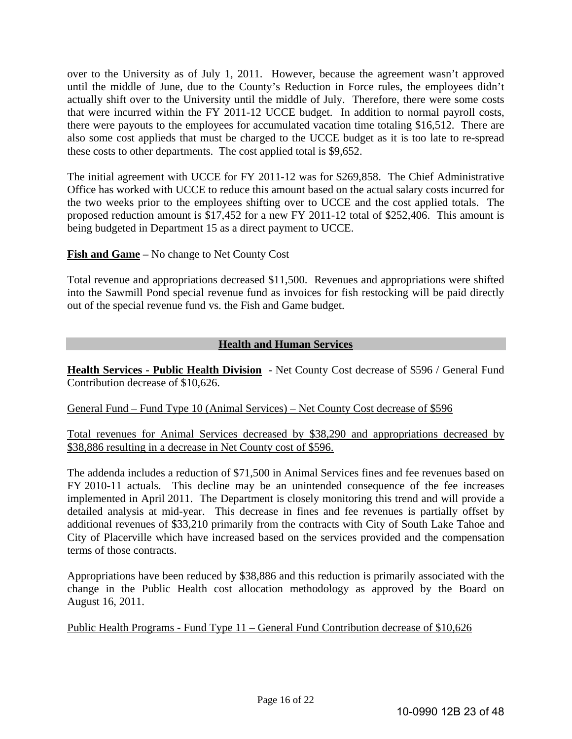over to the University as of July 1, 2011. However, because the agreement wasn't approved until the middle of June, due to the County's Reduction in Force rules, the employees didn't actually shift over to the University until the middle of July. Therefore, there were some costs that were incurred within the FY 2011-12 UCCE budget. In addition to normal payroll costs, there were payouts to the employees for accumulated vacation time totaling \$16,512. There are also some cost applieds that must be charged to the UCCE budget as it is too late to re-spread these costs to other departments. The cost applied total is \$9,652.

The initial agreement with UCCE for FY 2011-12 was for \$269,858. The Chief Administrative Office has worked with UCCE to reduce this amount based on the actual salary costs incurred for the two weeks prior to the employees shifting over to UCCE and the cost applied totals. The proposed reduction amount is \$17,452 for a new FY 2011-12 total of \$252,406. This amount is being budgeted in Department 15 as a direct payment to UCCE.

**Fish and Game –** No change to Net County Cost

Total revenue and appropriations decreased \$11,500. Revenues and appropriations were shifted into the Sawmill Pond special revenue fund as invoices for fish restocking will be paid directly out of the special revenue fund vs. the Fish and Game budget.

# **Health and Human Services**

**Health Services - Public Health Division** - Net County Cost decrease of \$596 / General Fund Contribution decrease of \$10,626.

General Fund – Fund Type 10 (Animal Services) – Net County Cost decrease of \$596

Total revenues for Animal Services decreased by \$38,290 and appropriations decreased by \$38,886 resulting in a decrease in Net County cost of \$596.

The addenda includes a reduction of \$71,500 in Animal Services fines and fee revenues based on FY 2010-11 actuals. This decline may be an unintended consequence of the fee increases implemented in April 2011. The Department is closely monitoring this trend and will provide a detailed analysis at mid-year. This decrease in fines and fee revenues is partially offset by additional revenues of \$33,210 primarily from the contracts with City of South Lake Tahoe and City of Placerville which have increased based on the services provided and the compensation terms of those contracts.

Appropriations have been reduced by \$38,886 and this reduction is primarily associated with the change in the Public Health cost allocation methodology as approved by the Board on August 16, 2011.

Public Health Programs - Fund Type 11 – General Fund Contribution decrease of \$10,626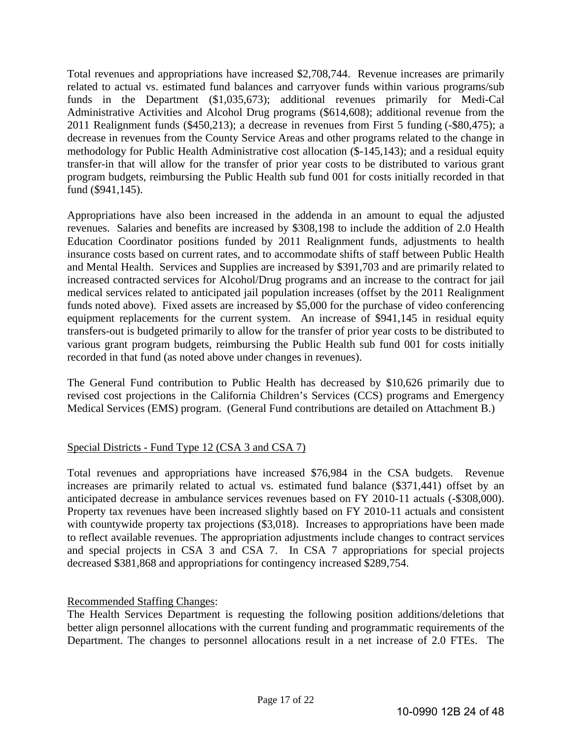Total revenues and appropriations have increased \$2,708,744. Revenue increases are primarily related to actual vs. estimated fund balances and carryover funds within various programs/sub funds in the Department (\$1,035,673); additional revenues primarily for Medi-Cal Administrative Activities and Alcohol Drug programs (\$614,608); additional revenue from the 2011 Realignment funds (\$450,213); a decrease in revenues from First 5 funding (-\$80,475); a decrease in revenues from the County Service Areas and other programs related to the change in methodology for Public Health Administrative cost allocation (\$-145,143); and a residual equity transfer-in that will allow for the transfer of prior year costs to be distributed to various grant program budgets, reimbursing the Public Health sub fund 001 for costs initially recorded in that fund (\$941,145).

Appropriations have also been increased in the addenda in an amount to equal the adjusted revenues. Salaries and benefits are increased by \$308,198 to include the addition of 2.0 Health Education Coordinator positions funded by 2011 Realignment funds, adjustments to health insurance costs based on current rates, and to accommodate shifts of staff between Public Health and Mental Health. Services and Supplies are increased by \$391,703 and are primarily related to increased contracted services for Alcohol/Drug programs and an increase to the contract for jail medical services related to anticipated jail population increases (offset by the 2011 Realignment funds noted above). Fixed assets are increased by \$5,000 for the purchase of video conferencing equipment replacements for the current system. An increase of \$941,145 in residual equity transfers-out is budgeted primarily to allow for the transfer of prior year costs to be distributed to various grant program budgets, reimbursing the Public Health sub fund 001 for costs initially recorded in that fund (as noted above under changes in revenues).

The General Fund contribution to Public Health has decreased by \$10,626 primarily due to revised cost projections in the California Children's Services (CCS) programs and Emergency Medical Services (EMS) program. (General Fund contributions are detailed on Attachment B.)

# Special Districts - Fund Type 12 (CSA 3 and CSA 7)

Total revenues and appropriations have increased \$76,984 in the CSA budgets. Revenue increases are primarily related to actual vs. estimated fund balance (\$371,441) offset by an anticipated decrease in ambulance services revenues based on FY 2010-11 actuals (-\$308,000). Property tax revenues have been increased slightly based on FY 2010-11 actuals and consistent with countywide property tax projections (\$3,018). Increases to appropriations have been made to reflect available revenues. The appropriation adjustments include changes to contract services and special projects in CSA 3 and CSA 7. In CSA 7 appropriations for special projects decreased \$381,868 and appropriations for contingency increased \$289,754.

#### Recommended Staffing Changes:

The Health Services Department is requesting the following position additions/deletions that better align personnel allocations with the current funding and programmatic requirements of the Department. The changes to personnel allocations result in a net increase of 2.0 FTEs. The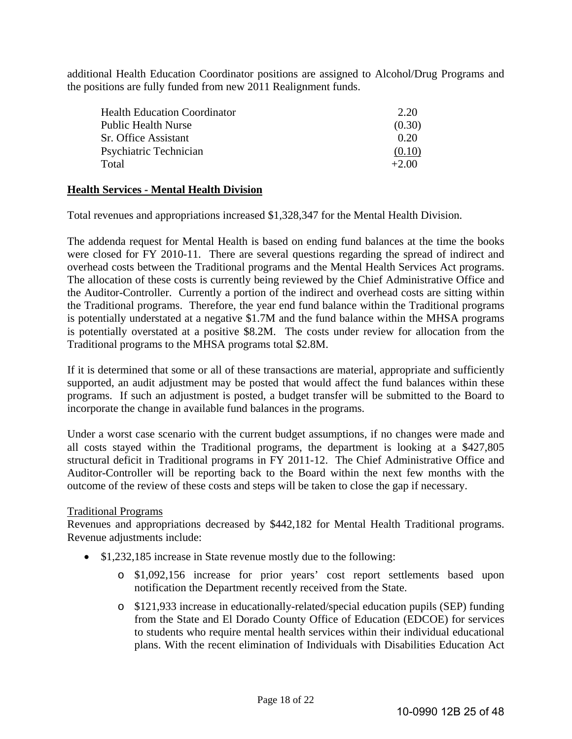additional Health Education Coordinator positions are assigned to Alcohol/Drug Programs and the positions are fully funded from new 2011 Realignment funds.

| <b>Health Education Coordinator</b> | 2.20    |
|-------------------------------------|---------|
| <b>Public Health Nurse</b>          | (0.30)  |
| Sr. Office Assistant                | 0.20    |
| Psychiatric Technician              | (0.10)  |
| Total                               | $+2.00$ |

#### **Health Services - Mental Health Division**

Total revenues and appropriations increased \$1,328,347 for the Mental Health Division.

The addenda request for Mental Health is based on ending fund balances at the time the books were closed for FY 2010-11. There are several questions regarding the spread of indirect and overhead costs between the Traditional programs and the Mental Health Services Act programs. The allocation of these costs is currently being reviewed by the Chief Administrative Office and the Auditor-Controller. Currently a portion of the indirect and overhead costs are sitting within the Traditional programs. Therefore, the year end fund balance within the Traditional programs is potentially understated at a negative \$1.7M and the fund balance within the MHSA programs is potentially overstated at a positive \$8.2M. The costs under review for allocation from the Traditional programs to the MHSA programs total \$2.8M.

If it is determined that some or all of these transactions are material, appropriate and sufficiently supported, an audit adjustment may be posted that would affect the fund balances within these programs. If such an adjustment is posted, a budget transfer will be submitted to the Board to incorporate the change in available fund balances in the programs.

Under a worst case scenario with the current budget assumptions, if no changes were made and all costs stayed within the Traditional programs, the department is looking at a \$427,805 structural deficit in Traditional programs in FY 2011-12. The Chief Administrative Office and Auditor-Controller will be reporting back to the Board within the next few months with the outcome of the review of these costs and steps will be taken to close the gap if necessary.

#### Traditional Programs

Revenues and appropriations decreased by \$442,182 for Mental Health Traditional programs. Revenue adjustments include:

- \$1,232,185 increase in State revenue mostly due to the following:
	- o \$1,092,156 increase for prior years' cost report settlements based upon notification the Department recently received from the State.
	- o \$121,933 increase in educationally-related/special education pupils (SEP) funding from the State and El Dorado County Office of Education (EDCOE) for services to students who require mental health services within their individual educational plans. With the recent elimination of Individuals with Disabilities Education Act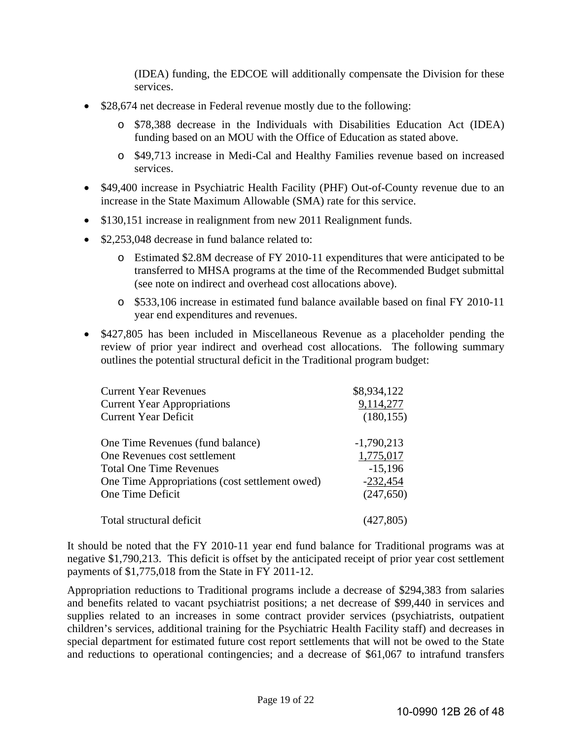(IDEA) funding, the EDCOE will additionally compensate the Division for these services.

- \$28,674 net decrease in Federal revenue mostly due to the following:
	- o \$78,388 decrease in the Individuals with Disabilities Education Act (IDEA) funding based on an MOU with the Office of Education as stated above.
	- o \$49,713 increase in Medi-Cal and Healthy Families revenue based on increased services.
- \$49,400 increase in Psychiatric Health Facility (PHF) Out-of-County revenue due to an increase in the State Maximum Allowable (SMA) rate for this service.
- \$130,151 increase in realignment from new 2011 Realignment funds.
- \$2,253,048 decrease in fund balance related to:
	- o Estimated \$2.8M decrease of FY 2010-11 expenditures that were anticipated to be transferred to MHSA programs at the time of the Recommended Budget submittal (see note on indirect and overhead cost allocations above).
	- o \$533,106 increase in estimated fund balance available based on final FY 2010-11 year end expenditures and revenues.
- \$427,805 has been included in Miscellaneous Revenue as a placeholder pending the review of prior year indirect and overhead cost allocations. The following summary outlines the potential structural deficit in the Traditional program budget:

| <b>Current Year Revenues</b>                   | \$8,934,122  |
|------------------------------------------------|--------------|
| <b>Current Year Appropriations</b>             | 9,114,277    |
| <b>Current Year Deficit</b>                    | (180, 155)   |
| One Time Revenues (fund balance)               | $-1,790,213$ |
| One Revenues cost settlement                   | 1,775,017    |
| <b>Total One Time Revenues</b>                 | $-15,196$    |
| One Time Appropriations (cost settlement owed) | $-232,454$   |
| One Time Deficit                               | (247, 650)   |
| Total structural deficit                       |              |

It should be noted that the FY 2010-11 year end fund balance for Traditional programs was at negative \$1,790,213. This deficit is offset by the anticipated receipt of prior year cost settlement payments of \$1,775,018 from the State in FY 2011-12.

Appropriation reductions to Traditional programs include a decrease of \$294,383 from salaries and benefits related to vacant psychiatrist positions; a net decrease of \$99,440 in services and supplies related to an increases in some contract provider services (psychiatrists, outpatient children's services, additional training for the Psychiatric Health Facility staff) and decreases in special department for estimated future cost report settlements that will not be owed to the State and reductions to operational contingencies; and a decrease of \$61,067 to intrafund transfers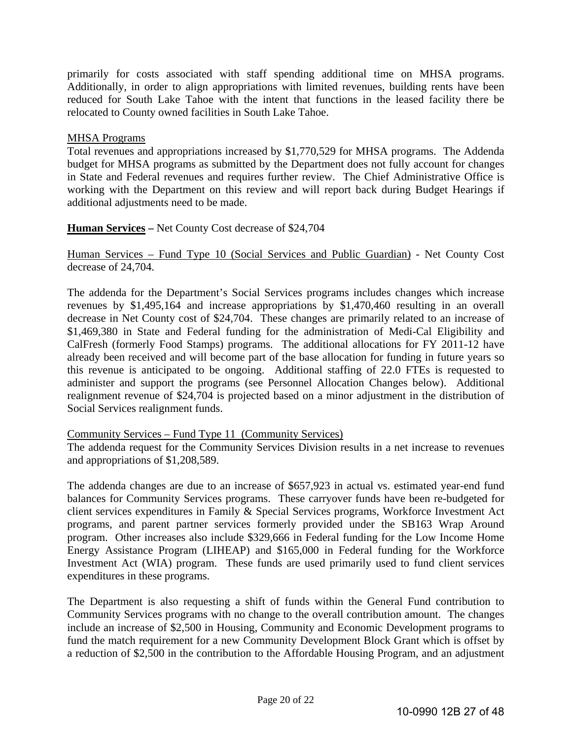primarily for costs associated with staff spending additional time on MHSA programs. Additionally, in order to align appropriations with limited revenues, building rents have been reduced for South Lake Tahoe with the intent that functions in the leased facility there be relocated to County owned facilities in South Lake Tahoe.

#### MHSA Programs

Total revenues and appropriations increased by \$1,770,529 for MHSA programs. The Addenda budget for MHSA programs as submitted by the Department does not fully account for changes in State and Federal revenues and requires further review. The Chief Administrative Office is working with the Department on this review and will report back during Budget Hearings if additional adjustments need to be made.

#### **Human Services –** Net County Cost decrease of \$24,704

Human Services – Fund Type 10 (Social Services and Public Guardian) - Net County Cost decrease of 24,704.

The addenda for the Department's Social Services programs includes changes which increase revenues by \$1,495,164 and increase appropriations by \$1,470,460 resulting in an overall decrease in Net County cost of \$24,704. These changes are primarily related to an increase of \$1,469,380 in State and Federal funding for the administration of Medi-Cal Eligibility and CalFresh (formerly Food Stamps) programs. The additional allocations for FY 2011-12 have already been received and will become part of the base allocation for funding in future years so this revenue is anticipated to be ongoing. Additional staffing of 22.0 FTEs is requested to administer and support the programs (see Personnel Allocation Changes below). Additional realignment revenue of \$24,704 is projected based on a minor adjustment in the distribution of Social Services realignment funds.

#### Community Services – Fund Type 11 (Community Services)

The addenda request for the Community Services Division results in a net increase to revenues and appropriations of \$1,208,589.

The addenda changes are due to an increase of \$657,923 in actual vs. estimated year-end fund balances for Community Services programs. These carryover funds have been re-budgeted for client services expenditures in Family & Special Services programs, Workforce Investment Act programs, and parent partner services formerly provided under the SB163 Wrap Around program. Other increases also include \$329,666 in Federal funding for the Low Income Home Energy Assistance Program (LIHEAP) and \$165,000 in Federal funding for the Workforce Investment Act (WIA) program. These funds are used primarily used to fund client services expenditures in these programs.

The Department is also requesting a shift of funds within the General Fund contribution to Community Services programs with no change to the overall contribution amount. The changes include an increase of \$2,500 in Housing, Community and Economic Development programs to fund the match requirement for a new Community Development Block Grant which is offset by a reduction of \$2,500 in the contribution to the Affordable Housing Program, and an adjustment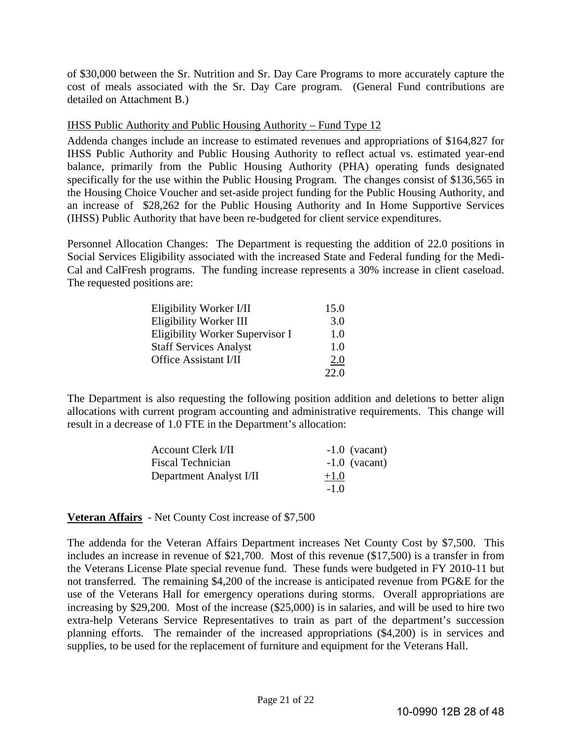of \$30,000 between the Sr. Nutrition and Sr. Day Care Programs to more accurately capture the cost of meals associated with the Sr. Day Care program. (General Fund contributions are detailed on Attachment B.)

#### IHSS Public Authority and Public Housing Authority – Fund Type 12

Addenda changes include an increase to estimated revenues and appropriations of \$164,827 for IHSS Public Authority and Public Housing Authority to reflect actual vs. estimated year-end balance, primarily from the Public Housing Authority (PHA) operating funds designated specifically for the use within the Public Housing Program. The changes consist of \$136,565 in the Housing Choice Voucher and set-aside project funding for the Public Housing Authority, and an increase of \$28,262 for the Public Housing Authority and In Home Supportive Services (IHSS) Public Authority that have been re-budgeted for client service expenditures.

Personnel Allocation Changes: The Department is requesting the addition of 22.0 positions in Social Services Eligibility associated with the increased State and Federal funding for the Medi-Cal and CalFresh programs. The funding increase represents a 30% increase in client caseload. The requested positions are:

| Eligibility Worker I/II         | 15.0       |
|---------------------------------|------------|
| Eligibility Worker III          | 3.0        |
| Eligibility Worker Supervisor I | 1.0        |
| <b>Staff Services Analyst</b>   | 1.0        |
| Office Assistant I/II           | <u>2.0</u> |
|                                 | 22 O       |

The Department is also requesting the following position addition and deletions to better align allocations with current program accounting and administrative requirements. This change will result in a decrease of 1.0 FTE in the Department's allocation:

| <b>Account Clerk I/II</b> | $-1.0$ (vacant) |
|---------------------------|-----------------|
| <b>Fiscal Technician</b>  | $-1.0$ (vacant) |
| Department Analyst I/II   | $+1.0$          |
|                           | $-1.0$          |

#### **Veteran Affairs** - Net County Cost increase of \$7,500

The addenda for the Veteran Affairs Department increases Net County Cost by \$7,500. This includes an increase in revenue of \$21,700. Most of this revenue (\$17,500) is a transfer in from the Veterans License Plate special revenue fund. These funds were budgeted in FY 2010-11 but not transferred. The remaining \$4,200 of the increase is anticipated revenue from PG&E for the use of the Veterans Hall for emergency operations during storms. Overall appropriations are increasing by \$29,200. Most of the increase (\$25,000) is in salaries, and will be used to hire two extra-help Veterans Service Representatives to train as part of the department's succession planning efforts. The remainder of the increased appropriations (\$4,200) is in services and supplies, to be used for the replacement of furniture and equipment for the Veterans Hall.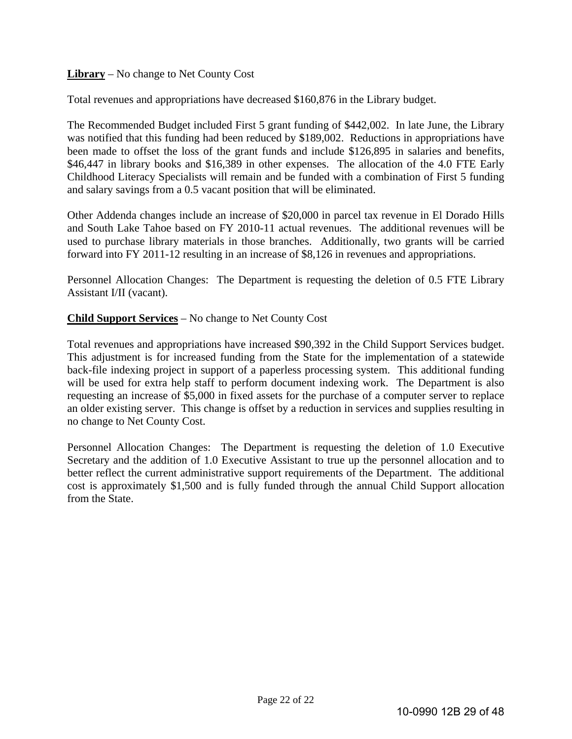# **Library** – No change to Net County Cost

Total revenues and appropriations have decreased \$160,876 in the Library budget.

The Recommended Budget included First 5 grant funding of \$442,002. In late June, the Library was notified that this funding had been reduced by \$189,002. Reductions in appropriations have been made to offset the loss of the grant funds and include \$126,895 in salaries and benefits, \$46,447 in library books and \$16,389 in other expenses. The allocation of the 4.0 FTE Early Childhood Literacy Specialists will remain and be funded with a combination of First 5 funding and salary savings from a 0.5 vacant position that will be eliminated.

Other Addenda changes include an increase of \$20,000 in parcel tax revenue in El Dorado Hills and South Lake Tahoe based on FY 2010-11 actual revenues. The additional revenues will be used to purchase library materials in those branches. Additionally, two grants will be carried forward into FY 2011-12 resulting in an increase of \$8,126 in revenues and appropriations.

Personnel Allocation Changes: The Department is requesting the deletion of 0.5 FTE Library Assistant I/II (vacant).

#### **Child Support Services** – No change to Net County Cost

Total revenues and appropriations have increased \$90,392 in the Child Support Services budget. This adjustment is for increased funding from the State for the implementation of a statewide back-file indexing project in support of a paperless processing system. This additional funding will be used for extra help staff to perform document indexing work. The Department is also requesting an increase of \$5,000 in fixed assets for the purchase of a computer server to replace an older existing server. This change is offset by a reduction in services and supplies resulting in no change to Net County Cost.

Personnel Allocation Changes: The Department is requesting the deletion of 1.0 Executive Secretary and the addition of 1.0 Executive Assistant to true up the personnel allocation and to better reflect the current administrative support requirements of the Department. The additional cost is approximately \$1,500 and is fully funded through the annual Child Support allocation from the State.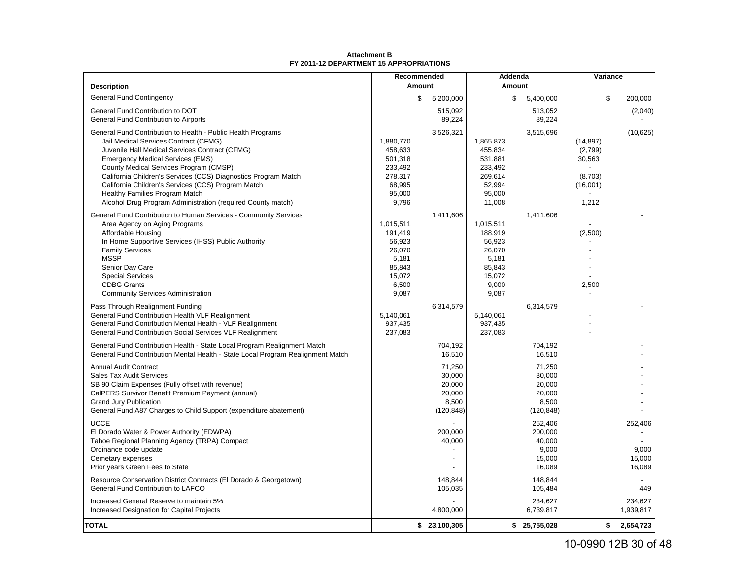|                                                                                                                                                                                                                                                                                                                                                                                                                                                                       | Recommended                                                                             |                                                             | Addenda                                                                                 |                                                             | Variance                                                       |                                      |
|-----------------------------------------------------------------------------------------------------------------------------------------------------------------------------------------------------------------------------------------------------------------------------------------------------------------------------------------------------------------------------------------------------------------------------------------------------------------------|-----------------------------------------------------------------------------------------|-------------------------------------------------------------|-----------------------------------------------------------------------------------------|-------------------------------------------------------------|----------------------------------------------------------------|--------------------------------------|
| <b>Description</b>                                                                                                                                                                                                                                                                                                                                                                                                                                                    | Amount                                                                                  |                                                             | Amount                                                                                  |                                                             |                                                                |                                      |
| <b>General Fund Contingency</b>                                                                                                                                                                                                                                                                                                                                                                                                                                       | \$                                                                                      | 5,200,000                                                   | \$                                                                                      | 5,400,000                                                   | \$                                                             | 200,000                              |
| General Fund Contribution to DOT<br>General Fund Contribution to Airports                                                                                                                                                                                                                                                                                                                                                                                             |                                                                                         | 515,092<br>89,224                                           |                                                                                         | 513,052<br>89,224                                           |                                                                | (2,040)                              |
| General Fund Contribution to Health - Public Health Programs<br>Jail Medical Services Contract (CFMG)<br>Juvenile Hall Medical Services Contract (CFMG)<br><b>Emergency Medical Services (EMS)</b><br>County Medical Services Program (CMSP)<br>California Children's Services (CCS) Diagnostics Program Match<br>California Children's Services (CCS) Program Match<br>Healthy Families Program Match<br>Alcohol Drug Program Administration (required County match) | 1,880,770<br>458,633<br>501,318<br>233,492<br>278,317<br>68,995<br>95,000<br>9,796      | 3,526,321                                                   | 1,865,873<br>455,834<br>531,881<br>233,492<br>269,614<br>52,994<br>95,000<br>11,008     | 3,515,696                                                   | (14, 897)<br>(2,799)<br>30,563<br>(8,703)<br>(16,001)<br>1,212 | (10, 625)                            |
| General Fund Contribution to Human Services - Community Services<br>Area Agency on Aging Programs<br>Affordable Housing<br>In Home Supportive Services (IHSS) Public Authority<br><b>Family Services</b><br><b>MSSP</b><br>Senior Day Care<br><b>Special Services</b><br><b>CDBG Grants</b><br><b>Community Services Administration</b>                                                                                                                               | 1,015,511<br>191,419<br>56,923<br>26,070<br>5,181<br>85,843<br>15,072<br>6,500<br>9,087 | 1,411,606                                                   | 1,015,511<br>188,919<br>56,923<br>26,070<br>5,181<br>85,843<br>15,072<br>9,000<br>9,087 | 1,411,606                                                   | (2,500)<br>2,500                                               |                                      |
| Pass Through Realignment Funding<br>General Fund Contribution Health VLF Realignment<br>General Fund Contribution Mental Health - VLF Realignment<br>General Fund Contribution Social Services VLF Realignment                                                                                                                                                                                                                                                        | 5,140,061<br>937,435<br>237,083                                                         | 6,314,579                                                   | 5,140,061<br>937,435<br>237,083                                                         | 6,314,579                                                   |                                                                |                                      |
| General Fund Contribution Health - State Local Program Realignment Match<br>General Fund Contribution Mental Health - State Local Program Realignment Match                                                                                                                                                                                                                                                                                                           |                                                                                         | 704,192<br>16,510                                           |                                                                                         | 704,192<br>16,510                                           |                                                                |                                      |
| <b>Annual Audit Contract</b><br>Sales Tax Audit Services<br>SB 90 Claim Expenses (Fully offset with revenue)<br>CalPERS Survivor Benefit Premium Payment (annual)<br><b>Grand Jury Publication</b><br>General Fund A87 Charges to Child Support (expenditure abatement)                                                                                                                                                                                               |                                                                                         | 71,250<br>30,000<br>20,000<br>20,000<br>8,500<br>(120, 848) |                                                                                         | 71,250<br>30,000<br>20,000<br>20,000<br>8,500<br>(120, 848) |                                                                |                                      |
| <b>UCCE</b><br>El Dorado Water & Power Authority (EDWPA)<br>Tahoe Regional Planning Agency (TRPA) Compact<br>Ordinance code update<br>Cemetary expenses<br>Prior years Green Fees to State                                                                                                                                                                                                                                                                            |                                                                                         | 200,000<br>40,000                                           |                                                                                         | 252,406<br>200,000<br>40,000<br>9,000<br>15,000<br>16,089   |                                                                | 252,406<br>9,000<br>15,000<br>16,089 |
| Resource Conservation District Contracts (El Dorado & Georgetown)<br>General Fund Contribution to LAFCO                                                                                                                                                                                                                                                                                                                                                               |                                                                                         | 148,844<br>105,035                                          |                                                                                         | 148,844<br>105,484                                          |                                                                | 449                                  |
| Increased General Reserve to maintain 5%<br>Increased Designation for Capital Projects                                                                                                                                                                                                                                                                                                                                                                                |                                                                                         | 4,800,000                                                   |                                                                                         | 234,627<br>6,739,817                                        |                                                                | 234,627<br>1,939,817                 |
| <b>TOTAL</b>                                                                                                                                                                                                                                                                                                                                                                                                                                                          | \$                                                                                      | 23,100,305                                                  |                                                                                         | \$25,755,028                                                | \$                                                             | 2,654,723                            |

#### **Attachment BFY 2011-12 DEPARTMENT 15 APPROPRIATIONS**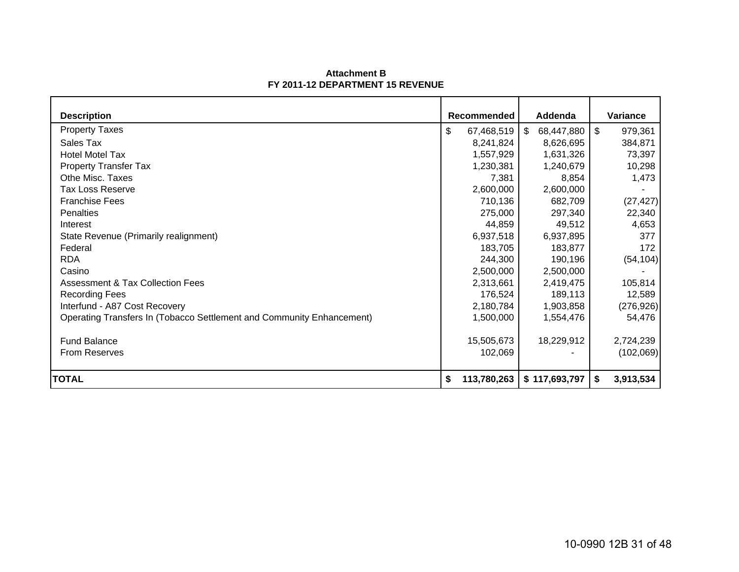#### **Attachment BFY 2011-12 DEPARTMENT 15 REVENUE**

| <b>Description</b>                                                    | <b>Recommended</b> |    | Addenda       |    | Variance   |
|-----------------------------------------------------------------------|--------------------|----|---------------|----|------------|
| <b>Property Taxes</b>                                                 | \$<br>67,468,519   | S. | 68,447,880    | \$ | 979,361    |
| Sales Tax                                                             | 8,241,824          |    | 8,626,695     |    | 384,871    |
| <b>Hotel Motel Tax</b>                                                | 1,557,929          |    | 1,631,326     |    | 73,397     |
| <b>Property Transfer Tax</b>                                          | 1,230,381          |    | 1,240,679     |    | 10,298     |
| Othe Misc. Taxes                                                      | 7,381              |    | 8,854         |    | 1,473      |
| <b>Tax Loss Reserve</b>                                               | 2,600,000          |    | 2,600,000     |    |            |
| <b>Franchise Fees</b>                                                 | 710,136            |    | 682,709       |    | (27, 427)  |
| <b>Penalties</b>                                                      | 275,000            |    | 297,340       |    | 22,340     |
| Interest                                                              | 44,859             |    | 49,512        |    | 4,653      |
| State Revenue (Primarily realignment)                                 | 6,937,518          |    | 6,937,895     |    | 377        |
| Federal                                                               | 183,705            |    | 183,877       |    | 172        |
| <b>RDA</b>                                                            | 244,300            |    | 190,196       |    | (54, 104)  |
| Casino                                                                | 2,500,000          |    | 2,500,000     |    |            |
| <b>Assessment &amp; Tax Collection Fees</b>                           | 2,313,661          |    | 2,419,475     |    | 105,814    |
| <b>Recording Fees</b>                                                 | 176,524            |    | 189,113       |    | 12,589     |
| Interfund - A87 Cost Recovery                                         | 2,180,784          |    | 1,903,858     |    | (276, 926) |
| Operating Transfers In (Tobacco Settlement and Community Enhancement) | 1,500,000          |    | 1,554,476     |    | 54,476     |
| <b>Fund Balance</b>                                                   | 15,505,673         |    | 18,229,912    |    | 2,724,239  |
| From Reserves                                                         | 102,069            |    |               |    | (102,069)  |
| <b>TOTAL</b>                                                          | \$<br>113,780,263  |    | \$117,693,797 | S. | 3,913,534  |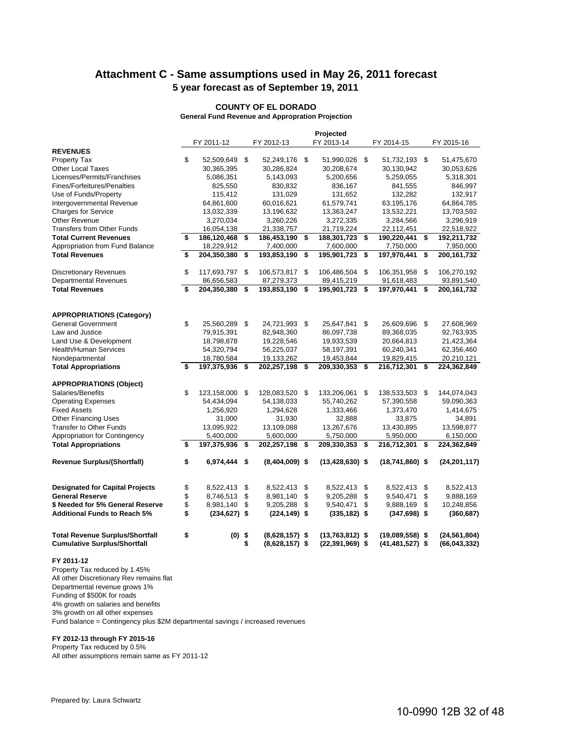# **Attachment C - Same assumptions used in May 26, 2011 forecast 5 year forecast as of September 19, 2011**

#### **COUNTY OF EL DORADO**

**General Fund Revenue and Appropration Projection**

|                                                                               |          |                              |          |                                      |          | Projected                                |                                        |          |                                  |
|-------------------------------------------------------------------------------|----------|------------------------------|----------|--------------------------------------|----------|------------------------------------------|----------------------------------------|----------|----------------------------------|
|                                                                               |          | FY 2011-12                   |          | FY 2012-13                           |          | FY 2013-14                               | FY 2014-15                             |          | FY 2015-16                       |
| <b>REVENUES</b>                                                               |          |                              |          |                                      |          |                                          |                                        |          |                                  |
| <b>Property Tax</b>                                                           | \$       | 52,509,649                   | \$       | 52,249,176 \$                        |          | 51,990,026 \$                            | 51,732,193 \$                          |          | 51,475,670                       |
| <b>Other Local Taxes</b>                                                      |          | 30,365,395                   |          | 30,286,824                           |          | 30,208,674                               | 30,130,942                             |          | 30,053,626                       |
| Licenses/Permits/Franchises                                                   |          | 5,086,351                    |          | 5,143,093                            |          | 5,200,656                                | 5,259,055                              |          | 5,318,301                        |
| Fines/Forfeitures/Penalties                                                   |          | 825,550                      |          | 830,832                              |          | 836,167                                  | 841,555                                |          | 846,997                          |
| Use of Funds/Property                                                         |          | 115,412                      |          | 131,029                              |          | 131,652                                  | 132,282                                |          | 132,917                          |
| Intergovernmental Revenue                                                     |          | 64,861,600                   |          | 60,016,621                           |          | 61,579,741                               | 63,195,176                             |          | 64,864,785                       |
| <b>Charges for Service</b>                                                    |          | 13,032,339                   |          | 13,196,632                           |          | 13,363,247                               | 13,532,221                             |          | 13,703,592                       |
| <b>Other Revenue</b>                                                          |          | 3,270,034                    |          | 3,260,226                            |          | 3,272,335                                | 3,284,566                              |          | 3,296,919                        |
| <b>Transfers from Other Funds</b>                                             |          | 16,054,138                   |          | 21,338,757                           |          | 21,719,224                               | 22,112,451                             |          | 22,518,922                       |
| <b>Total Current Revenues</b>                                                 | \$       | 186,120,468                  | \$       | 186,453,190                          | \$       | 188,301,723                              | \$<br>190,220,441                      | \$       | 192,211,732                      |
| Appropriation from Fund Balance                                               |          | 18,229,912                   |          | 7,400,000                            |          | 7,600,000                                | 7,750,000                              |          | 7,950,000                        |
| <b>Total Revenues</b>                                                         | \$       | 204,350,380                  | \$       | 193,853,190                          | \$       | 195,901,723                              | \$<br>197,970,441                      | \$       | 200,161,732                      |
| <b>Discretionary Revenues</b>                                                 | \$       | 117,693,797 \$               |          | 106,573,817 \$                       |          | 106,486,504 \$                           | 106,351,958                            | \$       | 106,270,192                      |
| <b>Departmental Revenues</b>                                                  |          | 86,656,583                   |          | 87,279,373                           |          | 89,415,219                               | 91,618,483                             |          | 93,891,540                       |
| <b>Total Revenues</b>                                                         | \$       | 204,350,380                  | \$       | 193,853,190                          | -\$      | 195,901,723                              | \$<br>197,970,441                      | \$       | 200,161,732                      |
|                                                                               |          |                              |          |                                      |          |                                          |                                        |          |                                  |
| <b>APPROPRIATIONS (Category)</b>                                              |          |                              |          |                                      |          |                                          |                                        |          |                                  |
| <b>General Government</b>                                                     | \$       | 25,560,289 \$                |          | 24,721,993 \$                        |          | 25,647,841                               | \$<br>26,609,696                       | \$       | 27,608,969                       |
| Law and Justice                                                               |          | 79.915.391                   |          | 82,948,360                           |          | 86.097.738                               | 89,368,035                             |          | 92,763,935                       |
| Land Use & Development                                                        |          | 18,798,878                   |          | 19,228,546                           |          | 19,933,539                               | 20,664,813                             |          | 21,423,364                       |
| <b>Health/Human Services</b>                                                  |          | 54,320,794                   |          | 56,225,037                           |          | 58,197,391                               | 60,240,341                             |          | 62,356,460                       |
| Nondepartmental                                                               |          | 18,780,584                   |          | 19,133,262                           |          | 19,453,844                               | 19,829,415                             |          | 20,210,121                       |
| <b>Total Appropriations</b>                                                   | \$       | 197,375,936                  | \$       | 202,257,198                          | \$       | 209,330,353                              | \$<br>216,712,301                      | \$       | 224,362,849                      |
| <b>APPROPRIATIONS (Object)</b>                                                |          |                              |          |                                      |          |                                          |                                        |          |                                  |
| Salaries/Benefits                                                             | \$       | 123,158,000                  | \$       | 128,083,520 \$                       |          | 133,206,061                              | \$<br>138,533,503                      | S        | 144,074,043                      |
| <b>Operating Expenses</b>                                                     |          | 54,434,094                   |          | 54,138,033                           |          | 55,740,262                               | 57,390,558                             |          | 59,090,363                       |
| <b>Fixed Assets</b>                                                           |          | 1,256,920                    |          | 1,294,628                            |          | 1,333,466                                | 1,373,470                              |          | 1,414,675                        |
| <b>Other Financing Uses</b>                                                   |          | 31,000                       |          | 31,930                               |          | 32,888                                   | 33,875                                 |          | 34,891                           |
| <b>Transfer to Other Funds</b>                                                |          | 13,095,922                   |          | 13,109,088                           |          | 13,267,676                               | 13,430,895                             |          | 13,598,877                       |
| Appropriation for Contingency                                                 |          | 5,400,000                    |          | 5,600,000                            |          | 5,750,000                                | 5,950,000                              |          | 6,150,000                        |
| <b>Total Appropriations</b>                                                   | \$       | 197,375,936                  | \$       | 202,257,198 \$                       |          | 209,330,353                              | \$<br>216,712,301                      | \$       | 224,362,849                      |
| <b>Revenue Surplus/(Shortfall)</b>                                            | \$       | 6,974,444 \$                 |          | $(8,404,009)$ \$                     |          | $(13, 428, 630)$ \$                      | $(18,741,860)$ \$                      |          | (24, 201, 117)                   |
|                                                                               |          |                              |          |                                      |          |                                          |                                        |          |                                  |
| <b>Designated for Capital Projects</b>                                        | \$       | 8,522,413                    | \$       | 8,522,413                            | \$       | 8,522,413                                | \$<br>8,522,413                        | \$       | 8,522,413                        |
| <b>General Reserve</b>                                                        | \$       | 8,746,513                    | \$<br>\$ | 8,981,140                            | \$<br>\$ | 9,205,288                                | \$<br>9,540,471                        | \$<br>\$ | 9,888,169                        |
| \$ Needed for 5% General Reserve<br><b>Additional Funds to Reach 5%</b>       | \$<br>\$ | 8,981,140<br>$(234, 627)$ \$ |          | 9,205,288<br>$(224, 149)$ \$         |          | 9,540,471<br>$(335, 182)$ \$             | \$<br>9,888,169<br>$(347, 698)$ \$     |          | 10,248,856<br>(360, 687)         |
|                                                                               |          |                              |          |                                      |          |                                          |                                        |          |                                  |
| <b>Total Revenue Surplus/Shortfall</b><br><b>Cumulative Surplus/Shortfall</b> | \$       | $(0)$ \$                     | \$       | $(8,628,157)$ \$<br>$(8,628,157)$ \$ |          | $(13,763,812)$ \$<br>$(22, 391, 969)$ \$ | (19,089,558) \$<br>$(41, 481, 527)$ \$ |          | (24, 561, 804)<br>(66, 043, 332) |
|                                                                               |          |                              |          |                                      |          |                                          |                                        |          |                                  |

#### **FY 2011-12**

Property Tax reduced by 1.45% All other Discretionary Rev remains flat Departmental revenue grows 1%

Funding of \$500K for roads

4% growth on salaries and benefits

3% growth on all other expenses

Fund balance = Contingency plus \$2M departmental savings / increased revenues

#### **FY 2012-13 through FY 2015-16**

Property Tax reduced by 0.5%

All other assumptions remain same as FY 2011-12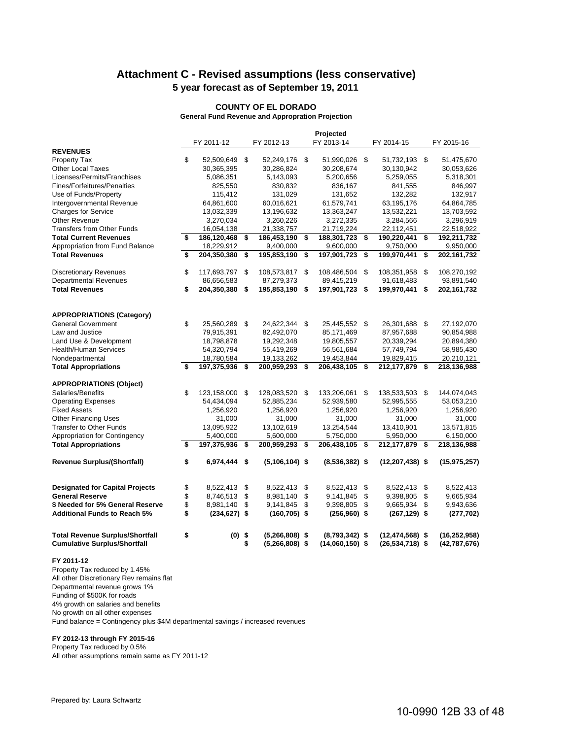# **Attachment C - Revised assumptions (less conservative) 5 year forecast as of September 19, 2011**

#### **COUNTY OF EL DORADO**

**General Fund Revenue and Appropration Projection**

|                                        |                       |                        |     | Projected         |                     |                     |
|----------------------------------------|-----------------------|------------------------|-----|-------------------|---------------------|---------------------|
|                                        | FY 2011-12            | FY 2012-13             |     | FY 2013-14        | FY 2014-15          | FY 2015-16          |
| <b>REVENUES</b>                        |                       |                        |     |                   |                     |                     |
| <b>Property Tax</b>                    | \$<br>52,509,649 \$   | 52,249,176 \$          |     | 51,990,026 \$     | 51,732,193 \$       | 51,475,670          |
| <b>Other Local Taxes</b>               | 30,365,395            | 30,286,824             |     | 30,208,674        | 30,130,942          | 30,053,626          |
| Licenses/Permits/Franchises            | 5,086,351             | 5,143,093              |     | 5,200,656         | 5,259,055           | 5,318,301           |
| Fines/Forfeitures/Penalties            | 825,550               | 830,832                |     | 836,167           | 841,555             | 846,997             |
| Use of Funds/Property                  | 115,412               | 131,029                |     | 131,652           | 132,282             | 132,917             |
| Intergovernmental Revenue              | 64,861,600            | 60,016,621             |     | 61,579,741        | 63,195,176          | 64,864,785          |
| <b>Charges for Service</b>             | 13,032,339            | 13,196,632             |     | 13,363,247        | 13,532,221          | 13,703,592          |
| Other Revenue                          | 3,270,034             | 3,260,226              |     | 3,272,335         | 3,284,566           | 3,296,919           |
| <b>Transfers from Other Funds</b>      | 16,054,138            | 21,338,757             |     | 21,719,224        | 22,112,451          | 22,518,922          |
| <b>Total Current Revenues</b>          | \$<br>186,120,468     | \$<br>186,453,190      | -\$ | 188,301,723       | \$<br>190,220,441   | \$<br>192,211,732   |
| Appropriation from Fund Balance        | 18,229,912            | 9,400,000              |     | 9,600,000         | 9,750,000           | 9,950,000           |
| <b>Total Revenues</b>                  | \$<br>204,350,380     | \$<br>195,853,190      | \$  | 197,901,723       | \$<br>199,970,441   | \$<br>202, 161, 732 |
| <b>Discretionary Revenues</b>          | \$<br>117,693,797     | \$<br>108,573,817 \$   |     | 108,486,504 \$    | 108,351,958         | \$<br>108,270,192   |
| <b>Departmental Revenues</b>           | 86,656,583            | 87,279,373             |     | 89,415,219        | 91,618,483          | 93,891,540          |
| <b>Total Revenues</b>                  | \$<br>204,350,380     | \$<br>195,853,190      | \$  | 197,901,723       | \$<br>199,970,441   | \$<br>202,161,732   |
|                                        |                       |                        |     |                   |                     |                     |
| <b>APPROPRIATIONS (Category)</b>       |                       |                        |     |                   |                     |                     |
| <b>General Government</b>              | \$<br>25,560,289 \$   | 24,622,344 \$          |     | 25,445,552 \$     | 26,301,688          | \$<br>27,192,070    |
| Law and Justice                        | 79,915,391            | 82,492,070             |     | 85,171,469        | 87,957,688          | 90,854,988          |
| Land Use & Development                 | 18,798,878            | 19,292,348             |     | 19,805,557        | 20,339,294          | 20,894,380          |
| <b>Health/Human Services</b>           | 54,320,794            | 55,419,269             |     | 56,561,684        | 57,749,794          | 58,985,430          |
| Nondepartmental                        | 18,780,584            | 19,133,262             |     | 19,453,844        | 19,829,415          | 20,210,121          |
| <b>Total Appropriations</b>            | \$<br>197,375,936     | \$<br>200,959,293      | \$  | 206,438,105       | \$<br>212,177,879   | \$<br>218,136,988   |
| <b>APPROPRIATIONS (Object)</b>         |                       |                        |     |                   |                     |                     |
| Salaries/Benefits                      | \$<br>123,158,000     | \$<br>128,083,520 \$   |     | 133,206,061       | \$<br>138,533,503   | \$<br>144,074,043   |
| <b>Operating Expenses</b>              | 54,434,094            | 52,885,234             |     | 52,939,580        | 52,995,555          | 53,053,210          |
| <b>Fixed Assets</b>                    | 1,256,920             | 1,256,920              |     | 1,256,920         | 1,256,920           | 1,256,920           |
| <b>Other Financing Uses</b>            | 31,000                | 31,000                 |     | 31,000            | 31,000              | 31,000              |
| Transfer to Other Funds                | 13,095,922            | 13,102,619             |     | 13,254,544        | 13,410,901          | 13,571,815          |
| Appropriation for Contingency          | 5,400,000             | 5,600,000              |     | 5,750,000         | 5,950,000           | 6,150,000           |
| <b>Total Appropriations</b>            | \$<br>197,375,936     | \$<br>200,959,293      | Ŝ.  | 206,438,105       | \$<br>212,177,879   | \$<br>218,136,988   |
| <b>Revenue Surplus/(Shortfall)</b>     | \$<br>6,974,444 \$    | $(5, 106, 104)$ \$     |     | $(8,536,382)$ \$  | $(12, 207, 438)$ \$ | (15, 975, 257)      |
|                                        |                       |                        |     |                   |                     |                     |
| <b>Designated for Capital Projects</b> | \$<br>8,522,413       | \$<br>8,522,413        | \$  | 8,522,413         | \$<br>8,522,413     | \$<br>8,522,413     |
| <b>General Reserve</b>                 | \$<br>8,746,513       | \$<br>8,981,140        | \$  | 9,141,845         | \$<br>9,398,805     | \$<br>9,665,934     |
| \$ Needed for 5% General Reserve       | \$<br>8,981,140       | \$<br>9,141,845        | \$  | 9,398,805         | \$<br>9,665,934     | \$<br>9,943,636     |
| <b>Additional Funds to Reach 5%</b>    | \$<br>$(234, 627)$ \$ | $(160, 705)$ \$        |     | $(256,960)$ \$    | $(267, 129)$ \$     | (277, 702)          |
| <b>Total Revenue Surplus/Shortfall</b> | \$<br>$(0)$ \$        | $(5,266,808)$ \$       |     | $(8,793,342)$ \$  | $(12, 474, 568)$ \$ | (16, 252, 958)      |
| <b>Cumulative Surplus/Shortfall</b>    |                       | \$<br>$(5,266,808)$ \$ |     | $(14,060,150)$ \$ | $(26, 534, 718)$ \$ | (42, 787, 676)      |

#### **FY 2011-12**

Property Tax reduced by 1.45% All other Discretionary Rev remains flat Departmental revenue grows 1% Funding of \$500K for roads

4% growth on salaries and benefits

No growth on all other expenses

Fund balance = Contingency plus \$4M departmental savings / increased revenues

#### **FY 2012-13 through FY 2015-16**

Property Tax reduced by 0.5%

All other assumptions remain same as FY 2011-12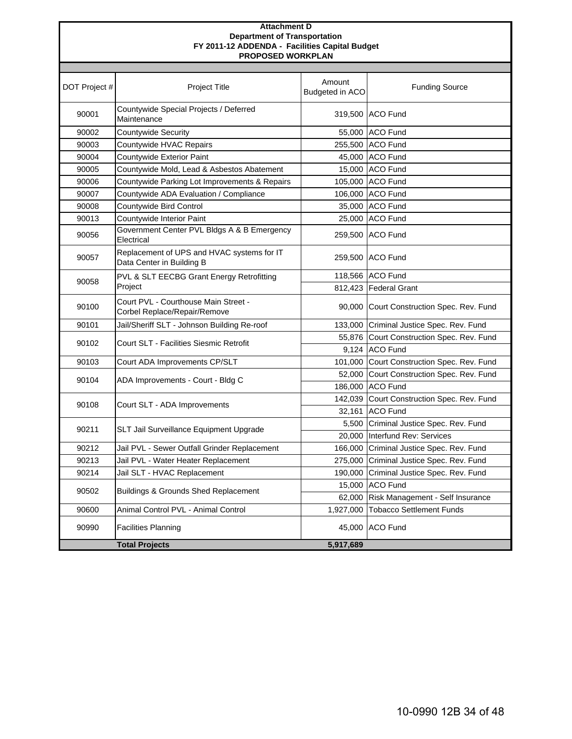#### **Attachment D FY 2011-12 ADDENDA - Facilities Capital Budget PROPOSED WORKPLAN Department of Transportation**

| DOT Project # | <b>Project Title</b>                                                    | Amount<br>Budgeted in ACO | <b>Funding Source</b>                      |
|---------------|-------------------------------------------------------------------------|---------------------------|--------------------------------------------|
| 90001         | Countywide Special Projects / Deferred<br>Maintenance                   |                           | 319,500 ACO Fund                           |
| 90002         | Countywide Security                                                     |                           | 55,000 ACO Fund                            |
| 90003         | Countywide HVAC Repairs                                                 |                           | 255,500 ACO Fund                           |
| 90004         | Countywide Exterior Paint                                               |                           | 45,000 ACO Fund                            |
| 90005         | Countywide Mold, Lead & Asbestos Abatement                              |                           | 15,000 ACO Fund                            |
| 90006         | Countywide Parking Lot Improvements & Repairs                           |                           | 105,000 ACO Fund                           |
| 90007         | Countywide ADA Evaluation / Compliance                                  |                           | 106,000 ACO Fund                           |
| 90008         | Countywide Bird Control                                                 |                           | 35,000 ACO Fund                            |
| 90013         | Countywide Interior Paint                                               |                           | 25,000 ACO Fund                            |
| 90056         | Government Center PVL Bldgs A & B Emergency<br>Electrical               |                           | 259,500 ACO Fund                           |
| 90057         | Replacement of UPS and HVAC systems for IT<br>Data Center in Building B |                           | 259,500 ACO Fund                           |
|               | PVL & SLT EECBG Grant Energy Retrofitting                               |                           | 118,566 ACO Fund                           |
| 90058         | Project                                                                 |                           | 812,423 Federal Grant                      |
| 90100         | Court PVL - Courthouse Main Street -<br>Corbel Replace/Repair/Remove    |                           | 90,000 Court Construction Spec. Rev. Fund  |
| 90101         | Jail/Sheriff SLT - Johnson Building Re-roof                             |                           | 133,000 Criminal Justice Spec. Rev. Fund   |
|               |                                                                         |                           | 55,876 Court Construction Spec. Rev. Fund  |
| 90102         | Court SLT - Facilities Siesmic Retrofit                                 |                           | 9.124 ACO Fund                             |
| 90103         | Court ADA Improvements CP/SLT                                           |                           | 101,000 Court Construction Spec. Rev. Fund |
|               |                                                                         |                           | 52,000 Court Construction Spec. Rev. Fund  |
| 90104         | ADA Improvements - Court - Bldg C                                       |                           | 186,000 ACO Fund                           |
|               |                                                                         |                           | 142,039 Court Construction Spec. Rev. Fund |
| 90108         | Court SLT - ADA Improvements                                            |                           | 32,161 ACO Fund                            |
| 90211         |                                                                         |                           | 5,500 Criminal Justice Spec. Rev. Fund     |
|               | SLT Jail Surveillance Equipment Upgrade                                 | 20,000                    | Interfund Rev: Services                    |
| 90212         | Jail PVL - Sewer Outfall Grinder Replacement                            |                           | 166,000 Criminal Justice Spec. Rev. Fund   |
| 90213         | Jail PVL - Water Heater Replacement                                     | 275,000                   | Criminal Justice Spec. Rev. Fund           |
| 90214         | Jail SLT - HVAC Replacement                                             | 190,000                   | Criminal Justice Spec. Rev. Fund           |
| 90502         |                                                                         |                           | 15,000 ACO Fund                            |
|               | <b>Buildings &amp; Grounds Shed Replacement</b>                         | 62,000                    | Risk Management - Self Insurance           |
| 90600         | Animal Control PVL - Animal Control                                     |                           | 1,927,000 Tobacco Settlement Funds         |
| 90990         | <b>Facilities Planning</b>                                              |                           | 45,000 ACO Fund                            |
|               | <b>Total Projects</b>                                                   | 5,917,689                 |                                            |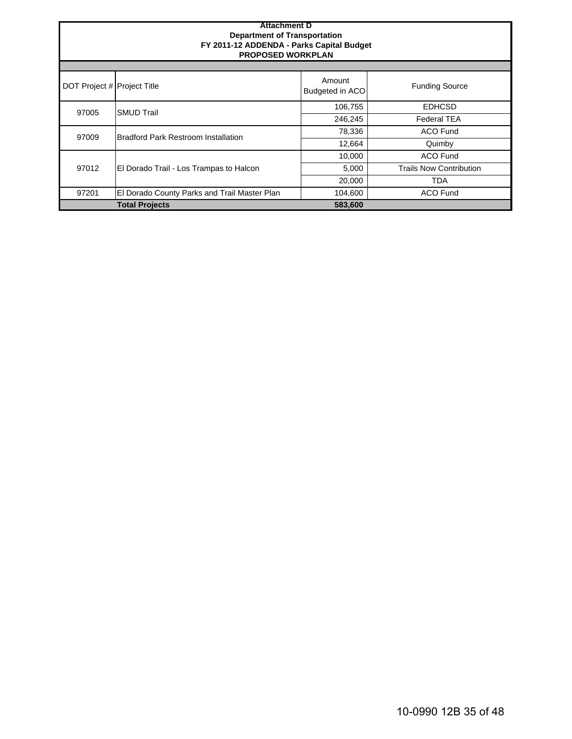| <b>Attachment D</b><br><b>Department of Transportation</b><br>FY 2011-12 ADDENDA - Parks Capital Budget<br><b>PROPOSED WORKPLAN</b> |                                              |                           |                                |  |  |  |  |  |  |  |  |  |  |
|-------------------------------------------------------------------------------------------------------------------------------------|----------------------------------------------|---------------------------|--------------------------------|--|--|--|--|--|--|--|--|--|--|
|                                                                                                                                     |                                              |                           |                                |  |  |  |  |  |  |  |  |  |  |
| DOT Project # Project Title                                                                                                         |                                              | Amount<br>Budgeted in ACO | <b>Funding Source</b>          |  |  |  |  |  |  |  |  |  |  |
| 97005                                                                                                                               | <b>SMUD Trail</b>                            | 106,755                   | <b>EDHCSD</b>                  |  |  |  |  |  |  |  |  |  |  |
|                                                                                                                                     |                                              | 246,245                   | <b>Federal TEA</b>             |  |  |  |  |  |  |  |  |  |  |
| 97009                                                                                                                               | <b>Bradford Park Restroom Installation</b>   | 78,336                    | <b>ACO Fund</b>                |  |  |  |  |  |  |  |  |  |  |
|                                                                                                                                     |                                              | 12,664                    | Quimby                         |  |  |  |  |  |  |  |  |  |  |
|                                                                                                                                     |                                              | 10,000                    | <b>ACO Fund</b>                |  |  |  |  |  |  |  |  |  |  |
| 97012                                                                                                                               | El Dorado Trail - Los Trampas to Halcon      | 5,000                     | <b>Trails Now Contribution</b> |  |  |  |  |  |  |  |  |  |  |
|                                                                                                                                     |                                              | 20,000                    | <b>TDA</b>                     |  |  |  |  |  |  |  |  |  |  |
| 97201                                                                                                                               | El Dorado County Parks and Trail Master Plan | 104,600                   | <b>ACO Fund</b>                |  |  |  |  |  |  |  |  |  |  |
|                                                                                                                                     | <b>Total Projects</b>                        | 583,600                   |                                |  |  |  |  |  |  |  |  |  |  |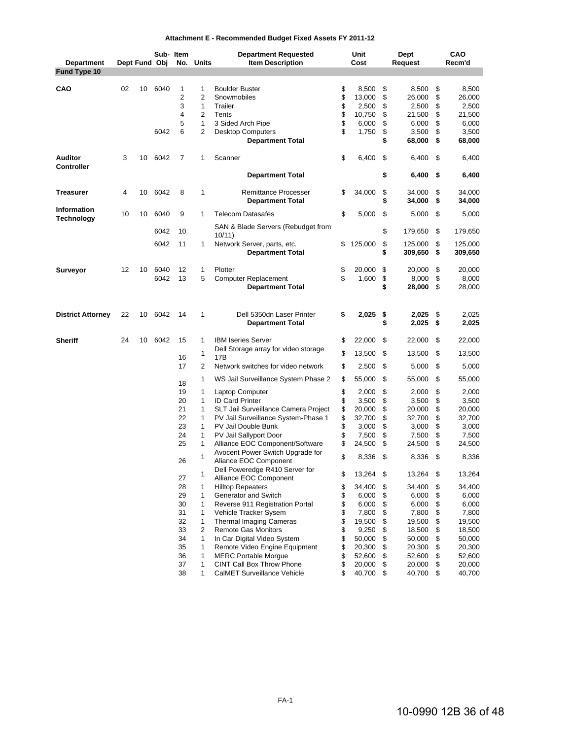|  | Attachment E - Recommended Budget Fixed Assets FY 2011-12 |  |  |  |
|--|-----------------------------------------------------------|--|--|--|
|--|-----------------------------------------------------------|--|--|--|

|                                   |    | Dept Fund Obj |      | Sub- Item      | No. Units         | <b>Department Requested</b><br><b>Item Description</b>   |          | Unit<br>Cost   |          | Dept             |          | CAO<br>Recm'd    |
|-----------------------------------|----|---------------|------|----------------|-------------------|----------------------------------------------------------|----------|----------------|----------|------------------|----------|------------------|
| <b>Department</b><br>Fund Type 10 |    |               |      |                |                   |                                                          |          |                |          | Request          |          |                  |
|                                   |    |               |      |                |                   |                                                          |          |                |          |                  |          |                  |
| <b>CAO</b>                        | 02 | 10            | 6040 | 1              | 1                 | <b>Boulder Buster</b>                                    | \$       | 8,500          | \$       | 8,500            | \$       | 8,500            |
|                                   |    |               |      | $\overline{2}$ | 2                 | Snowmobiles                                              | \$       | 13,000         | \$       | 26,000           | \$       | 26,000           |
|                                   |    |               |      | 3              | 1                 | Trailer                                                  | \$       | 2,500          | \$       | 2,500            | \$       | 2,500            |
|                                   |    |               |      | $\overline{4}$ | $\overline{2}$    | Tents                                                    | \$       | 10,750         | \$       | 21,500           | \$       | 21,500           |
|                                   |    |               |      | 5              | $\mathbf{1}$      | 3 Sided Arch Pipe                                        | \$       | 6,000          | \$       | 6,000            | \$       | 6,000            |
|                                   |    |               | 6042 | 6              | $\overline{2}$    | <b>Desktop Computers</b>                                 | \$       | 1,750          | \$       | 3,500            | \$       | 3,500            |
|                                   |    |               |      |                |                   | <b>Department Total</b>                                  |          |                | \$       | 68,000           | \$       | 68,000           |
| <b>Auditor</b>                    | 3  | 10            | 6042 | 7              | 1                 | Scanner                                                  | \$       | 6,400          | \$       | 6,400            | \$       | 6,400            |
| <b>Controller</b>                 |    |               |      |                |                   | <b>Department Total</b>                                  |          |                | \$       | 6,400            | \$       | 6,400            |
|                                   |    |               |      |                |                   |                                                          |          |                |          |                  |          |                  |
| <b>Treasurer</b>                  | 4  | 10            | 6042 | 8              | $\mathbf{1}$      | <b>Remittance Processer</b><br><b>Department Total</b>   | \$       | 34,000         | \$<br>\$ | 34,000<br>34,000 | \$<br>\$ | 34,000<br>34,000 |
| Information                       | 10 | 10            | 6040 | 9              | 1                 | <b>Telecom Datasafes</b>                                 | \$       | 5,000          | \$       | 5,000            | \$       | 5,000            |
| Technology                        |    |               |      |                |                   |                                                          |          |                |          |                  |          |                  |
|                                   |    |               | 6042 | 10             |                   | SAN & Blade Servers (Rebudget from<br>10/11              |          |                | \$       | 179,650          | \$       | 179,650          |
|                                   |    |               | 6042 | 11             | $\mathbf{1}$      | Network Server, parts, etc.                              | \$       | 125,000        | \$       | 125,000          | \$       | 125,000          |
|                                   |    |               |      |                |                   | <b>Department Total</b>                                  |          |                | \$       | 309,650          | \$       | 309,650          |
|                                   |    |               |      |                |                   |                                                          |          |                |          |                  |          |                  |
| Surveyor                          | 12 | 10            | 6040 | 12             | 1                 | Plotter                                                  | \$       | 20,000         | \$       | 20,000           | \$       | 20,000           |
|                                   |    |               | 6042 | 13             | 5                 | <b>Computer Replacement</b>                              | \$       | 1,600          | \$       | 8,000            | \$       | 8,000            |
|                                   |    |               |      |                |                   | <b>Department Total</b>                                  |          |                | \$       | 28,000           | \$       | 28,000           |
|                                   |    |               |      |                |                   |                                                          |          |                |          |                  |          |                  |
| <b>District Attorney</b>          | 22 | 10            | 6042 | 14             | $\mathbf{1}$      | Dell 5350dn Laser Printer<br><b>Department Total</b>     | \$       | 2,025          | \$<br>\$ | 2,025<br>2,025   | \$<br>\$ | 2,025<br>2,025   |
|                                   |    |               |      |                |                   |                                                          |          |                |          |                  |          |                  |
| <b>Sheriff</b>                    | 24 | 10            | 6042 | 15             | $\mathbf{1}$      | <b>IBM Iseries Server</b>                                | \$       | 22,000         | \$       | 22,000           | \$       | 22,000           |
|                                   |    |               |      |                | 1                 | Dell Storage array for video storage                     | \$       | 13,500         | \$       | 13,500           | \$       | 13,500           |
|                                   |    |               |      | 16             |                   | 17B                                                      |          |                |          |                  |          |                  |
|                                   |    |               |      | 17             | 2                 | Network switches for video network                       | \$       | 2,500          | \$       | 5,000            | \$       | 5,000            |
|                                   |    |               |      | 18             | 1                 | WS Jail Surveillance System Phase 2                      | \$       | 55,000         | \$       | 55,000           | \$       | 55,000           |
|                                   |    |               |      | 19             | $\mathbf{1}$      | Laptop Computer                                          | \$       | 2,000          | \$       | 2,000            | \$       | 2,000            |
|                                   |    |               |      | 20             | 1                 | <b>ID Card Printer</b>                                   | \$       | 3,500          | \$       | 3,500            | \$       | 3,500            |
|                                   |    |               |      | 21             | $\mathbf{1}$      | SLT Jail Surveillance Camera Project                     | \$       | 20,000         | \$       | 20,000           | \$       | 20,000           |
|                                   |    |               |      | 22             | $\mathbf{1}$      | PV Jail Surveillance System-Phase 1                      | \$       | 32,700         | \$       | 32,700           | \$       | 32,700           |
|                                   |    |               |      | 23             | $\mathbf{1}$      | PV Jail Double Bunk                                      | \$       | 3,000          | \$       | 3,000            | \$       | 3,000            |
|                                   |    |               |      | 24             | $\mathbf{1}$      | PV Jail Sallyport Door                                   | \$       | 7,500          | \$       | 7,500            | \$       | 7,500            |
|                                   |    |               |      | 25             | $\mathbf{1}$      | Alliance EOC Component/Software                          | \$       | 24,500         | \$       | 24,500           | \$       | 24,500           |
|                                   |    |               |      |                | 1                 | Avocent Power Switch Upgrade for                         | \$       | 8,336          | \$       | 8,336            | \$       | 8,336            |
|                                   |    |               |      | 26             |                   | Aliance EOC Component                                    |          |                |          |                  |          |                  |
|                                   |    |               |      |                | 1                 | Dell Poweredge R410 Server for                           | \$       | 13,264         | \$       | 13,264           | \$       | 13,264           |
|                                   |    |               |      | 27             |                   | Alliance EOC Component                                   |          |                |          |                  |          |                  |
|                                   |    |               |      | 28             | $\mathbf{1}$      | <b>Hilltop Repeaters</b>                                 | \$       | 34,400         | \$       | 34,400           | \$       | 34,400           |
|                                   |    |               |      | 29             | $\mathbf{1}$      | Generator and Switch                                     | \$       | 6,000          | \$       | 6,000            | \$<br>\$ | 6,000            |
|                                   |    |               |      | 30<br>31       | 1<br>$\mathbf{1}$ | Reverse 911 Registration Portal<br>Vehicle Tracker Sysem | \$<br>\$ | 6,000<br>7,800 | \$<br>\$ | 6,000<br>7,800   | \$       | 6,000<br>7,800   |
|                                   |    |               |      | 32             | 1                 | <b>Thermal Imaging Cameras</b>                           | \$       | 19,500         | \$       | 19,500           | \$       | 19,500           |
|                                   |    |               |      | 33             | 2                 | <b>Remote Gas Monitors</b>                               | \$       | 9,250          | \$       | 18,500           | \$       | 18,500           |
|                                   |    |               |      | 34             | $\mathbf{1}$      | In Car Digital Video System                              | \$       | 50,000         | \$       | 50,000           | \$       | 50,000           |
|                                   |    |               |      | 35             | $\mathbf{1}$      | Remote Video Engine Equipment                            | \$       | 20,300         | \$       | 20,300           | \$       | 20,300           |
|                                   |    |               |      | 36             | $\mathbf{1}$      | <b>MERC Portable Morque</b>                              | \$       | 52,600         | \$       | 52,600           | \$       | 52,600           |
|                                   |    |               |      | 37             | $\mathbf{1}$      | <b>CINT Call Box Throw Phone</b>                         | \$       | 20,000         | \$       | 20,000           | \$       | 20,000           |
|                                   |    |               |      | 38             | 1                 | CalMET Surveillance Vehicle                              | \$       | 40,700         | \$       | 40,700           | \$       | 40,700           |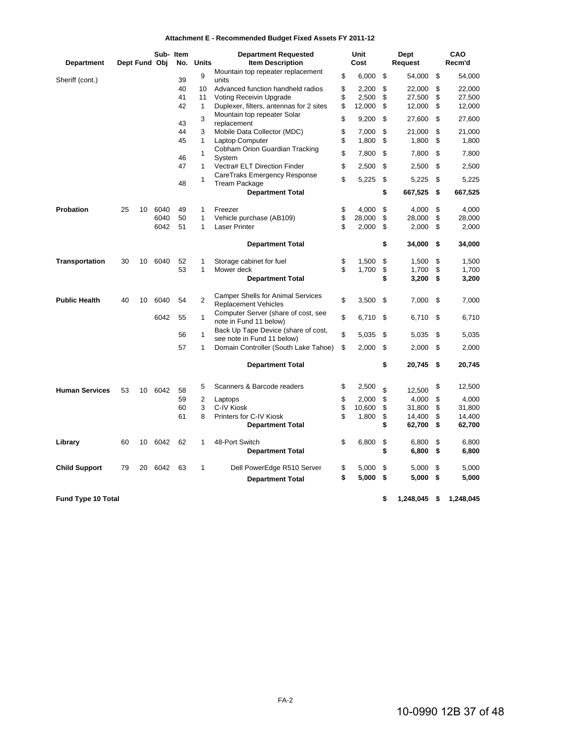#### **Attachment E - Recommended Budget Fixed Assets FY 2011-12**

|                       |    |               | Sub- Item |     |                | <b>Department Requested</b>                                             | <b>Unit</b>  | Dept             |      | CAO       |
|-----------------------|----|---------------|-----------|-----|----------------|-------------------------------------------------------------------------|--------------|------------------|------|-----------|
| <b>Department</b>     |    | Dept Fund Obj |           | No. | <b>Units</b>   | <b>Item Description</b>                                                 | Cost         | Request          |      | Recm'd    |
| Sheriff (cont.)       |    |               |           | 39  | 9              | Mountain top repeater replacement<br>units                              | \$<br>6,000  | \$<br>54,000     | \$   | 54,000    |
|                       |    |               |           | 40  | 10             | Advanced function handheld radios                                       | \$<br>2,200  | \$<br>22,000     | \$   | 22,000    |
|                       |    |               |           | 41  | 11             | Voting Receivin Upgrade                                                 | \$<br>2,500  | \$<br>27,500     | \$   | 27,500    |
|                       |    |               |           | 42  | $\mathbf{1}$   | Duplexer, filters, antennas for 2 sites                                 | \$<br>12,000 | \$<br>12,000     | \$   | 12,000    |
|                       |    |               |           | 43  | 3              | Mountain top repeater Solar<br>replacement                              | \$<br>9,200  | \$<br>27,600     | \$   | 27,600    |
|                       |    |               |           | 44  | 3              | Mobile Data Collector (MDC)                                             | \$<br>7,000  | \$<br>21,000     | \$   | 21,000    |
|                       |    |               |           | 45  | 1              | Laptop Computer                                                         | \$<br>1,800  | \$<br>1,800      | \$   | 1,800     |
|                       |    |               |           |     |                | Cobham Orion Guardian Tracking                                          |              |                  |      |           |
|                       |    |               |           | 46  | $\mathbf{1}$   | System                                                                  | \$<br>7,800  | \$<br>7,800      | \$   | 7,800     |
|                       |    |               |           | 47  | $\mathbf{1}$   | Vectra# ELT Direction Finder                                            | \$<br>2,500  | \$<br>2,500      | \$   | 2,500     |
|                       |    |               |           |     | $\mathbf{1}$   | CareTraks Emergency Response                                            | \$<br>5,225  | \$<br>5,225      | \$   | 5,225     |
|                       |    |               |           | 48  |                | <b>Tream Package</b>                                                    |              |                  |      |           |
|                       |    |               |           |     |                | <b>Department Total</b>                                                 |              | \$<br>667,525 \$ |      | 667,525   |
| Probation             | 25 | 10            | 6040      | 49  | 1              | Freezer                                                                 | \$<br>4,000  | \$<br>4,000      | \$   | 4,000     |
|                       |    |               | 6040      | 50  | 1              | Vehicle purchase (AB109)                                                | \$<br>28,000 | \$<br>28,000     | \$   | 28,000    |
|                       |    |               | 6042      | 51  | 1              | <b>Laser Printer</b>                                                    | \$<br>2,000  | \$<br>2,000      | \$   | 2,000     |
|                       |    |               |           |     |                |                                                                         |              |                  |      |           |
|                       |    |               |           |     |                | <b>Department Total</b>                                                 |              | \$<br>34,000     | \$   | 34,000    |
| <b>Transportation</b> | 30 | 10            | 6040      | 52  | 1              | Storage cabinet for fuel                                                | \$<br>1,500  | \$<br>1,500      | \$   | 1,500     |
|                       |    |               |           | 53  | 1              | Mower deck                                                              | \$<br>1,700  | \$<br>1,700      | \$   | 1,700     |
|                       |    |               |           |     |                | <b>Department Total</b>                                                 |              | \$<br>3,200      | \$   | 3,200     |
|                       |    |               |           |     |                |                                                                         |              |                  |      |           |
| <b>Public Health</b>  | 40 | 10            | 6040      | 54  | $\overline{2}$ | <b>Camper Shells for Animal Services</b><br><b>Replacement Vehicles</b> | \$<br>3,500  | \$<br>7,000      | -\$  | 7,000     |
|                       |    |               |           |     |                | Computer Server (share of cost, see                                     |              |                  |      |           |
|                       |    |               | 6042      | 55  | $\mathbf{1}$   | note in Fund 11 below)                                                  | \$<br>6.710  | \$<br>6,710      | \$   | 6,710     |
|                       |    |               |           | 56  | $\mathbf{1}$   | Back Up Tape Device (share of cost,                                     | \$<br>5,035  | \$<br>5,035      | \$   | 5,035     |
|                       |    |               |           | 57  | $\mathbf{1}$   | see note in Fund 11 below)<br>Domain Controller (South Lake Tahoe)      | \$<br>2,000  | \$<br>2,000      | \$   | 2,000     |
|                       |    |               |           |     |                |                                                                         |              |                  |      |           |
|                       |    |               |           |     |                | <b>Department Total</b>                                                 |              | \$<br>20,745     | - \$ | 20,745    |
| <b>Human Services</b> | 53 | 10            | 6042      | 58  | 5              | Scanners & Barcode readers                                              | \$<br>2,500  | \$<br>12,500     | \$   | 12,500    |
|                       |    |               |           | 59  | $\overline{2}$ | Laptops                                                                 | \$<br>2,000  | \$<br>4,000      | \$   | 4,000     |
|                       |    |               |           | 60  | 3              | C-IV Kiosk                                                              | \$<br>10,600 | \$<br>31,800     | \$   | 31,800    |
|                       |    |               |           | 61  | 8              | Printers for C-IV Kiosk                                                 | \$<br>1,800  | \$<br>14,400     | \$   | 14,400    |
|                       |    |               |           |     |                | <b>Department Total</b>                                                 |              | \$<br>62,700     | \$   | 62,700    |
| Library               | 60 | 10            | 6042      | 62  | 1              | 48-Port Switch                                                          | \$<br>6,800  | \$<br>6,800      | \$   | 6,800     |
|                       |    |               |           |     |                | <b>Department Total</b>                                                 |              | \$<br>6,800      | \$   | 6,800     |
|                       |    |               |           |     |                |                                                                         |              |                  |      |           |
| <b>Child Support</b>  | 79 | 20            | 6042      | 63  | 1              | Dell PowerEdge R510 Server                                              | \$<br>5,000  | \$<br>5,000      | \$   | 5,000     |
|                       |    |               |           |     |                | <b>Department Total</b>                                                 | \$<br>5,000  | \$<br>5,000      | \$   | 5,000     |
| Fund Type 10 Total    |    |               |           |     |                |                                                                         |              | \$<br>1,248,045  | \$   | 1,248,045 |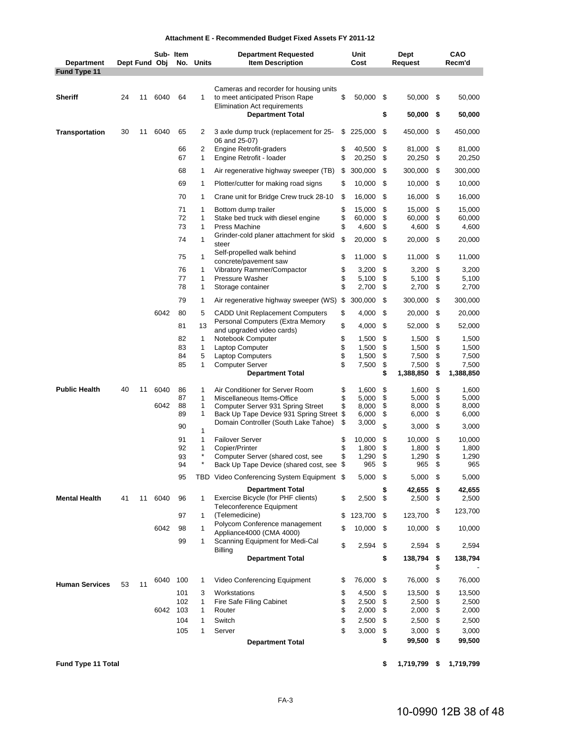| Attachment E - Recommended Budget Fixed Assets FY 2011-12 |  |  |
|-----------------------------------------------------------|--|--|
|-----------------------------------------------------------|--|--|

|                                   |    |    |               | Sub- Item |                   | <b>Department Requested</b>                                                                                      |          | Unit             |          | Dept             |          | CAO              |
|-----------------------------------|----|----|---------------|-----------|-------------------|------------------------------------------------------------------------------------------------------------------|----------|------------------|----------|------------------|----------|------------------|
| <b>Department</b><br>Fund Type 11 |    |    | Dept Fund Obj |           | No. Units         | <b>Item Description</b>                                                                                          |          | Cost             |          | Request          |          | Recm'd           |
| <b>Sheriff</b>                    | 24 | 11 | 6040          | 64        | 1                 | Cameras and recorder for housing units<br>to meet anticipated Prison Rape<br><b>Elimination Act requirements</b> | \$       | 50,000           | \$       | 50,000           | \$       | 50,000           |
|                                   |    |    |               |           |                   | <b>Department Total</b>                                                                                          |          |                  | \$       | 50,000           | \$       | 50,000           |
| <b>Transportation</b>             | 30 | 11 | 6040          | 65        | 2                 | 3 axle dump truck (replacement for 25-<br>06 and 25-07)                                                          | \$       | 225,000          | \$       | 450,000          | \$       | 450,000          |
|                                   |    |    |               | 66<br>67  | 2<br>1            | <b>Engine Retrofit-graders</b><br>Engine Retrofit - loader                                                       | \$<br>\$ | 40,500<br>20,250 | \$<br>\$ | 81,000<br>20,250 | \$<br>\$ | 81,000<br>20,250 |
|                                   |    |    |               | 68        | $\mathbf{1}$      | Air regenerative highway sweeper (TB)                                                                            | \$       | 300,000          | \$       | 300,000          | \$       | 300,000          |
|                                   |    |    |               | 69        | 1                 | Plotter/cutter for making road signs                                                                             | \$       | 10,000           | \$       | 10,000           | \$       | 10,000           |
|                                   |    |    |               | 70        | $\mathbf{1}$      | Crane unit for Bridge Crew truck 28-10                                                                           | \$       | 16,000           | \$       | 16,000           | \$       | 16,000           |
|                                   |    |    |               | 71        | 1                 | Bottom dump trailer                                                                                              | \$       | 15,000           | \$       | 15,000           | \$       | 15,000           |
|                                   |    |    |               | 72<br>73  | 1<br>1            | Stake bed truck with diesel engine<br>Press Machine                                                              | \$<br>\$ | 60,000<br>4,600  | \$<br>\$ | 60,000<br>4,600  | \$<br>\$ | 60,000<br>4,600  |
|                                   |    |    |               | 74        | $\mathbf{1}$      | Grinder-cold planer attachment for skid<br>steer                                                                 | \$       | 20,000           | \$       | 20,000           | \$       | 20,000           |
|                                   |    |    |               | 75        | 1                 | Self-propelled walk behind<br>concrete/pavement saw                                                              | \$       | 11,000           | \$       | 11,000           | \$       | 11,000           |
|                                   |    |    |               | 76        | $\mathbf{1}$      | Vibratory Rammer/Compactor                                                                                       | \$       | 3,200            | \$       | 3,200            | \$       | 3,200            |
|                                   |    |    |               | 77<br>78  | 1<br>1            | Pressure Washer<br>Storage container                                                                             | \$<br>\$ | 5,100<br>2,700   | \$<br>\$ | 5,100<br>2,700   | \$<br>\$ | 5,100<br>2,700   |
|                                   |    |    |               | 79        | 1                 | Air regenerative highway sweeper (WS) \$                                                                         |          | 300,000          | \$       | 300,000          | \$       | 300,000          |
|                                   |    |    | 6042          | 80        | 5                 | <b>CADD Unit Replacement Computers</b>                                                                           | \$       | 4,000            | \$       | 20,000           | \$       | 20,000           |
|                                   |    |    |               | 81        | 13                | Personal Computers (Extra Memory<br>and upgraded video cards)                                                    | \$       | 4,000            | \$       | 52,000           | \$       | 52,000           |
|                                   |    |    |               | 82        | 1                 | Notebook Computer                                                                                                | \$       | 1,500            | \$       | 1,500            | \$       | 1,500            |
|                                   |    |    |               | 83        | 1                 | Laptop Computer                                                                                                  | \$       | 1,500            | \$       | 1,500            | \$       | 1,500            |
|                                   |    |    |               | 84<br>85  | 5<br>$\mathbf{1}$ | <b>Laptop Computers</b><br><b>Computer Server</b>                                                                | \$<br>\$ | 1,500<br>7,500   | \$<br>\$ | 7,500<br>7,500   | \$<br>\$ | 7,500<br>7,500   |
|                                   |    |    |               |           |                   | <b>Department Total</b>                                                                                          |          |                  | \$       | 1,388,850        | \$       | 1,388,850        |
| <b>Public Health</b>              | 40 | 11 | 6040          | 86        | 1                 | Air Conditioner for Server Room                                                                                  | \$       | 1,600            | \$       | 1,600            | \$       | 1,600            |
|                                   |    |    |               | 87        | $\mathbf{1}$      | Miscellaneous Items-Office                                                                                       | \$       | 5,000            | \$       | 5,000            | \$       | 5,000            |
|                                   |    |    | 6042          | 88<br>89  | 1<br>1            | Computer Server 931 Spring Street                                                                                | \$       | 8,000<br>6.000   | \$<br>\$ | 8,000            | \$<br>\$ | 8,000            |
|                                   |    |    |               |           |                   | Back Up Tape Device 931 Spring Street<br>Domain Controller (South Lake Tahoe)                                    | \$<br>\$ | 3,000            |          | 6,000            |          | 6,000            |
|                                   |    |    |               | 90        | 1                 |                                                                                                                  |          |                  | \$       | 3,000            | \$       | 3,000            |
|                                   |    |    |               | 91<br>92  | 1<br>1            | <b>Failover Server</b><br>Copier/Printer                                                                         | \$<br>\$ | 10,000<br>1,800  | \$<br>\$ | 10,000<br>1,800  | \$<br>\$ | 10,000<br>1,800  |
|                                   |    |    |               | 93        | ×                 | Computer Server (shared cost, see                                                                                | \$       | 1,290            | \$       | 1,290            | \$       | 1,290            |
|                                   |    |    |               | 94        | ×                 | Back Up Tape Device (shared cost, see                                                                            | \$       | 965              | \$       | 965              | \$       | 965              |
|                                   |    |    |               | 95        |                   | TBD Video Conferencing System Equipment \$                                                                       |          | 5,000            | -\$      | 5,000            | \$       | 5,000            |
| <b>Mental Health</b>              | 41 | 11 | 6040          | 96        | $\mathbf{1}$      | <b>Department Total</b><br>Exercise Bicycle (for PHF clients)<br><b>Teleconference Equipment</b>                 | \$       | $2,500$ \$       | \$       | 42,655<br>2,500  | \$<br>\$ | 42,655<br>2,500  |
|                                   |    |    |               | 97        | $\mathbf{1}$      | (Telemedicine)                                                                                                   | \$       | 123,700          | - \$     | 123,700          | \$       | 123,700          |
|                                   |    |    | 6042          | 98        | $\mathbf{1}$      | Polycom Conference management<br>Appliance4000 (CMA 4000)                                                        | \$       | 10,000           | -\$      | 10,000           | \$       | 10,000           |
|                                   |    |    |               | 99        | $\mathbf{1}$      | Scanning Equipment for Medi-Cal<br><b>Billing</b>                                                                | \$       | 2,594            | \$       | 2,594            | \$       | 2,594            |
|                                   |    |    |               |           |                   | <b>Department Total</b>                                                                                          |          |                  | \$       | 138,794          | \$<br>\$ | 138,794          |
|                                   |    | 11 |               | 6040 100  | 1                 | Video Conferencing Equipment                                                                                     | \$       | 76,000           | -\$      | 76,000           | \$       | 76,000           |
| <b>Human Services</b>             | 53 |    |               | 101       | 3                 | Workstations                                                                                                     | \$       | 4,500            | \$       | 13,500           | \$       | 13,500           |
|                                   |    |    |               | 102       | $\mathbf{1}$      | Fire Safe Filing Cabinet                                                                                         | \$       | 2,500            | \$       | 2,500            | \$       | 2,500            |
|                                   |    |    | 6042          | 103       | 1                 | Router                                                                                                           | \$       | 2,000            | - \$     | 2,000            | \$       | 2,000            |
|                                   |    |    |               | 104       | 1<br>1            | Switch<br>Server                                                                                                 | \$<br>\$ | 2,500            | \$<br>\$ | 2,500<br>3,000   | \$<br>\$ | 2,500            |
|                                   |    |    |               | 105       |                   |                                                                                                                  |          | 3,000            | \$       | 99,500           | \$       | 3,000<br>99,500  |
|                                   |    |    |               |           |                   | <b>Department Total</b>                                                                                          |          |                  |          |                  |          |                  |
| Fund Type 11 Total                |    |    |               |           |                   |                                                                                                                  |          |                  | \$       | 1,719,799 \$     |          | 1,719,799        |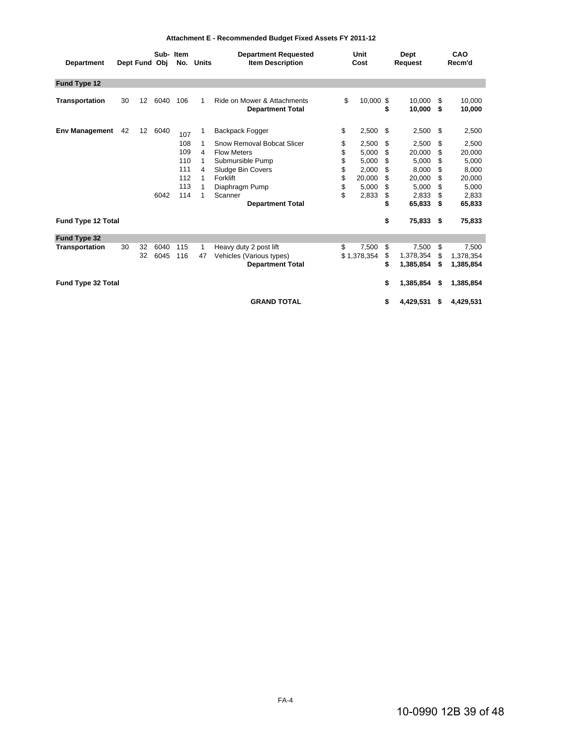| <b>Department</b>         |    | Dept Fund Obj     | Sub-Item     |                                               | No. Units                       | <b>Department Requested</b><br><b>Item Description</b>                                                                                                        | Unit<br>Cost                           |                                                              | Dept<br>Request                              |                                                                         |                                             | CAO<br>Recm'd                                                           |
|---------------------------|----|-------------------|--------------|-----------------------------------------------|---------------------------------|---------------------------------------------------------------------------------------------------------------------------------------------------------------|----------------------------------------|--------------------------------------------------------------|----------------------------------------------|-------------------------------------------------------------------------|---------------------------------------------|-------------------------------------------------------------------------|
| Fund Type 12              |    |                   |              |                                               |                                 |                                                                                                                                                               |                                        |                                                              |                                              |                                                                         |                                             |                                                                         |
| <b>Transportation</b>     | 30 | $12 \overline{ }$ | 6040         | 106                                           | 1                               | Ride on Mower & Attachments<br><b>Department Total</b>                                                                                                        | \$                                     | 10,000 \$                                                    | \$                                           | 10,000<br>10,000                                                        | \$.<br>\$                                   | 10,000<br>10,000                                                        |
| <b>Env Management</b>     | 42 | 12                | 6040         | 107                                           | 1                               | Backpack Fogger                                                                                                                                               | \$                                     | 2,500                                                        | \$                                           | 2,500                                                                   | \$                                          | 2,500                                                                   |
|                           |    |                   | 6042         | 108<br>109<br>110<br>111<br>112<br>113<br>114 | 1<br>4<br>1<br>4<br>1<br>1<br>1 | Snow Removal Bobcat Slicer<br><b>Flow Meters</b><br>Submursible Pump<br>Sludge Bin Covers<br>Forklift<br>Diaphragm Pump<br>Scanner<br><b>Department Total</b> | \$<br>\$<br>\$<br>\$<br>\$<br>\$<br>\$ | 2,500<br>5,000<br>5,000<br>2,000<br>20,000<br>5,000<br>2,833 | \$<br>\$<br>\$<br>\$<br>\$<br>\$<br>\$<br>\$ | 2,500<br>20,000<br>5,000<br>8,000<br>20,000<br>5,000<br>2,833<br>65,833 | \$<br>\$<br>\$<br>\$<br>\$<br>\$<br>S<br>\$ | 2,500<br>20,000<br>5,000<br>8.000<br>20,000<br>5,000<br>2,833<br>65,833 |
| Fund Type 12 Total        |    |                   |              |                                               |                                 |                                                                                                                                                               |                                        |                                                              | \$                                           | 75,833 \$                                                               |                                             | 75,833                                                                  |
| Fund Type 32              |    |                   |              |                                               |                                 |                                                                                                                                                               |                                        |                                                              |                                              |                                                                         |                                             |                                                                         |
| <b>Transportation</b>     | 30 | 32<br>32          | 6040<br>6045 | 115<br>116                                    | 1<br>47                         | Heavy duty 2 post lift<br>Vehicles (Various types)<br><b>Department Total</b>                                                                                 | \$                                     | 7,500<br>\$1,378,354                                         | \$<br>\$<br>\$                               | 7,500<br>1,378,354<br>1,385,854                                         | \$<br>\$<br>\$                              | 7,500<br>1,378,354<br>1,385,854                                         |
| <b>Fund Type 32 Total</b> |    |                   |              |                                               |                                 |                                                                                                                                                               |                                        |                                                              | \$                                           | 1,385,854                                                               | \$                                          | 1,385,854                                                               |
|                           |    |                   |              |                                               |                                 | <b>GRAND TOTAL</b>                                                                                                                                            |                                        |                                                              | \$                                           | 4,429,531                                                               | \$                                          | 4,429,531                                                               |

#### **Attachment E - Recommended Budget Fixed Assets FY 2011-12**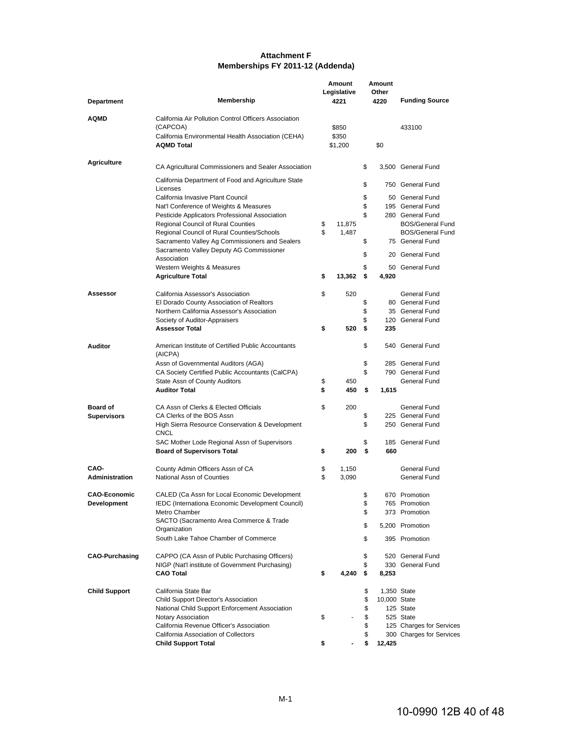#### **Memberships FY 2011-12 (Addenda) Attachment F**

|                       |                                                                 | Amount              |     | Amount        |                          |  |  |
|-----------------------|-----------------------------------------------------------------|---------------------|-----|---------------|--------------------------|--|--|
| <b>Department</b>     | Membership                                                      | Legislative<br>4221 |     | Other<br>4220 | <b>Funding Source</b>    |  |  |
| AQMD                  | California Air Pollution Control Officers Association           |                     |     |               |                          |  |  |
|                       | (CAPCOA)                                                        | \$850               |     |               | 433100                   |  |  |
|                       | California Environmental Health Association (CEHA)              | \$350               |     |               |                          |  |  |
|                       | <b>AQMD Total</b>                                               | \$1,200             |     | \$0           |                          |  |  |
| <b>Agriculture</b>    | CA Agricultural Commissioners and Sealer Association            |                     | \$  |               | 3,500 General Fund       |  |  |
|                       | California Department of Food and Agriculture State<br>Licenses |                     | \$  |               | 750 General Fund         |  |  |
|                       | California Invasive Plant Council                               |                     | \$  |               | 50 General Fund          |  |  |
|                       | Nat'l Conference of Weights & Measures                          |                     | \$  |               | 195 General Fund         |  |  |
|                       | Pesticide Applicators Professional Association                  |                     | \$  |               | 280 General Fund         |  |  |
|                       | <b>Regional Council of Rural Counties</b>                       | \$<br>11,875        |     |               | <b>BOS/General Fund</b>  |  |  |
|                       | Regional Council of Rural Counties/Schools                      | \$<br>1,487         |     |               | <b>BOS/General Fund</b>  |  |  |
|                       | Sacramento Valley Ag Commissioners and Sealers                  |                     | \$  |               | 75 General Fund          |  |  |
|                       | Sacramento Valley Deputy AG Commissioner<br>Association         |                     | \$  |               | 20 General Fund          |  |  |
|                       | Western Weights & Measures                                      |                     | \$  |               | 50 General Fund          |  |  |
|                       | <b>Agriculture Total</b>                                        | \$<br>13,362        | \$  | 4,920         |                          |  |  |
| Assessor              | California Assessor's Association                               | \$<br>520           |     |               | General Fund             |  |  |
|                       | El Dorado County Association of Realtors                        |                     | \$  |               | 80 General Fund          |  |  |
|                       | Northern California Assessor's Association                      |                     | \$  |               | 35 General Fund          |  |  |
|                       | Society of Auditor-Appraisers                                   |                     | \$  |               | 120 General Fund         |  |  |
|                       | <b>Assessor Total</b>                                           | \$<br>520           | \$  | 235           |                          |  |  |
| <b>Auditor</b>        | American Institute of Certified Public Accountants<br>(AICPA)   |                     | \$  |               | 540 General Fund         |  |  |
|                       | Assn of Governmental Auditors (AGA)                             |                     | \$  |               | 285 General Fund         |  |  |
|                       | CA Society Certified Public Accountants (CalCPA)                |                     | \$  |               | 790 General Fund         |  |  |
|                       | State Assn of County Auditors                                   | \$<br>450           |     |               | General Fund             |  |  |
|                       | <b>Auditor Total</b>                                            | \$<br>450           | \$  | 1,615         |                          |  |  |
| <b>Board of</b>       | CA Assn of Clerks & Elected Officials                           | \$<br>200           |     |               | General Fund             |  |  |
| <b>Supervisors</b>    | CA Clerks of the BOS Assn                                       |                     | \$  |               | 225 General Fund         |  |  |
|                       | High Sierra Resource Conservation & Development<br><b>CNCL</b>  |                     | \$  |               | 250 General Fund         |  |  |
|                       | SAC Mother Lode Regional Assn of Supervisors                    |                     | \$  |               | 185 General Fund         |  |  |
|                       | <b>Board of Supervisors Total</b>                               | \$<br>200           | \$  | 660           |                          |  |  |
| CAO-                  | County Admin Officers Assn of CA                                | \$<br>1,150         |     |               | General Fund             |  |  |
| <b>Administration</b> | National Assn of Counties                                       | \$<br>3,090         |     |               | General Fund             |  |  |
| <b>CAO-Economic</b>   | CALED (Ca Assn for Local Economic Development                   |                     | \$  |               | 670 Promotion            |  |  |
| <b>Development</b>    | IEDC (Internationa Economic Development Council)                |                     | \$  |               | 765 Promotion            |  |  |
|                       | Metro Chamber                                                   |                     | \$  |               | 373 Promotion            |  |  |
|                       | SACTO (Sacramento Area Commerce & Trade<br>Organization         |                     | \$  |               | 5,200 Promotion          |  |  |
|                       | South Lake Tahoe Chamber of Commerce                            |                     | \$  |               | 395 Promotion            |  |  |
| <b>CAO-Purchasing</b> | CAPPO (CA Assn of Public Purchasing Officers)                   |                     | \$  |               | 520 General Fund         |  |  |
|                       | NIGP (Nat'l institute of Government Purchasing)                 |                     | \$  |               | 330 General Fund         |  |  |
|                       | <b>CAO Total</b>                                                | \$<br>4,240         | -\$ | 8,253         |                          |  |  |
| <b>Child Support</b>  | California State Bar                                            |                     | \$  |               | 1,350 State              |  |  |
|                       | Child Support Director's Association                            |                     | \$  | 10,000 State  |                          |  |  |
|                       | National Child Support Enforcement Association                  |                     | \$  |               | 125 State                |  |  |
|                       | Notary Association                                              | \$                  | \$  |               | 525 State                |  |  |
|                       | California Revenue Officer's Association                        |                     | \$  |               | 125 Charges for Services |  |  |
|                       | California Association of Collectors                            |                     | \$  |               | 300 Charges for Services |  |  |
|                       | <b>Child Support Total</b>                                      | \$                  | \$  | 12,425        |                          |  |  |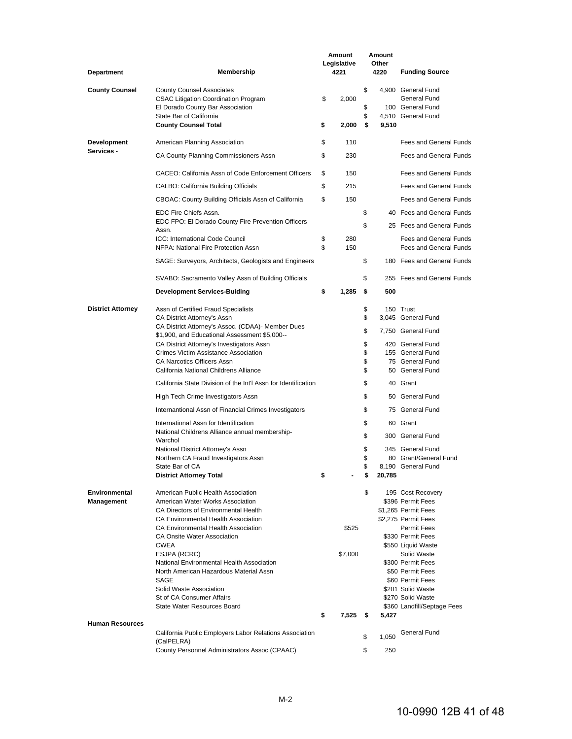| <b>Department</b>                  | Membership                                                                                                                                     |          | Amount<br>Legislative<br>4221 |                | Amount<br>Other<br>4220 | <b>Funding Source</b>                                                        |
|------------------------------------|------------------------------------------------------------------------------------------------------------------------------------------------|----------|-------------------------------|----------------|-------------------------|------------------------------------------------------------------------------|
| <b>County Counsel</b>              | <b>County Counsel Associates</b><br><b>CSAC Litigation Coordination Program</b><br>El Dorado County Bar Association<br>State Bar of California | \$       | 2,000                         | \$<br>\$<br>\$ |                         | 4.900 General Fund<br>General Fund<br>100 General Fund<br>4,510 General Fund |
|                                    | <b>County Counsel Total</b>                                                                                                                    | \$       | 2,000                         | - \$           | 9,510                   |                                                                              |
| <b>Development</b>                 | American Planning Association                                                                                                                  | \$       | 110                           |                |                         | <b>Fees and General Funds</b>                                                |
| Services -                         | CA County Planning Commissioners Assn                                                                                                          | \$       | 230                           |                |                         | <b>Fees and General Funds</b>                                                |
|                                    | CACEO: California Assn of Code Enforcement Officers                                                                                            | \$       | 150                           |                |                         | <b>Fees and General Funds</b>                                                |
|                                    | CALBO: California Building Officials                                                                                                           | \$       | 215                           |                |                         | Fees and General Funds                                                       |
|                                    | CBOAC: County Building Officials Assn of California                                                                                            | \$       | 150                           |                |                         | Fees and General Funds                                                       |
|                                    | EDC Fire Chiefs Assn.                                                                                                                          |          |                               | \$             |                         | 40 Fees and General Funds                                                    |
|                                    | EDC FPO: El Dorado County Fire Prevention Officers<br>Assn.                                                                                    |          |                               | \$             |                         | 25 Fees and General Funds                                                    |
|                                    | ICC: International Code Council<br>NFPA: National Fire Protection Assn                                                                         | \$<br>\$ | 280<br>150                    |                |                         | <b>Fees and General Funds</b><br>Fees and General Funds                      |
|                                    | SAGE: Surveyors, Architects, Geologists and Engineers                                                                                          |          |                               | \$             |                         | 180 Fees and General Funds                                                   |
|                                    | SVABO: Sacramento Valley Assn of Building Officials                                                                                            |          |                               | \$             |                         | 255 Fees and General Funds                                                   |
|                                    | <b>Development Services-Buiding</b>                                                                                                            | \$       | 1,285                         | \$             | 500                     |                                                                              |
| <b>District Attorney</b>           | Assn of Certified Fraud Specialists                                                                                                            |          |                               | \$             |                         | 150 Trust                                                                    |
|                                    | CA District Attorney's Assn                                                                                                                    |          |                               | \$             |                         | 3,045 General Fund                                                           |
|                                    | CA District Attorney's Assoc. (CDAA)- Member Dues<br>\$1,900, and Educational Assessment \$5,000--                                             |          |                               | \$             |                         | 7,750 General Fund                                                           |
|                                    | CA District Attorney's Investigators Assn                                                                                                      |          |                               | \$             |                         | 420 General Fund                                                             |
|                                    | Crimes Victim Assistance Association                                                                                                           |          |                               | \$             |                         | 155 General Fund                                                             |
|                                    | CA Narcotics Officers Assn<br>California National Childrens Alliance                                                                           |          |                               | \$<br>\$       |                         | 75 General Fund<br>50 General Fund                                           |
|                                    |                                                                                                                                                |          |                               |                |                         |                                                                              |
|                                    | California State Division of the Int'l Assn for Identification                                                                                 |          |                               | \$             |                         | 40 Grant                                                                     |
|                                    | High Tech Crime Investigators Assn                                                                                                             |          |                               | \$             |                         | 50 General Fund                                                              |
|                                    | Internantional Assn of Financial Crimes Investigators                                                                                          |          |                               | \$             |                         | 75 General Fund                                                              |
|                                    | International Assn for Identification<br>National Childrens Alliance annual membership-                                                        |          |                               | \$             |                         | 60 Grant                                                                     |
|                                    | Warchol                                                                                                                                        |          |                               | \$             |                         | 300 General Fund                                                             |
|                                    | National District Attorney's Assn                                                                                                              |          |                               | \$             |                         | 345 General Fund                                                             |
|                                    | Northern CA Fraud Investigators Assn                                                                                                           |          |                               | \$             |                         | 80 Grant/General Fund                                                        |
|                                    | State Bar of CA<br><b>District Attorney Total</b>                                                                                              | \$       |                               | \$<br>\$       | 20,785                  | 8,190 General Fund                                                           |
|                                    |                                                                                                                                                |          |                               |                |                         |                                                                              |
| Environmental<br><b>Management</b> | American Public Health Association<br>American Water Works Association                                                                         |          |                               | \$             |                         | 195 Cost Recovery<br>\$396 Permit Fees                                       |
|                                    | CA Directors of Environmental Health                                                                                                           |          |                               |                |                         | \$1,265 Permit Fees                                                          |
|                                    | CA Environmental Health Association                                                                                                            |          |                               |                |                         | \$2.275 Permit Fees                                                          |
|                                    | CA Environmental Health Association                                                                                                            |          | \$525                         |                |                         | Permit Fees                                                                  |
|                                    | CA Onsite Water Association                                                                                                                    |          |                               |                |                         | \$330 Permit Fees                                                            |
|                                    | <b>CWEA</b>                                                                                                                                    |          |                               |                |                         | \$550 Liquid Waste                                                           |
|                                    | ESJPA (RCRC)<br>National Environmental Health Association                                                                                      |          | \$7,000                       |                |                         | Solid Waste<br>\$300 Permit Fees                                             |
|                                    | North American Hazardous Material Assn                                                                                                         |          |                               |                |                         | \$50 Permit Fees                                                             |
|                                    | <b>SAGE</b>                                                                                                                                    |          |                               |                |                         | \$60 Permit Fees                                                             |
|                                    | Solid Waste Association                                                                                                                        |          |                               |                |                         | \$201 Solid Waste                                                            |
|                                    | St of CA Consumer Affairs                                                                                                                      |          |                               |                |                         | \$270 Solid Waste                                                            |
|                                    | State Water Resources Board                                                                                                                    |          |                               |                |                         | \$360 Landfill/Septage Fees                                                  |
| <b>Human Resources</b>             |                                                                                                                                                | \$       | 7,525 \$                      |                | 5,427                   |                                                                              |
|                                    | California Public Employers Labor Relations Association                                                                                        |          |                               |                |                         | <b>General Fund</b>                                                          |
|                                    | (CalPELRA)                                                                                                                                     |          |                               | \$             | 1,050                   |                                                                              |
|                                    | County Personnel Administrators Assoc (CPAAC)                                                                                                  |          |                               | \$             | 250                     |                                                                              |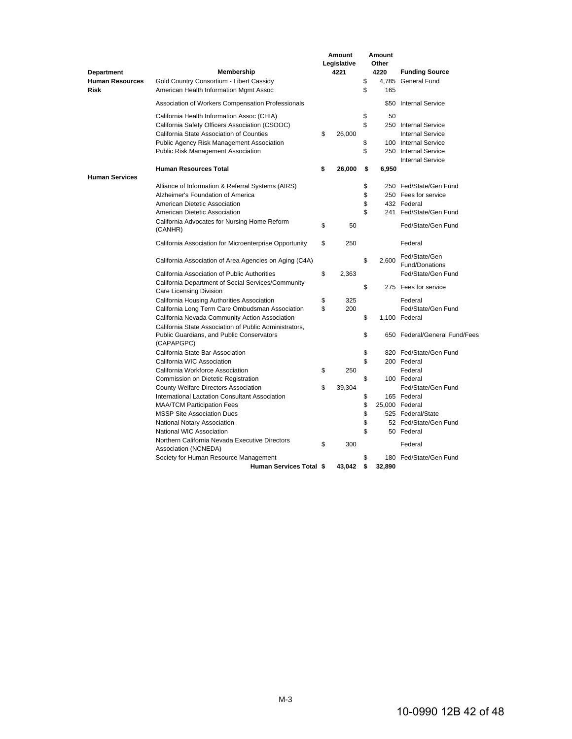|                                       |                                                                                                                   | <b>Amount</b><br>Legislative |          | Amount<br>Other |                                 |
|---------------------------------------|-------------------------------------------------------------------------------------------------------------------|------------------------------|----------|-----------------|---------------------------------|
| <b>Department</b>                     | <b>Membership</b>                                                                                                 | 4221                         |          | 4220            | <b>Funding Source</b>           |
| <b>Human Resources</b><br><b>Risk</b> | Gold Country Consortium - Libert Cassidy<br>American Health Information Mgmt Assoc                                |                              | \$<br>\$ | 4.785<br>165    | <b>General Fund</b>             |
|                                       | Association of Workers Compensation Professionals                                                                 |                              |          |                 | \$50 Internal Service           |
|                                       | California Health Information Assoc (CHIA)                                                                        |                              | \$       | 50              |                                 |
|                                       | California Safety Officers Association (CSOOC)                                                                    |                              | \$       |                 | 250 Internal Service            |
|                                       | California State Association of Counties                                                                          | \$<br>26,000                 |          |                 | <b>Internal Service</b>         |
|                                       | <b>Public Agency Risk Management Association</b>                                                                  |                              | \$       |                 | 100 Internal Service            |
|                                       | <b>Public Risk Management Association</b>                                                                         |                              | \$       |                 | 250 Internal Service            |
|                                       |                                                                                                                   |                              |          |                 | <b>Internal Service</b>         |
| <b>Human Services</b>                 | <b>Human Resources Total</b>                                                                                      | \$<br>26,000                 | \$       | 6,950           |                                 |
|                                       | Alliance of Information & Referral Systems (AIRS)                                                                 |                              | \$       |                 | 250 Fed/State/Gen Fund          |
|                                       | Alzheimer's Foundation of America                                                                                 |                              | \$       |                 | 250 Fees for service            |
|                                       | American Dietetic Association                                                                                     |                              | \$       |                 | 432 Federal                     |
|                                       | American Dietetic Association                                                                                     |                              | \$       |                 | 241 Fed/State/Gen Fund          |
|                                       | California Advocates for Nursing Home Reform<br>(CANHR)                                                           | \$<br>50                     |          |                 | Fed/State/Gen Fund              |
|                                       | California Association for Microenterprise Opportunity                                                            | \$<br>250                    |          |                 | Federal                         |
|                                       | California Association of Area Agencies on Aging (C4A)                                                            |                              | \$       | 2.600           | Fed/State/Gen<br>Fund/Donations |
|                                       | California Association of Public Authorities                                                                      | \$<br>2,363                  |          |                 | Fed/State/Gen Fund              |
|                                       | California Department of Social Services/Community<br>Care Licensing Division                                     |                              | \$       |                 | 275 Fees for service            |
|                                       | California Housing Authorities Association                                                                        | \$<br>325                    |          |                 | Federal                         |
|                                       | California Long Term Care Ombudsman Association                                                                   | \$<br>200                    |          |                 | Fed/State/Gen Fund              |
|                                       | California Nevada Community Action Association                                                                    |                              | \$       |                 | 1,100 Federal                   |
|                                       | California State Association of Public Administrators,<br>Public Guardians, and Public Conservators<br>(CAPAPGPC) |                              | \$       |                 | 650 Federal/General Fund/Fees   |
|                                       | California State Bar Association                                                                                  |                              | \$       |                 | 820 Fed/State/Gen Fund          |
|                                       | California WIC Association                                                                                        |                              | \$       |                 | 200 Federal                     |
|                                       | California Workforce Association                                                                                  | \$<br>250                    |          |                 | Federal                         |
|                                       | Commission on Dietetic Registration                                                                               |                              | \$       |                 | 100 Federal                     |
|                                       | County Welfare Directors Association                                                                              | \$<br>39,304                 |          |                 | Fed/State/Gen Fund              |
|                                       | International Lactation Consultant Association                                                                    |                              | \$       |                 | 165 Federal                     |
|                                       | <b>MAA/TCM Participation Fees</b>                                                                                 |                              | \$       |                 | 25.000 Federal                  |
|                                       | <b>MSSP Site Association Dues</b>                                                                                 |                              | \$       |                 | 525 Federal/State               |
|                                       | National Notary Association                                                                                       |                              | \$       |                 | 52 Fed/State/Gen Fund           |
|                                       | National WIC Association                                                                                          |                              | \$       |                 | 50 Federal                      |
|                                       | Northern California Nevada Executive Directors<br>Association (NCNEDA)                                            | \$<br>300                    |          |                 | Federal                         |
|                                       | Society for Human Resource Management                                                                             |                              | \$       |                 | 180 Fed/State/Gen Fund          |
|                                       | <b>Human Services Total \$</b>                                                                                    | 43,042                       | \$       | 32,890          |                                 |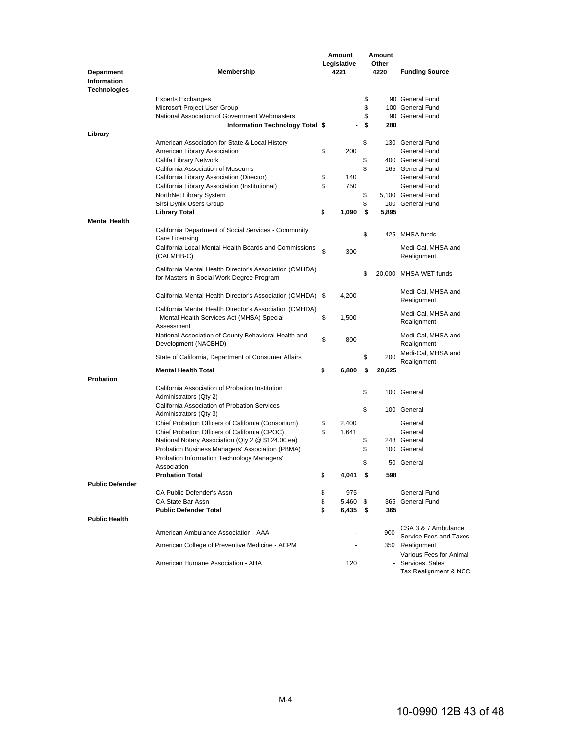|                        |                                                         |    | Amount      |      | Amount |                                              |
|------------------------|---------------------------------------------------------|----|-------------|------|--------|----------------------------------------------|
|                        |                                                         |    | Legislative |      | Other  |                                              |
| <b>Department</b>      | Membership                                              |    | 4221        |      | 4220   | <b>Funding Source</b>                        |
| <b>Information</b>     |                                                         |    |             |      |        |                                              |
| Technologies           |                                                         |    |             |      |        |                                              |
|                        | <b>Experts Exchanges</b>                                |    |             | \$   |        | 90 General Fund                              |
|                        | Microsoft Project User Group                            |    |             | \$   |        | 100 General Fund                             |
|                        | National Association of Government Webmasters           |    |             | \$   |        | 90 General Fund                              |
|                        | Information Technology Total \$                         |    |             | \$   | 280    |                                              |
| Library                |                                                         |    |             |      |        |                                              |
|                        | American Association for State & Local History          |    |             | \$   |        | 130 General Fund                             |
|                        | American Library Association                            | \$ | 200         |      |        | General Fund                                 |
|                        | Califa Library Network                                  |    |             | \$   |        | 400 General Fund                             |
|                        | California Association of Museums                       |    |             | \$   |        | 165 General Fund                             |
|                        | California Library Association (Director)               | \$ | 140         |      |        | General Fund                                 |
|                        | California Library Association (Institutional)          | \$ | 750         |      |        | General Fund                                 |
|                        | NorthNet Library System                                 |    |             | \$   |        | 5,100 General Fund                           |
|                        | Sirsi Dynix Users Group                                 |    |             | \$   |        | 100 General Fund                             |
|                        | <b>Library Total</b>                                    | \$ | 1,090       | \$   | 5,895  |                                              |
| <b>Mental Health</b>   |                                                         |    |             |      |        |                                              |
|                        | California Department of Social Services - Community    |    |             |      |        |                                              |
|                        | Care Licensing                                          |    |             | \$   |        | 425 MHSA funds                               |
|                        |                                                         |    |             |      |        |                                              |
|                        | California Local Mental Health Boards and Commissions   | \$ | 300         |      |        | Medi-Cal, MHSA and                           |
|                        | (CALMHB-C)                                              |    |             |      |        | Realignment                                  |
|                        | California Mental Health Director's Association (CMHDA) |    |             |      |        |                                              |
|                        | for Masters in Social Work Degree Program               |    |             | \$   |        | 20,000 MHSA WET funds                        |
|                        |                                                         |    |             |      |        |                                              |
|                        | California Mental Health Director's Association (CMHDA) | \$ | 4,200       |      |        | Medi-Cal, MHSA and                           |
|                        |                                                         |    |             |      |        | Realignment                                  |
|                        | California Mental Health Director's Association (CMHDA) |    |             |      |        | Medi-Cal, MHSA and                           |
|                        | - Mental Health Services Act (MHSA) Special             | \$ | 1,500       |      |        | Realignment                                  |
|                        | Assessment                                              |    |             |      |        |                                              |
|                        | National Association of County Behavioral Health and    | \$ | 800         |      |        | Medi-Cal, MHSA and                           |
|                        | Development (NACBHD)                                    |    |             |      |        | Realignment                                  |
|                        | State of California, Department of Consumer Affairs     |    |             | \$   | 200    | Medi-Cal, MHSA and                           |
|                        |                                                         |    |             |      |        | Realignment                                  |
|                        | <b>Mental Health Total</b>                              | \$ | 6,800       | \$   | 20,625 |                                              |
| Probation              |                                                         |    |             |      |        |                                              |
|                        | California Association of Probation Institution         |    |             |      |        |                                              |
|                        | Administrators (Qty 2)                                  |    |             | \$   |        | 100 General                                  |
|                        | California Association of Probation Services            |    |             |      |        |                                              |
|                        | Administrators (Qty 3)                                  |    |             | \$   |        | 100 General                                  |
|                        | Chief Probation Officers of California (Consortium)     | \$ | 2,400       |      |        | General                                      |
|                        | Chief Probation Officers of California (CPOC)           | \$ | 1,641       |      |        | General                                      |
|                        | National Notary Association (Qty 2 @ \$124.00 ea)       |    |             | \$   |        | 248 General                                  |
|                        | Probation Business Managers' Association (PBMA)         |    |             | \$   |        | 100 General                                  |
|                        | Probation Information Technology Managers'              |    |             |      |        |                                              |
|                        | Association                                             |    |             | \$   |        | 50 General                                   |
|                        | <b>Probation Total</b>                                  | \$ | 4,041       | \$   | 598    |                                              |
| <b>Public Defender</b> |                                                         |    |             |      |        |                                              |
|                        | CA Public Defender's Assn                               | \$ | 975         |      |        | General Fund                                 |
|                        | CA State Bar Assn                                       | \$ | 5,460       | \$   |        | 365 General Fund                             |
|                        | <b>Public Defender Total</b>                            | \$ | 6,435       | - \$ | 365    |                                              |
| <b>Public Health</b>   |                                                         |    |             |      |        |                                              |
|                        |                                                         |    |             |      |        | CSA 3 & 7 Ambulance                          |
|                        | American Ambulance Association - AAA                    |    |             |      | 900    | Service Fees and Taxes                       |
|                        |                                                         |    |             |      |        |                                              |
|                        | American College of Preventive Medicine - ACPM          |    |             |      |        | 350 Realignment                              |
|                        | American Humane Association - AHA                       |    | 120         |      |        | Various Fees for Animal<br>- Services, Sales |
|                        |                                                         |    |             |      |        | Tax Realignment & NCC                        |
|                        |                                                         |    |             |      |        |                                              |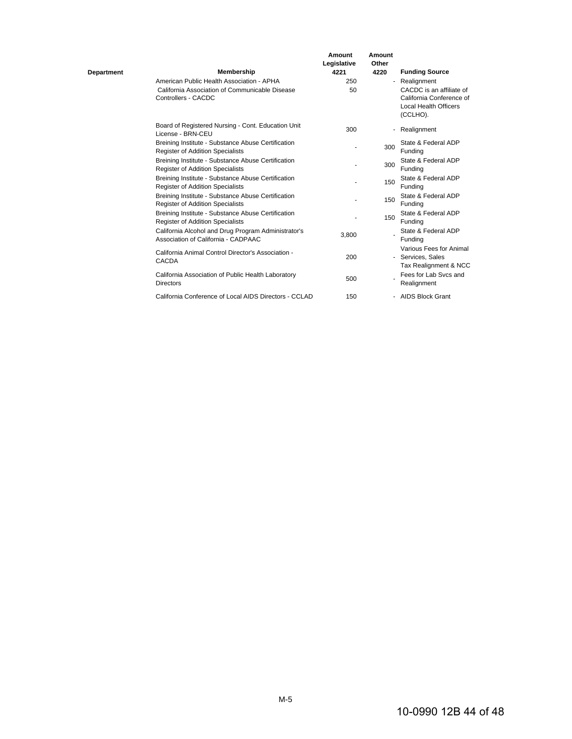| Department | Membership                                                                                                         | Amount<br>Legislative<br>4221 | Amount<br>Other<br>4220 | <b>Funding Source</b>                                                 |
|------------|--------------------------------------------------------------------------------------------------------------------|-------------------------------|-------------------------|-----------------------------------------------------------------------|
|            | American Public Health Association - APHA<br>California Association of Communicable Disease<br>Controllers - CACDC | 250<br>50                     |                         | - Realignment<br>CACDC is an affiliate of<br>California Conference of |
|            |                                                                                                                    |                               |                         | Local Health Officers<br>(CCLHO).                                     |
|            | Board of Registered Nursing - Cont. Education Unit<br>License - BRN-CEU                                            | 300                           |                         | - Realignment                                                         |
|            | Breining Institute - Substance Abuse Certification<br><b>Register of Addition Specialists</b>                      |                               | 300                     | State & Federal ADP<br>Funding                                        |
|            | Breining Institute - Substance Abuse Certification<br><b>Register of Addition Specialists</b>                      |                               | 300                     | State & Federal ADP<br>Fundina                                        |
|            | Breining Institute - Substance Abuse Certification<br>Register of Addition Specialists                             |                               | 150                     | State & Federal ADP<br>Funding                                        |
|            | Breining Institute - Substance Abuse Certification<br>Register of Addition Specialists                             |                               | 150                     | State & Federal ADP<br>Funding                                        |
|            | Breining Institute - Substance Abuse Certification<br><b>Register of Addition Specialists</b>                      |                               | 150                     | State & Federal ADP<br>Fundina                                        |
|            | California Alcohol and Drug Program Administrator's<br>Association of California - CADPAAC                         | 3,800                         |                         | State & Federal ADP<br>Fundina                                        |
|            | California Animal Control Director's Association -<br><b>CACDA</b>                                                 | 200                           |                         | Various Fees for Animal<br>- Services, Sales<br>Tax Realignment & NCC |
|            | California Association of Public Health Laboratory<br><b>Directors</b>                                             | 500                           |                         | Fees for Lab Sycs and<br>Realignment                                  |
|            | California Conference of Local AIDS Directors - CCLAD                                                              | 150                           |                         | - AIDS Block Grant                                                    |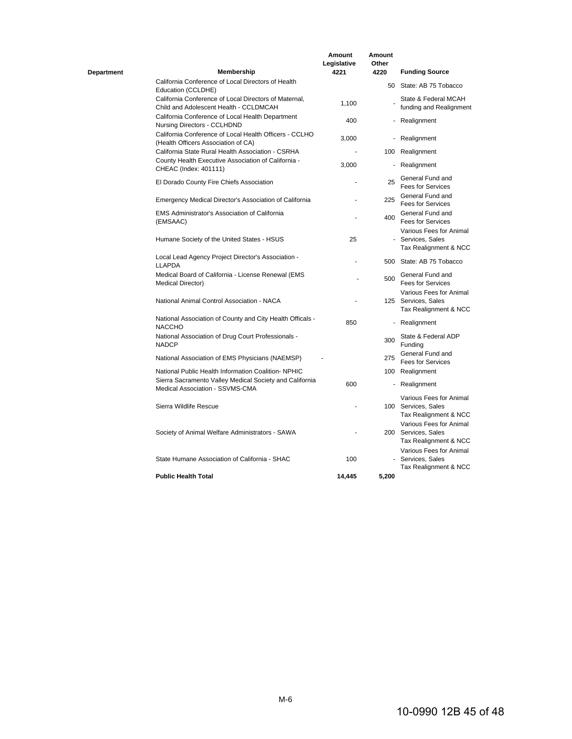| Department | Membership                                                                                      | Amount<br>Legislative<br>4221 | Amount<br>Other<br>4220 | <b>Funding Source</b>                                                   |
|------------|-------------------------------------------------------------------------------------------------|-------------------------------|-------------------------|-------------------------------------------------------------------------|
|            | California Conference of Local Directors of Health<br>Education (CCLDHE)                        |                               |                         | 50 State: AB 75 Tobacco                                                 |
|            | California Conference of Local Directors of Maternal,<br>Child and Adolescent Health - CCLDMCAH | 1.100                         |                         | State & Federal MCAH<br>funding and Realignment                         |
|            | California Conference of Local Health Department<br>Nursing Directors - CCLHDND                 | 400                           |                         | - Realignment                                                           |
|            | California Conference of Local Health Officers - CCLHO<br>(Health Officers Association of CA)   | 3,000                         | ٠                       | Realignment                                                             |
|            | California State Rural Health Association - CSRHA                                               |                               |                         | 100 Realignment                                                         |
|            | County Health Executive Association of California -<br>CHEAC (Index: 401111)                    | 3,000                         |                         | - Realignment                                                           |
|            | El Dorado County Fire Chiefs Association                                                        |                               | 25                      | General Fund and<br><b>Fees for Services</b>                            |
|            | Emergency Medical Director's Association of California                                          |                               | 225                     | General Fund and<br><b>Fees for Services</b>                            |
|            | <b>EMS Administrator's Association of California</b><br>(EMSAAC)                                |                               | 400                     | General Fund and<br><b>Fees for Services</b>                            |
|            | Humane Society of the United States - HSUS                                                      | 25                            |                         | Various Fees for Animal<br>- Services, Sales<br>Tax Realignment & NCC   |
|            | Local Lead Agency Project Director's Association -<br><b>LLAPDA</b>                             |                               |                         | 500 State: AB 75 Tobacco                                                |
|            | Medical Board of California - License Renewal (EMS<br><b>Medical Director)</b>                  |                               | 500                     | General Fund and<br><b>Fees for Services</b>                            |
|            | National Animal Control Association - NACA                                                      |                               |                         | Various Fees for Animal<br>125 Services, Sales<br>Tax Realignment & NCC |
|            | National Association of County and City Health Officals -<br>NACCHO                             | 850                           |                         | - Realignment                                                           |
|            | National Association of Drug Court Professionals -<br><b>NADCP</b>                              |                               | 300                     | State & Federal ADP<br>Funding                                          |
|            | National Association of EMS Physicians (NAEMSP)                                                 |                               | 275                     | General Fund and<br><b>Fees for Services</b>                            |
|            | National Public Health Information Coalition- NPHIC                                             |                               |                         | 100 Realignment                                                         |
|            | Sierra Sacramento Valley Medical Society and California<br>Medical Association - SSVMS-CMA      | 600                           |                         | - Realignment                                                           |
|            | Sierra Wildlife Rescue                                                                          |                               |                         | Various Fees for Animal<br>100 Services, Sales<br>Tax Realignment & NCC |
|            | Society of Animal Welfare Administrators - SAWA                                                 |                               |                         | Various Fees for Animal<br>200 Services, Sales<br>Tax Realignment & NCC |
|            | State Humane Association of California - SHAC                                                   | 100                           |                         | Various Fees for Animal<br>- Services, Sales<br>Tax Realignment & NCC   |
|            | <b>Public Health Total</b>                                                                      | 14,445                        | 5,200                   |                                                                         |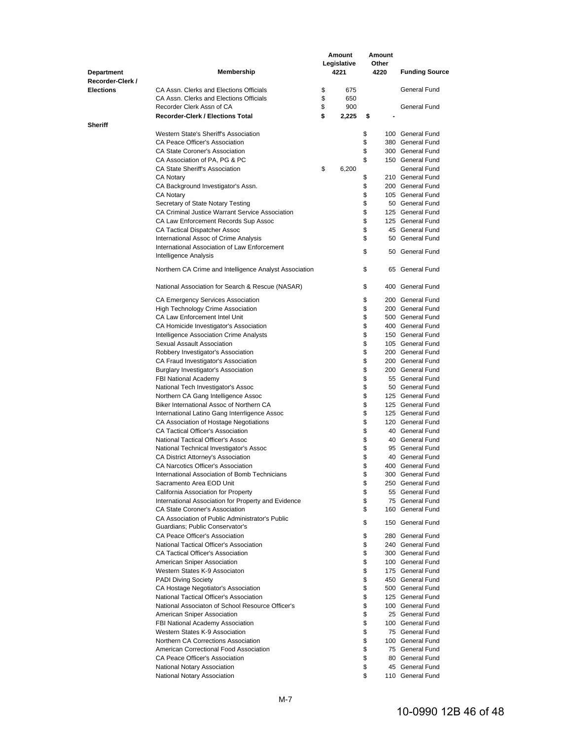|                   |                                                                                             |          | Amount      |          | Amount |                                      |
|-------------------|---------------------------------------------------------------------------------------------|----------|-------------|----------|--------|--------------------------------------|
|                   |                                                                                             |          | Legislative |          | Other  |                                      |
| <b>Department</b> | Membership                                                                                  |          | 4221        |          | 4220   | <b>Funding Source</b>                |
| Recorder-Clerk /  | CA Assn. Clerks and Elections Officials                                                     |          |             |          |        | General Fund                         |
| <b>Elections</b>  | CA Assn. Clerks and Elections Officials                                                     | \$<br>\$ | 675<br>650  |          |        |                                      |
|                   | Recorder Clerk Assn of CA                                                                   | \$       | 900         |          |        | General Fund                         |
|                   | <b>Recorder-Clerk / Elections Total</b>                                                     | \$       | 2,225       | \$       |        |                                      |
| <b>Sheriff</b>    |                                                                                             |          |             |          |        |                                      |
|                   | Western State's Sheriff's Association                                                       |          |             | \$       |        | 100 General Fund                     |
|                   | CA Peace Officer's Association                                                              |          |             | \$       |        | 380 General Fund                     |
|                   | <b>CA State Coroner's Association</b>                                                       |          |             | \$       |        | 300 General Fund                     |
|                   | CA Association of PA, PG & PC                                                               |          |             | \$       |        | 150 General Fund                     |
|                   | CA State Sheriff's Association                                                              | \$       | 6,200       |          |        | General Fund                         |
|                   | <b>CA Notary</b>                                                                            |          |             | \$       |        | 210 General Fund<br>200 General Fund |
|                   | CA Background Investigator's Assn.<br>CA Notary                                             |          |             | \$<br>\$ |        | 105 General Fund                     |
|                   | Secretary of State Notary Testing                                                           |          |             | \$       |        | 50 General Fund                      |
|                   | CA Criminal Justice Warrant Service Association                                             |          |             | \$       |        | 125 General Fund                     |
|                   | CA Law Enforcement Records Sup Assoc                                                        |          |             | \$       |        | 125 General Fund                     |
|                   | CA Tactical Dispatcher Assoc                                                                |          |             | \$       |        | 45 General Fund                      |
|                   | International Assoc of Crime Analysis                                                       |          |             | \$       |        | 50 General Fund                      |
|                   | International Association of Law Enforcement                                                |          |             | \$       |        | 50 General Fund                      |
|                   | Intelligence Analysis                                                                       |          |             |          |        |                                      |
|                   | Northern CA Crime and Intelligence Analyst Association                                      |          |             | \$       |        | 65 General Fund                      |
|                   | National Association for Search & Rescue (NASAR)                                            |          |             | \$       |        | 400 General Fund                     |
|                   | CA Emergency Services Association                                                           |          |             | \$       |        | 200 General Fund                     |
|                   | High Technology Crime Association                                                           |          |             | \$       |        | 200 General Fund                     |
|                   | CA Law Enforcement Intel Unit<br>CA Homicide Investigator's Association                     |          |             | \$<br>\$ |        | 500 General Fund<br>400 General Fund |
|                   | Intelligence Association Crime Analysts                                                     |          |             | \$       |        | 150 General Fund                     |
|                   | Sexual Assault Association                                                                  |          |             | \$       |        | 105 General Fund                     |
|                   | Robbery Investigator's Association                                                          |          |             | \$       |        | 200 General Fund                     |
|                   | CA Fraud Investigator's Association                                                         |          |             | \$       |        | 200 General Fund                     |
|                   | Burglary Investigator's Association                                                         |          |             | \$       |        | 200 General Fund                     |
|                   | FBI National Academy                                                                        |          |             | \$       |        | 55 General Fund                      |
|                   | National Tech Investigator's Assoc                                                          |          |             | \$       |        | 50 General Fund                      |
|                   | Northern CA Gang Intelligence Assoc                                                         |          |             | \$       |        | 125 General Fund                     |
|                   | Biker International Assoc of Northern CA                                                    |          |             | \$       |        | 125 General Fund                     |
|                   | International Latino Gang Interrligence Assoc<br>CA Association of Hostage Negotiations     |          |             | \$<br>\$ |        | 125 General Fund<br>120 General Fund |
|                   | <b>CA Tactical Officer's Association</b>                                                    |          |             | \$       |        | 40 General Fund                      |
|                   | National Tactical Officer's Assoc                                                           |          |             | \$       |        | 40 General Fund                      |
|                   | National Technical Investigator's Assoc                                                     |          |             | \$       |        | 95 General Fund                      |
|                   | CA District Attorney's Association                                                          |          |             | \$       |        | 40 General Fund                      |
|                   | CA Narcotics Officer's Association                                                          |          |             | \$       |        | 400 General Fund                     |
|                   | International Association of Bomb Technicians                                               |          |             | \$       |        | 300 General Fund                     |
|                   | Sacramento Area EOD Unit                                                                    |          |             | \$       |        | 250 General Fund                     |
|                   | California Association for Property                                                         |          |             | \$       |        | 55 General Fund                      |
|                   | International Association for Property and Evidence                                         |          |             | \$       |        | 75 General Fund                      |
|                   | <b>CA State Coroner's Association</b><br>CA Association of Public Administrator's Public    |          |             | \$       |        | 160 General Fund                     |
|                   | Guardians; Public Conservator's                                                             |          |             | \$       |        | 150 General Fund                     |
|                   | CA Peace Officer's Association                                                              |          |             | \$       |        | 280 General Fund                     |
|                   | National Tactical Officer's Association                                                     |          |             | \$       |        | 240 General Fund                     |
|                   | <b>CA Tactical Officer's Association</b>                                                    |          |             | \$       |        | 300 General Fund                     |
|                   | American Sniper Association                                                                 |          |             | \$       |        | 100 General Fund                     |
|                   | Western States K-9 Associaton                                                               |          |             | \$       |        | 175 General Fund                     |
|                   | <b>PADI Diving Society</b>                                                                  |          |             | \$       |        | 450 General Fund                     |
|                   | CA Hostage Negotiator's Association                                                         |          |             | \$       |        | 500 General Fund                     |
|                   | National Tactical Officer's Association<br>National Associaton of School Resource Officer's |          |             | \$<br>\$ |        | 125 General Fund<br>100 General Fund |
|                   | American Sniper Association                                                                 |          |             | \$       |        | 25 General Fund                      |
|                   | FBI National Academy Association                                                            |          |             | \$       |        | 100 General Fund                     |
|                   | Western States K-9 Association                                                              |          |             | \$       |        | 75 General Fund                      |
|                   | Northern CA Corrections Association                                                         |          |             | \$       |        | 100 General Fund                     |
|                   | American Correctional Food Association                                                      |          |             | \$       |        | 75 General Fund                      |
|                   | CA Peace Officer's Association                                                              |          |             | \$       |        | 80 General Fund                      |
|                   | National Notary Association                                                                 |          |             | \$       |        | 45 General Fund                      |
|                   | National Notary Association                                                                 |          |             | \$       |        | 110 General Fund                     |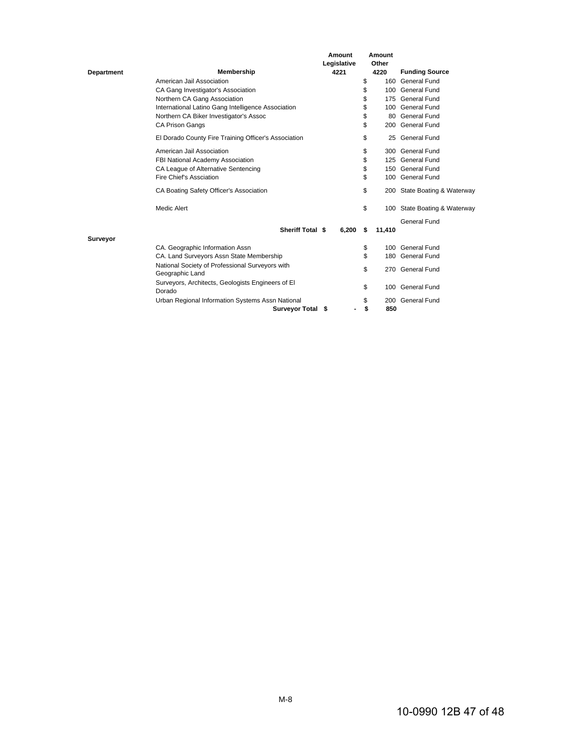|                   |                                                             | Amount<br>Legislative | Amount<br>Other |                              |
|-------------------|-------------------------------------------------------------|-----------------------|-----------------|------------------------------|
| <b>Department</b> | <b>Membership</b>                                           | 4221                  | 4220            | <b>Funding Source</b>        |
|                   | American Jail Association                                   |                       | \$<br>160       | General Fund                 |
|                   | CA Gang Investigator's Association                          |                       | \$<br>100       | General Fund                 |
|                   | Northern CA Gang Association                                |                       | \$              | 175 General Fund             |
|                   | International Latino Gang Intelligence Association          |                       | \$<br>100       | General Fund                 |
|                   | Northern CA Biker Investigator's Assoc                      |                       | \$<br>80        | General Fund                 |
|                   | <b>CA Prison Gangs</b>                                      |                       | \$<br>200       | <b>General Fund</b>          |
|                   | El Dorado County Fire Training Officer's Association        |                       | \$<br>25        | <b>General Fund</b>          |
|                   | American Jail Association                                   |                       | \$              | 300 General Fund             |
|                   | FBI National Academy Association                            |                       | \$              | 125 General Fund             |
|                   | CA League of Alternative Sentencing                         |                       | \$              | 150 General Fund             |
|                   | Fire Chief's Assciation                                     |                       | \$<br>100       | <b>General Fund</b>          |
|                   | CA Boating Safety Officer's Association                     |                       | \$              | 200 State Boating & Waterway |
|                   | Medic Alert                                                 |                       | \$              | 100 State Boating & Waterway |
|                   |                                                             |                       |                 | General Fund                 |
|                   | <b>Sheriff Total \$</b>                                     | 6,200                 | \$<br>11,410    |                              |
| Surveyor          |                                                             |                       |                 |                              |
|                   | CA. Geographic Information Assn                             |                       | \$<br>100       | General Fund                 |
|                   | CA. Land Surveyors Assn State Membership                    |                       | \$              | 180 General Fund             |
|                   | National Society of Professional Surveyors with             |                       | \$              | 270 General Fund             |
|                   | Geographic Land                                             |                       |                 |                              |
|                   | Surveyors, Architects, Geologists Engineers of El<br>Dorado |                       | \$<br>100       | General Fund                 |
|                   | Urban Regional Information Systems Assn National            |                       | \$              | 200 General Fund             |
|                   | Surveyor Total \$                                           |                       | \$<br>850       |                              |